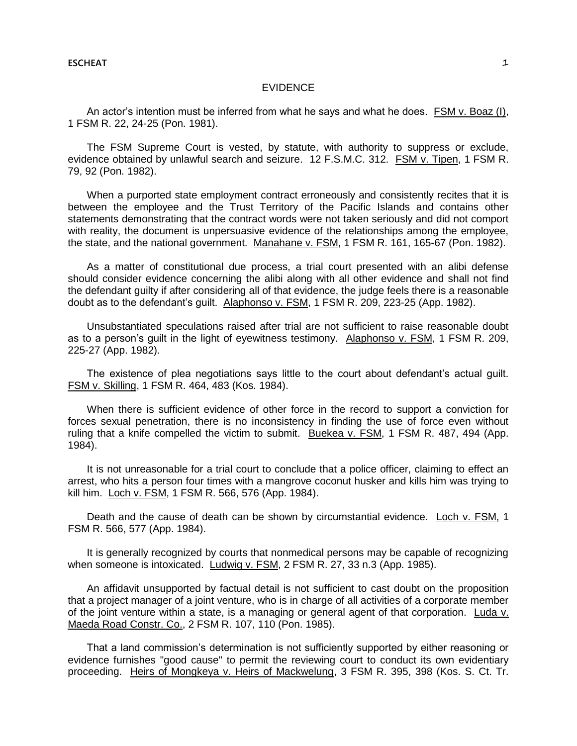# **FVIDENCE**

An actor's intention must be inferred from what he says and what he does. FSM v. Boaz (I), 1 FSM R. 22, 24-25 (Pon. 1981).

The FSM Supreme Court is vested, by statute, with authority to suppress or exclude, evidence obtained by unlawful search and seizure. 12 F.S.M.C. 312. FSM v. Tipen, 1 FSM R. 79, 92 (Pon. 1982).

When a purported state employment contract erroneously and consistently recites that it is between the employee and the Trust Territory of the Pacific Islands and contains other statements demonstrating that the contract words were not taken seriously and did not comport with reality, the document is unpersuasive evidence of the relationships among the employee, the state, and the national government. Manahane v. FSM, 1 FSM R. 161, 165-67 (Pon. 1982).

As a matter of constitutional due process, a trial court presented with an alibi defense should consider evidence concerning the alibi along with all other evidence and shall not find the defendant guilty if after considering all of that evidence, the judge feels there is a reasonable doubt as to the defendant's guilt. Alaphonso v. FSM, 1 FSM R. 209, 223-25 (App. 1982).

Unsubstantiated speculations raised after trial are not sufficient to raise reasonable doubt as to a person's guilt in the light of eyewitness testimony. Alaphonso v. FSM, 1 FSM R. 209, 225-27 (App. 1982).

The existence of plea negotiations says little to the court about defendant's actual guilt. FSM v. Skilling, 1 FSM R. 464, 483 (Kos. 1984).

When there is sufficient evidence of other force in the record to support a conviction for forces sexual penetration, there is no inconsistency in finding the use of force even without ruling that a knife compelled the victim to submit. Buekea v. FSM, 1 FSM R. 487, 494 (App. 1984).

It is not unreasonable for a trial court to conclude that a police officer, claiming to effect an arrest, who hits a person four times with a mangrove coconut husker and kills him was trying to kill him. Loch v. FSM, 1 FSM R. 566, 576 (App. 1984).

Death and the cause of death can be shown by circumstantial evidence. Loch v. FSM, 1 FSM R. 566, 577 (App. 1984).

It is generally recognized by courts that nonmedical persons may be capable of recognizing when someone is intoxicated. Ludwig v. FSM, 2 FSM R. 27, 33 n.3 (App. 1985).

An affidavit unsupported by factual detail is not sufficient to cast doubt on the proposition that a project manager of a joint venture, who is in charge of all activities of a corporate member of the joint venture within a state, is a managing or general agent of that corporation. Luda v. Maeda Road Constr. Co., 2 FSM R. 107, 110 (Pon. 1985).

That a land commission's determination is not sufficiently supported by either reasoning or evidence furnishes "good cause" to permit the reviewing court to conduct its own evidentiary proceeding. Heirs of Mongkeya v. Heirs of Mackwelung, 3 FSM R. 395, 398 (Kos. S. Ct. Tr.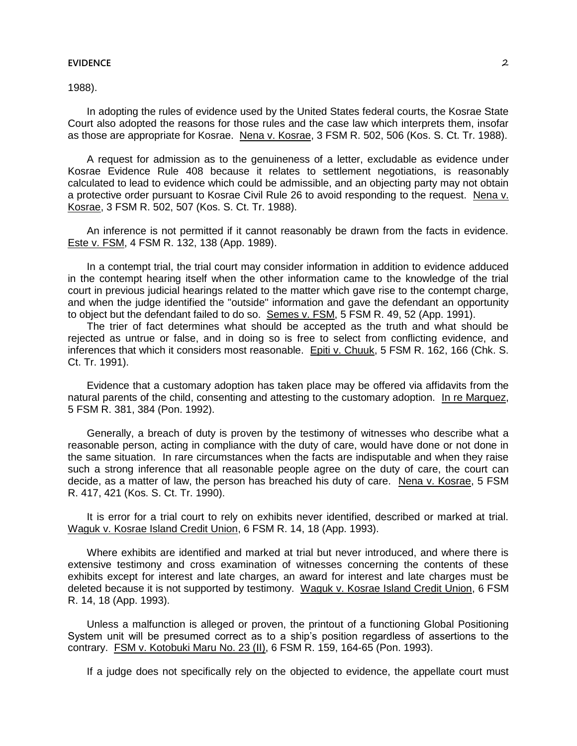#### **EVIDENCE** 2

1988).

In adopting the rules of evidence used by the United States federal courts, the Kosrae State Court also adopted the reasons for those rules and the case law which interprets them, insofar as those are appropriate for Kosrae. Nena v. Kosrae, 3 FSM R. 502, 506 (Kos. S. Ct. Tr. 1988).

A request for admission as to the genuineness of a letter, excludable as evidence under Kosrae Evidence Rule 408 because it relates to settlement negotiations, is reasonably calculated to lead to evidence which could be admissible, and an objecting party may not obtain a protective order pursuant to Kosrae Civil Rule 26 to avoid responding to the request. Nena v. Kosrae, 3 FSM R. 502, 507 (Kos. S. Ct. Tr. 1988).

An inference is not permitted if it cannot reasonably be drawn from the facts in evidence. Este v. FSM, 4 FSM R. 132, 138 (App. 1989).

In a contempt trial, the trial court may consider information in addition to evidence adduced in the contempt hearing itself when the other information came to the knowledge of the trial court in previous judicial hearings related to the matter which gave rise to the contempt charge, and when the judge identified the "outside" information and gave the defendant an opportunity to object but the defendant failed to do so. Semes v. FSM, 5 FSM R. 49, 52 (App. 1991).

The trier of fact determines what should be accepted as the truth and what should be rejected as untrue or false, and in doing so is free to select from conflicting evidence, and inferences that which it considers most reasonable. Epiti v. Chuuk, 5 FSM R. 162, 166 (Chk. S. Ct. Tr. 1991).

Evidence that a customary adoption has taken place may be offered via affidavits from the natural parents of the child, consenting and attesting to the customary adoption. In re Marquez, 5 FSM R. 381, 384 (Pon. 1992).

Generally, a breach of duty is proven by the testimony of witnesses who describe what a reasonable person, acting in compliance with the duty of care, would have done or not done in the same situation. In rare circumstances when the facts are indisputable and when they raise such a strong inference that all reasonable people agree on the duty of care, the court can decide, as a matter of law, the person has breached his duty of care. Nena v. Kosrae, 5 FSM R. 417, 421 (Kos. S. Ct. Tr. 1990).

It is error for a trial court to rely on exhibits never identified, described or marked at trial. Waguk v. Kosrae Island Credit Union, 6 FSM R. 14, 18 (App. 1993).

Where exhibits are identified and marked at trial but never introduced, and where there is extensive testimony and cross examination of witnesses concerning the contents of these exhibits except for interest and late charges, an award for interest and late charges must be deleted because it is not supported by testimony. Waguk v. Kosrae Island Credit Union, 6 FSM R. 14, 18 (App. 1993).

Unless a malfunction is alleged or proven, the printout of a functioning Global Positioning System unit will be presumed correct as to a ship's position regardless of assertions to the contrary. FSM v. Kotobuki Maru No. 23 (II), 6 FSM R. 159, 164-65 (Pon. 1993).

If a judge does not specifically rely on the objected to evidence, the appellate court must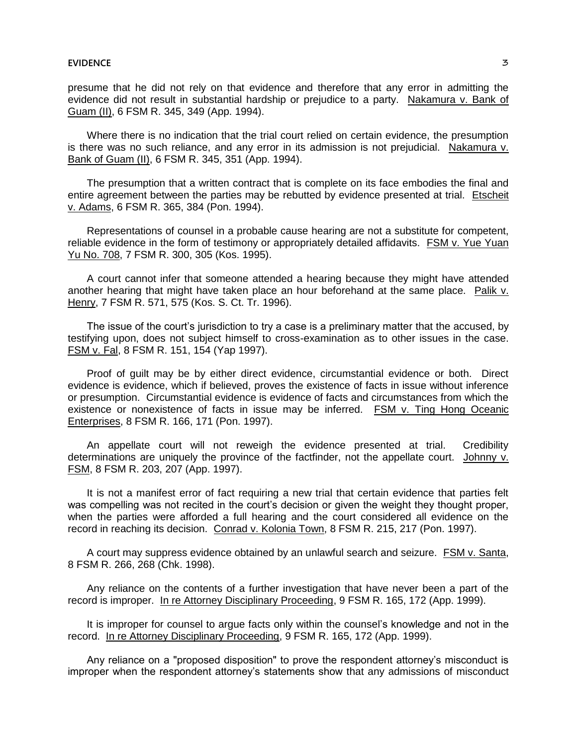presume that he did not rely on that evidence and therefore that any error in admitting the evidence did not result in substantial hardship or prejudice to a party. Nakamura v. Bank of Guam (II), 6 FSM R. 345, 349 (App. 1994).

Where there is no indication that the trial court relied on certain evidence, the presumption is there was no such reliance, and any error in its admission is not prejudicial. Nakamura v. Bank of Guam (II), 6 FSM R. 345, 351 (App. 1994).

The presumption that a written contract that is complete on its face embodies the final and entire agreement between the parties may be rebutted by evidence presented at trial. Etscheit v. Adams, 6 FSM R. 365, 384 (Pon. 1994).

Representations of counsel in a probable cause hearing are not a substitute for competent, reliable evidence in the form of testimony or appropriately detailed affidavits. FSM v. Yue Yuan Yu No. 708, 7 FSM R. 300, 305 (Kos. 1995).

A court cannot infer that someone attended a hearing because they might have attended another hearing that might have taken place an hour beforehand at the same place. Palik v. Henry, 7 FSM R. 571, 575 (Kos. S. Ct. Tr. 1996).

The issue of the court's jurisdiction to try a case is a preliminary matter that the accused, by testifying upon, does not subject himself to cross-examination as to other issues in the case. FSM v. Fal, 8 FSM R. 151, 154 (Yap 1997).

Proof of guilt may be by either direct evidence, circumstantial evidence or both. Direct evidence is evidence, which if believed, proves the existence of facts in issue without inference or presumption. Circumstantial evidence is evidence of facts and circumstances from which the existence or nonexistence of facts in issue may be inferred. FSM v. Ting Hong Oceanic Enterprises, 8 FSM R. 166, 171 (Pon. 1997).

An appellate court will not reweigh the evidence presented at trial. Credibility determinations are uniquely the province of the factfinder, not the appellate court. Johnny v. FSM, 8 FSM R. 203, 207 (App. 1997).

It is not a manifest error of fact requiring a new trial that certain evidence that parties felt was compelling was not recited in the court's decision or given the weight they thought proper, when the parties were afforded a full hearing and the court considered all evidence on the record in reaching its decision. Conrad v. Kolonia Town, 8 FSM R. 215, 217 (Pon. 1997).

A court may suppress evidence obtained by an unlawful search and seizure. FSM v. Santa, 8 FSM R. 266, 268 (Chk. 1998).

Any reliance on the contents of a further investigation that have never been a part of the record is improper. In re Attorney Disciplinary Proceeding, 9 FSM R. 165, 172 (App. 1999).

It is improper for counsel to argue facts only within the counsel's knowledge and not in the record. In re Attorney Disciplinary Proceeding, 9 FSM R. 165, 172 (App. 1999).

Any reliance on a "proposed disposition" to prove the respondent attorney's misconduct is improper when the respondent attorney's statements show that any admissions of misconduct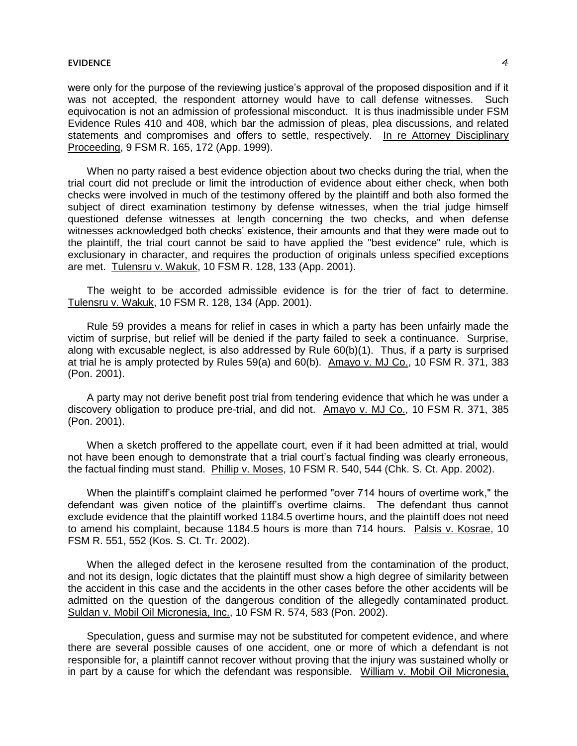#### **EVIDENCE** 4

were only for the purpose of the reviewing justice's approval of the proposed disposition and if it was not accepted, the respondent attorney would have to call defense witnesses. Such equivocation is not an admission of professional misconduct. It is thus inadmissible under FSM Evidence Rules 410 and 408, which bar the admission of pleas, plea discussions, and related statements and compromises and offers to settle, respectively. In re Attorney Disciplinary Proceeding, 9 FSM R. 165, 172 (App. 1999).

When no party raised a best evidence objection about two checks during the trial, when the trial court did not preclude or limit the introduction of evidence about either check, when both checks were involved in much of the testimony offered by the plaintiff and both also formed the subject of direct examination testimony by defense witnesses, when the trial judge himself questioned defense witnesses at length concerning the two checks, and when defense witnesses acknowledged both checks' existence, their amounts and that they were made out to the plaintiff, the trial court cannot be said to have applied the "best evidence" rule, which is exclusionary in character, and requires the production of originals unless specified exceptions are met. Tulensru v. Wakuk, 10 FSM R. 128, 133 (App. 2001).

The weight to be accorded admissible evidence is for the trier of fact to determine. Tulensru v. Wakuk, 10 FSM R. 128, 134 (App. 2001).

Rule 59 provides a means for relief in cases in which a party has been unfairly made the victim of surprise, but relief will be denied if the party failed to seek a continuance. Surprise, along with excusable neglect, is also addressed by Rule 60(b)(1). Thus, if a party is surprised at trial he is amply protected by Rules 59(a) and 60(b). Amayo v. MJ Co., 10 FSM R. 371, 383 (Pon. 2001).

A party may not derive benefit post trial from tendering evidence that which he was under a discovery obligation to produce pre-trial, and did not. Amayo v. MJ Co., 10 FSM R. 371, 385 (Pon. 2001).

When a sketch proffered to the appellate court, even if it had been admitted at trial, would not have been enough to demonstrate that a trial court's factual finding was clearly erroneous, the factual finding must stand. Phillip v. Moses, 10 FSM R. 540, 544 (Chk. S. Ct. App. 2002).

When the plaintiff's complaint claimed he performed "over 714 hours of overtime work," the defendant was given notice of the plaintiff's overtime claims. The defendant thus cannot exclude evidence that the plaintiff worked 1184.5 overtime hours, and the plaintiff does not need to amend his complaint, because 1184.5 hours is more than 714 hours. Palsis v. Kosrae, 10 FSM R. 551, 552 (Kos. S. Ct. Tr. 2002).

When the alleged defect in the kerosene resulted from the contamination of the product, and not its design, logic dictates that the plaintiff must show a high degree of similarity between the accident in this case and the accidents in the other cases before the other accidents will be admitted on the question of the dangerous condition of the allegedly contaminated product. Suldan v. Mobil Oil Micronesia, Inc., 10 FSM R. 574, 583 (Pon. 2002).

Speculation, guess and surmise may not be substituted for competent evidence, and where there are several possible causes of one accident, one or more of which a defendant is not responsible for, a plaintiff cannot recover without proving that the injury was sustained wholly or in part by a cause for which the defendant was responsible. William v. Mobil Oil Micronesia,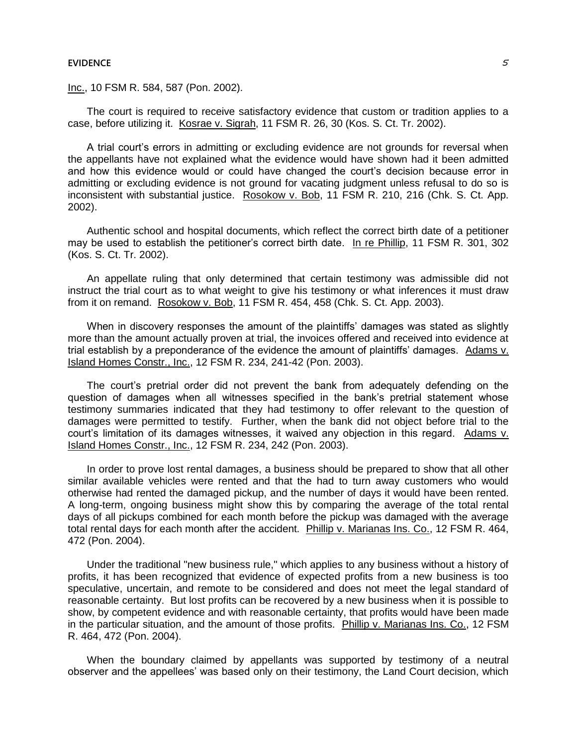#### **EVIDENCE** 5

Inc., 10 FSM R. 584, 587 (Pon. 2002).

The court is required to receive satisfactory evidence that custom or tradition applies to a case, before utilizing it. Kosrae v. Sigrah, 11 FSM R. 26, 30 (Kos. S. Ct. Tr. 2002).

A trial court's errors in admitting or excluding evidence are not grounds for reversal when the appellants have not explained what the evidence would have shown had it been admitted and how this evidence would or could have changed the court's decision because error in admitting or excluding evidence is not ground for vacating judgment unless refusal to do so is inconsistent with substantial justice. Rosokow v. Bob, 11 FSM R. 210, 216 (Chk. S. Ct. App. 2002).

Authentic school and hospital documents, which reflect the correct birth date of a petitioner may be used to establish the petitioner's correct birth date. In re Phillip, 11 FSM R. 301, 302 (Kos. S. Ct. Tr. 2002).

An appellate ruling that only determined that certain testimony was admissible did not instruct the trial court as to what weight to give his testimony or what inferences it must draw from it on remand. Rosokow v. Bob, 11 FSM R. 454, 458 (Chk. S. Ct. App. 2003).

When in discovery responses the amount of the plaintiffs' damages was stated as slightly more than the amount actually proven at trial, the invoices offered and received into evidence at trial establish by a preponderance of the evidence the amount of plaintiffs' damages. Adams v. Island Homes Constr., Inc., 12 FSM R. 234, 241-42 (Pon. 2003).

The court's pretrial order did not prevent the bank from adequately defending on the question of damages when all witnesses specified in the bank's pretrial statement whose testimony summaries indicated that they had testimony to offer relevant to the question of damages were permitted to testify. Further, when the bank did not object before trial to the court's limitation of its damages witnesses, it waived any objection in this regard. Adams v. Island Homes Constr., Inc., 12 FSM R. 234, 242 (Pon. 2003).

In order to prove lost rental damages, a business should be prepared to show that all other similar available vehicles were rented and that the had to turn away customers who would otherwise had rented the damaged pickup, and the number of days it would have been rented. A long-term, ongoing business might show this by comparing the average of the total rental days of all pickups combined for each month before the pickup was damaged with the average total rental days for each month after the accident. Phillip v. Marianas Ins. Co., 12 FSM R. 464, 472 (Pon. 2004).

Under the traditional "new business rule," which applies to any business without a history of profits, it has been recognized that evidence of expected profits from a new business is too speculative, uncertain, and remote to be considered and does not meet the legal standard of reasonable certainty. But lost profits can be recovered by a new business when it is possible to show, by competent evidence and with reasonable certainty, that profits would have been made in the particular situation, and the amount of those profits. Phillip v. Marianas Ins. Co., 12 FSM R. 464, 472 (Pon. 2004).

When the boundary claimed by appellants was supported by testimony of a neutral observer and the appellees' was based only on their testimony, the Land Court decision, which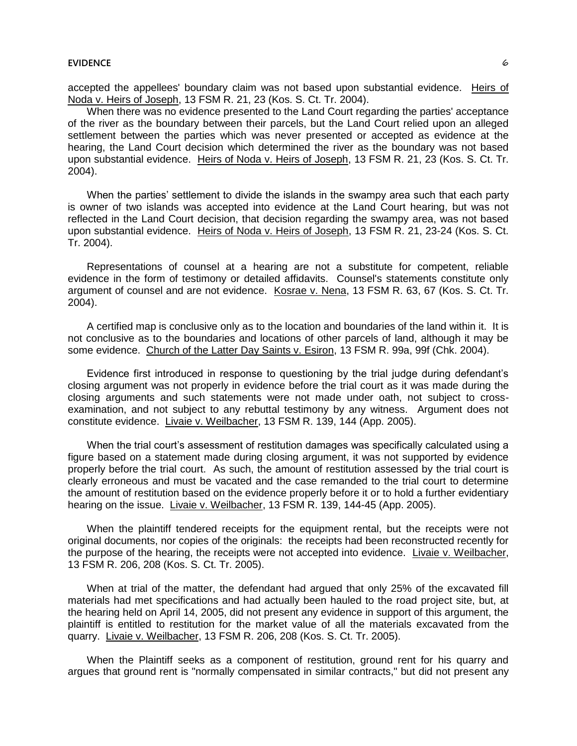accepted the appellees' boundary claim was not based upon substantial evidence. Heirs of Noda v. Heirs of Joseph, 13 FSM R. 21, 23 (Kos. S. Ct. Tr. 2004).

When there was no evidence presented to the Land Court regarding the parties' acceptance of the river as the boundary between their parcels, but the Land Court relied upon an alleged settlement between the parties which was never presented or accepted as evidence at the hearing, the Land Court decision which determined the river as the boundary was not based upon substantial evidence. Heirs of Noda v. Heirs of Joseph, 13 FSM R. 21, 23 (Kos. S. Ct. Tr. 2004).

When the parties' settlement to divide the islands in the swampy area such that each party is owner of two islands was accepted into evidence at the Land Court hearing, but was not reflected in the Land Court decision, that decision regarding the swampy area, was not based upon substantial evidence. Heirs of Noda v. Heirs of Joseph, 13 FSM R. 21, 23-24 (Kos. S. Ct. Tr. 2004).

Representations of counsel at a hearing are not a substitute for competent, reliable evidence in the form of testimony or detailed affidavits. Counsel's statements constitute only argument of counsel and are not evidence. Kosrae v. Nena, 13 FSM R. 63, 67 (Kos. S. Ct. Tr. 2004).

A certified map is conclusive only as to the location and boundaries of the land within it. It is not conclusive as to the boundaries and locations of other parcels of land, although it may be some evidence. Church of the Latter Day Saints v. Esiron, 13 FSM R. 99a, 99f (Chk. 2004).

Evidence first introduced in response to questioning by the trial judge during defendant's closing argument was not properly in evidence before the trial court as it was made during the closing arguments and such statements were not made under oath, not subject to crossexamination, and not subject to any rebuttal testimony by any witness. Argument does not constitute evidence. Livaie v. Weilbacher, 13 FSM R. 139, 144 (App. 2005).

When the trial court's assessment of restitution damages was specifically calculated using a figure based on a statement made during closing argument, it was not supported by evidence properly before the trial court. As such, the amount of restitution assessed by the trial court is clearly erroneous and must be vacated and the case remanded to the trial court to determine the amount of restitution based on the evidence properly before it or to hold a further evidentiary hearing on the issue. Livaie v. Weilbacher, 13 FSM R. 139, 144-45 (App. 2005).

When the plaintiff tendered receipts for the equipment rental, but the receipts were not original documents, nor copies of the originals: the receipts had been reconstructed recently for the purpose of the hearing, the receipts were not accepted into evidence. Livaie v. Weilbacher, 13 FSM R. 206, 208 (Kos. S. Ct. Tr. 2005).

When at trial of the matter, the defendant had argued that only 25% of the excavated fill materials had met specifications and had actually been hauled to the road project site, but, at the hearing held on April 14, 2005, did not present any evidence in support of this argument, the plaintiff is entitled to restitution for the market value of all the materials excavated from the quarry. Livaie v. Weilbacher, 13 FSM R. 206, 208 (Kos. S. Ct. Tr. 2005).

When the Plaintiff seeks as a component of restitution, ground rent for his quarry and argues that ground rent is "normally compensated in similar contracts," but did not present any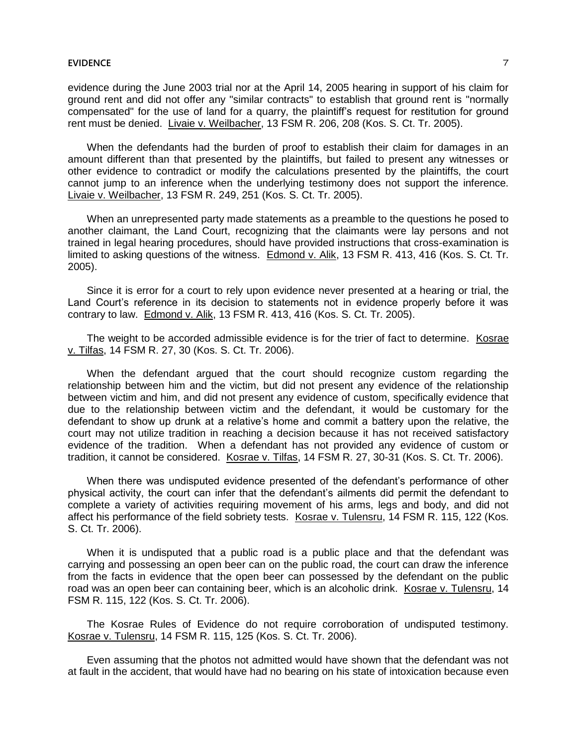evidence during the June 2003 trial nor at the April 14, 2005 hearing in support of his claim for ground rent and did not offer any "similar contracts" to establish that ground rent is "normally compensated" for the use of land for a quarry, the plaintiff's request for restitution for ground rent must be denied. Livaie v. Weilbacher, 13 FSM R. 206, 208 (Kos. S. Ct. Tr. 2005).

When the defendants had the burden of proof to establish their claim for damages in an amount different than that presented by the plaintiffs, but failed to present any witnesses or other evidence to contradict or modify the calculations presented by the plaintiffs, the court cannot jump to an inference when the underlying testimony does not support the inference. Livaie v. Weilbacher, 13 FSM R. 249, 251 (Kos. S. Ct. Tr. 2005).

When an unrepresented party made statements as a preamble to the questions he posed to another claimant, the Land Court, recognizing that the claimants were lay persons and not trained in legal hearing procedures, should have provided instructions that cross-examination is limited to asking questions of the witness. Edmond v. Alik, 13 FSM R. 413, 416 (Kos. S. Ct. Tr. 2005).

Since it is error for a court to rely upon evidence never presented at a hearing or trial, the Land Court's reference in its decision to statements not in evidence properly before it was contrary to law. Edmond v. Alik, 13 FSM R. 413, 416 (Kos. S. Ct. Tr. 2005).

The weight to be accorded admissible evidence is for the trier of fact to determine. Kosrae v. Tilfas, 14 FSM R. 27, 30 (Kos. S. Ct. Tr. 2006).

When the defendant argued that the court should recognize custom regarding the relationship between him and the victim, but did not present any evidence of the relationship between victim and him, and did not present any evidence of custom, specifically evidence that due to the relationship between victim and the defendant, it would be customary for the defendant to show up drunk at a relative's home and commit a battery upon the relative, the court may not utilize tradition in reaching a decision because it has not received satisfactory evidence of the tradition. When a defendant has not provided any evidence of custom or tradition, it cannot be considered. Kosrae v. Tilfas, 14 FSM R. 27, 30-31 (Kos. S. Ct. Tr. 2006).

When there was undisputed evidence presented of the defendant's performance of other physical activity, the court can infer that the defendant's ailments did permit the defendant to complete a variety of activities requiring movement of his arms, legs and body, and did not affect his performance of the field sobriety tests. Kosrae v. Tulensru, 14 FSM R. 115, 122 (Kos. S. Ct. Tr. 2006).

When it is undisputed that a public road is a public place and that the defendant was carrying and possessing an open beer can on the public road, the court can draw the inference from the facts in evidence that the open beer can possessed by the defendant on the public road was an open beer can containing beer, which is an alcoholic drink. Kosrae v. Tulensru, 14 FSM R. 115, 122 (Kos. S. Ct. Tr. 2006).

The Kosrae Rules of Evidence do not require corroboration of undisputed testimony. Kosrae v. Tulensru, 14 FSM R. 115, 125 (Kos. S. Ct. Tr. 2006).

Even assuming that the photos not admitted would have shown that the defendant was not at fault in the accident, that would have had no bearing on his state of intoxication because even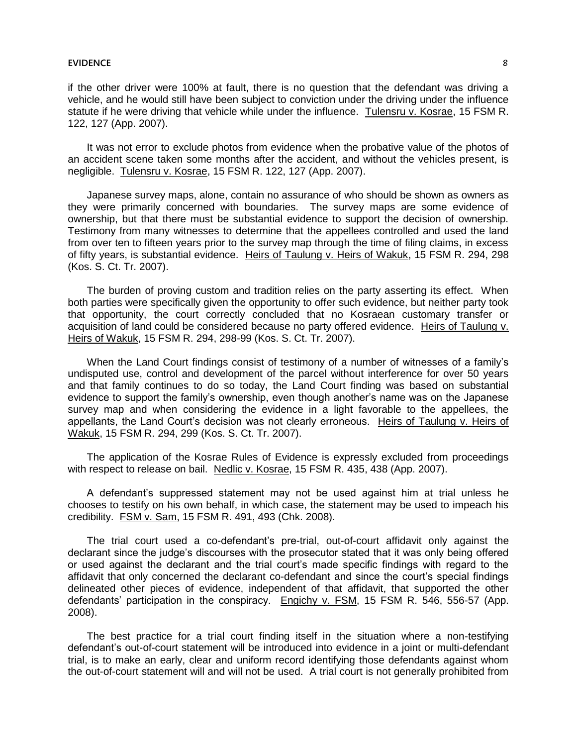#### **EVIDENCE** 8

if the other driver were 100% at fault, there is no question that the defendant was driving a vehicle, and he would still have been subject to conviction under the driving under the influence statute if he were driving that vehicle while under the influence. Tulensru v. Kosrae, 15 FSM R. 122, 127 (App. 2007).

It was not error to exclude photos from evidence when the probative value of the photos of an accident scene taken some months after the accident, and without the vehicles present, is negligible. Tulensru v. Kosrae, 15 FSM R. 122, 127 (App. 2007).

Japanese survey maps, alone, contain no assurance of who should be shown as owners as they were primarily concerned with boundaries. The survey maps are some evidence of ownership, but that there must be substantial evidence to support the decision of ownership. Testimony from many witnesses to determine that the appellees controlled and used the land from over ten to fifteen years prior to the survey map through the time of filing claims, in excess of fifty years, is substantial evidence. Heirs of Taulung v. Heirs of Wakuk, 15 FSM R. 294, 298 (Kos. S. Ct. Tr. 2007).

The burden of proving custom and tradition relies on the party asserting its effect. When both parties were specifically given the opportunity to offer such evidence, but neither party took that opportunity, the court correctly concluded that no Kosraean customary transfer or acquisition of land could be considered because no party offered evidence. Heirs of Taulung v. Heirs of Wakuk, 15 FSM R. 294, 298-99 (Kos. S. Ct. Tr. 2007).

When the Land Court findings consist of testimony of a number of witnesses of a family's undisputed use, control and development of the parcel without interference for over 50 years and that family continues to do so today, the Land Court finding was based on substantial evidence to support the family's ownership, even though another's name was on the Japanese survey map and when considering the evidence in a light favorable to the appellees, the appellants, the Land Court's decision was not clearly erroneous. Heirs of Taulung v. Heirs of Wakuk, 15 FSM R. 294, 299 (Kos. S. Ct. Tr. 2007).

The application of the Kosrae Rules of Evidence is expressly excluded from proceedings with respect to release on bail. Nedlic v. Kosrae, 15 FSM R. 435, 438 (App. 2007).

A defendant's suppressed statement may not be used against him at trial unless he chooses to testify on his own behalf, in which case, the statement may be used to impeach his credibility. FSM v. Sam, 15 FSM R. 491, 493 (Chk. 2008).

The trial court used a co-defendant's pre-trial, out-of-court affidavit only against the declarant since the judge's discourses with the prosecutor stated that it was only being offered or used against the declarant and the trial court's made specific findings with regard to the affidavit that only concerned the declarant co-defendant and since the court's special findings delineated other pieces of evidence, independent of that affidavit, that supported the other defendants' participation in the conspiracy. Engichy v. FSM, 15 FSM R. 546, 556-57 (App. 2008).

The best practice for a trial court finding itself in the situation where a non-testifying defendant's out-of-court statement will be introduced into evidence in a joint or multi-defendant trial, is to make an early, clear and uniform record identifying those defendants against whom the out-of-court statement will and will not be used. A trial court is not generally prohibited from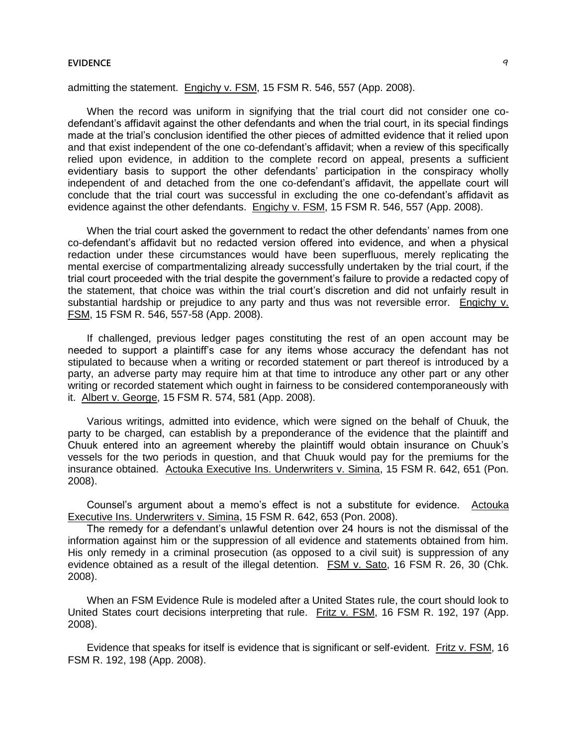# admitting the statement. Engichy v. FSM, 15 FSM R. 546, 557 (App. 2008).

When the record was uniform in signifying that the trial court did not consider one codefendant's affidavit against the other defendants and when the trial court, in its special findings made at the trial's conclusion identified the other pieces of admitted evidence that it relied upon and that exist independent of the one co-defendant's affidavit; when a review of this specifically relied upon evidence, in addition to the complete record on appeal, presents a sufficient evidentiary basis to support the other defendants' participation in the conspiracy wholly independent of and detached from the one co-defendant's affidavit, the appellate court will conclude that the trial court was successful in excluding the one co-defendant's affidavit as evidence against the other defendants. Engichy v. FSM, 15 FSM R. 546, 557 (App. 2008).

When the trial court asked the government to redact the other defendants' names from one co-defendant's affidavit but no redacted version offered into evidence, and when a physical redaction under these circumstances would have been superfluous, merely replicating the mental exercise of compartmentalizing already successfully undertaken by the trial court, if the trial court proceeded with the trial despite the government's failure to provide a redacted copy of the statement, that choice was within the trial court's discretion and did not unfairly result in substantial hardship or prejudice to any party and thus was not reversible error. Engichy v. FSM, 15 FSM R. 546, 557-58 (App. 2008).

If challenged, previous ledger pages constituting the rest of an open account may be needed to support a plaintiff's case for any items whose accuracy the defendant has not stipulated to because when a writing or recorded statement or part thereof is introduced by a party, an adverse party may require him at that time to introduce any other part or any other writing or recorded statement which ought in fairness to be considered contemporaneously with it. Albert v. George, 15 FSM R. 574, 581 (App. 2008).

Various writings, admitted into evidence, which were signed on the behalf of Chuuk, the party to be charged, can establish by a preponderance of the evidence that the plaintiff and Chuuk entered into an agreement whereby the plaintiff would obtain insurance on Chuuk's vessels for the two periods in question, and that Chuuk would pay for the premiums for the insurance obtained. Actouka Executive Ins. Underwriters v. Simina, 15 FSM R. 642, 651 (Pon. 2008).

Counsel's argument about a memo's effect is not a substitute for evidence. Actouka Executive Ins. Underwriters v. Simina, 15 FSM R. 642, 653 (Pon. 2008).

The remedy for a defendant's unlawful detention over 24 hours is not the dismissal of the information against him or the suppression of all evidence and statements obtained from him. His only remedy in a criminal prosecution (as opposed to a civil suit) is suppression of any evidence obtained as a result of the illegal detention. FSM v. Sato, 16 FSM R. 26, 30 (Chk. 2008).

When an FSM Evidence Rule is modeled after a United States rule, the court should look to United States court decisions interpreting that rule. Fritz v. FSM, 16 FSM R. 192, 197 (App. 2008).

Evidence that speaks for itself is evidence that is significant or self-evident. Fritz v. FSM, 16 FSM R. 192, 198 (App. 2008).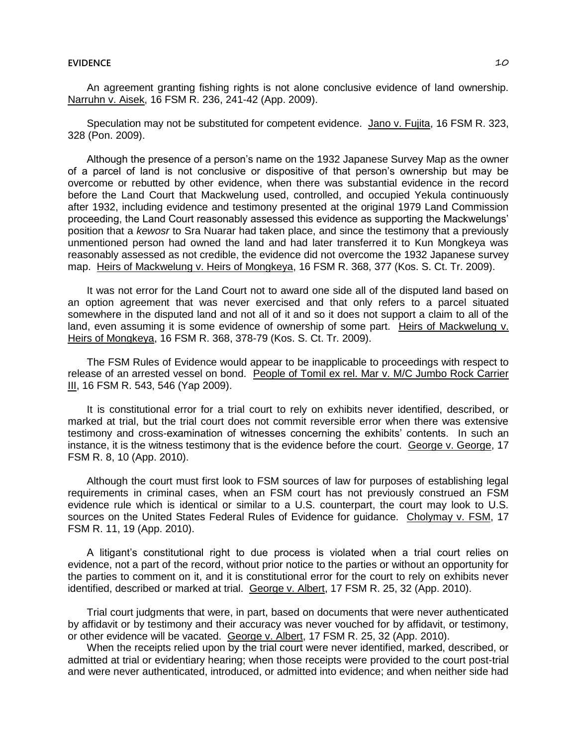#### **EVIDENCE** 20 and 20 and 20 and 20 and 20 and 20 and 20 and 20 and 20 and 20 and 20 and 20 and 20 and 20 and 20

An agreement granting fishing rights is not alone conclusive evidence of land ownership. Narruhn v. Aisek, 16 FSM R. 236, 241-42 (App. 2009).

Speculation may not be substituted for competent evidence. Jano v. Fujita, 16 FSM R. 323, 328 (Pon. 2009).

Although the presence of a person's name on the 1932 Japanese Survey Map as the owner of a parcel of land is not conclusive or dispositive of that person's ownership but may be overcome or rebutted by other evidence, when there was substantial evidence in the record before the Land Court that Mackwelung used, controlled, and occupied Yekula continuously after 1932, including evidence and testimony presented at the original 1979 Land Commission proceeding, the Land Court reasonably assessed this evidence as supporting the Mackwelungs' position that a *kewosr* to Sra Nuarar had taken place, and since the testimony that a previously unmentioned person had owned the land and had later transferred it to Kun Mongkeya was reasonably assessed as not credible, the evidence did not overcome the 1932 Japanese survey map. Heirs of Mackwelung v. Heirs of Mongkeya, 16 FSM R. 368, 377 (Kos. S. Ct. Tr. 2009).

It was not error for the Land Court not to award one side all of the disputed land based on an option agreement that was never exercised and that only refers to a parcel situated somewhere in the disputed land and not all of it and so it does not support a claim to all of the land, even assuming it is some evidence of ownership of some part. Heirs of Mackwelung v. Heirs of Mongkeya, 16 FSM R. 368, 378-79 (Kos. S. Ct. Tr. 2009).

The FSM Rules of Evidence would appear to be inapplicable to proceedings with respect to release of an arrested vessel on bond. People of Tomil ex rel. Mar v. M/C Jumbo Rock Carrier III, 16 FSM R. 543, 546 (Yap 2009).

It is constitutional error for a trial court to rely on exhibits never identified, described, or marked at trial, but the trial court does not commit reversible error when there was extensive testimony and cross-examination of witnesses concerning the exhibits' contents. In such an instance, it is the witness testimony that is the evidence before the court. George v. George, 17 FSM R. 8, 10 (App. 2010).

Although the court must first look to FSM sources of law for purposes of establishing legal requirements in criminal cases, when an FSM court has not previously construed an FSM evidence rule which is identical or similar to a U.S. counterpart, the court may look to U.S. sources on the United States Federal Rules of Evidence for guidance. Cholymay v. FSM, 17 FSM R. 11, 19 (App. 2010).

A litigant's constitutional right to due process is violated when a trial court relies on evidence, not a part of the record, without prior notice to the parties or without an opportunity for the parties to comment on it, and it is constitutional error for the court to rely on exhibits never identified, described or marked at trial. George v. Albert, 17 FSM R. 25, 32 (App. 2010).

Trial court judgments that were, in part, based on documents that were never authenticated by affidavit or by testimony and their accuracy was never vouched for by affidavit, or testimony, or other evidence will be vacated. George v. Albert, 17 FSM R. 25, 32 (App. 2010).

When the receipts relied upon by the trial court were never identified, marked, described, or admitted at trial or evidentiary hearing; when those receipts were provided to the court post-trial and were never authenticated, introduced, or admitted into evidence; and when neither side had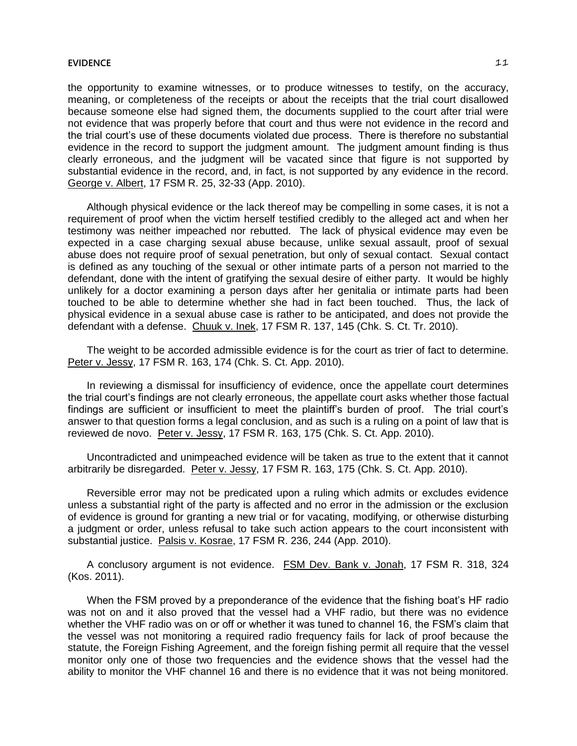#### **EVIDENCE** 2.1

the opportunity to examine witnesses, or to produce witnesses to testify, on the accuracy, meaning, or completeness of the receipts or about the receipts that the trial court disallowed because someone else had signed them, the documents supplied to the court after trial were not evidence that was properly before that court and thus were not evidence in the record and the trial court's use of these documents violated due process. There is therefore no substantial evidence in the record to support the judgment amount. The judgment amount finding is thus clearly erroneous, and the judgment will be vacated since that figure is not supported by substantial evidence in the record, and, in fact, is not supported by any evidence in the record. George v. Albert, 17 FSM R. 25, 32-33 (App. 2010).

Although physical evidence or the lack thereof may be compelling in some cases, it is not a requirement of proof when the victim herself testified credibly to the alleged act and when her testimony was neither impeached nor rebutted. The lack of physical evidence may even be expected in a case charging sexual abuse because, unlike sexual assault, proof of sexual abuse does not require proof of sexual penetration, but only of sexual contact. Sexual contact is defined as any touching of the sexual or other intimate parts of a person not married to the defendant, done with the intent of gratifying the sexual desire of either party. It would be highly unlikely for a doctor examining a person days after her genitalia or intimate parts had been touched to be able to determine whether she had in fact been touched. Thus, the lack of physical evidence in a sexual abuse case is rather to be anticipated, and does not provide the defendant with a defense. Chuuk v. Inek, 17 FSM R. 137, 145 (Chk. S. Ct. Tr. 2010).

The weight to be accorded admissible evidence is for the court as trier of fact to determine. Peter v. Jessy, 17 FSM R. 163, 174 (Chk. S. Ct. App. 2010).

In reviewing a dismissal for insufficiency of evidence, once the appellate court determines the trial court's findings are not clearly erroneous, the appellate court asks whether those factual findings are sufficient or insufficient to meet the plaintiff's burden of proof. The trial court's answer to that question forms a legal conclusion, and as such is a ruling on a point of law that is reviewed de novo. Peter v. Jessy, 17 FSM R. 163, 175 (Chk. S. Ct. App. 2010).

Uncontradicted and unimpeached evidence will be taken as true to the extent that it cannot arbitrarily be disregarded. Peter v. Jessy, 17 FSM R. 163, 175 (Chk. S. Ct. App. 2010).

Reversible error may not be predicated upon a ruling which admits or excludes evidence unless a substantial right of the party is affected and no error in the admission or the exclusion of evidence is ground for granting a new trial or for vacating, modifying, or otherwise disturbing a judgment or order, unless refusal to take such action appears to the court inconsistent with substantial justice. Palsis v. Kosrae, 17 FSM R. 236, 244 (App. 2010).

A conclusory argument is not evidence. FSM Dev. Bank v. Jonah, 17 FSM R. 318, 324 (Kos. 2011).

When the FSM proved by a preponderance of the evidence that the fishing boat's HF radio was not on and it also proved that the vessel had a VHF radio, but there was no evidence whether the VHF radio was on or off or whether it was tuned to channel 16, the FSM's claim that the vessel was not monitoring a required radio frequency fails for lack of proof because the statute, the Foreign Fishing Agreement, and the foreign fishing permit all require that the vessel monitor only one of those two frequencies and the evidence shows that the vessel had the ability to monitor the VHF channel 16 and there is no evidence that it was not being monitored.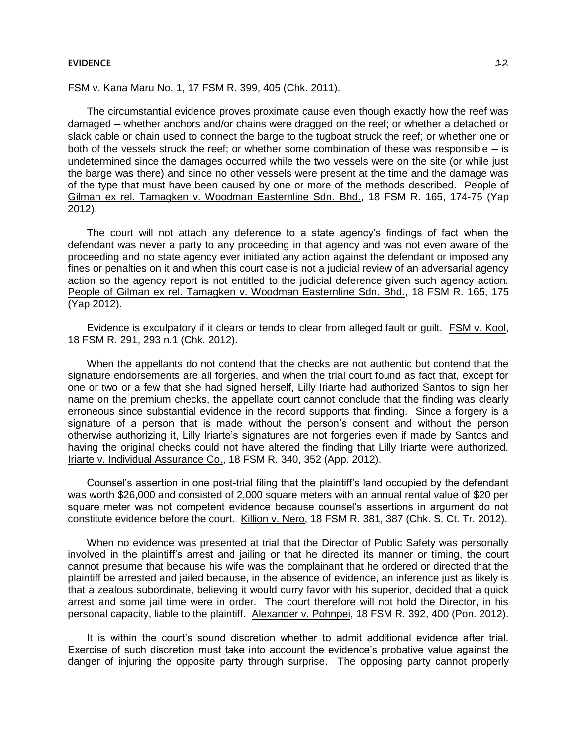#### **EVIDENCE** 12

FSM v. Kana Maru No. 1, 17 FSM R. 399, 405 (Chk. 2011).

The circumstantial evidence proves proximate cause even though exactly how the reef was damaged – whether anchors and/or chains were dragged on the reef; or whether a detached or slack cable or chain used to connect the barge to the tugboat struck the reef; or whether one or both of the vessels struck the reef; or whether some combination of these was responsible  $-$  is undetermined since the damages occurred while the two vessels were on the site (or while just the barge was there) and since no other vessels were present at the time and the damage was of the type that must have been caused by one or more of the methods described. People of Gilman ex rel. Tamagken v. Woodman Easternline Sdn. Bhd., 18 FSM R. 165, 174-75 (Yap 2012).

The court will not attach any deference to a state agency's findings of fact when the defendant was never a party to any proceeding in that agency and was not even aware of the proceeding and no state agency ever initiated any action against the defendant or imposed any fines or penalties on it and when this court case is not a judicial review of an adversarial agency action so the agency report is not entitled to the judicial deference given such agency action. People of Gilman ex rel. Tamagken v. Woodman Easternline Sdn. Bhd., 18 FSM R. 165, 175 (Yap 2012).

Evidence is exculpatory if it clears or tends to clear from alleged fault or guilt. FSM v. Kool, 18 FSM R. 291, 293 n.1 (Chk. 2012).

When the appellants do not contend that the checks are not authentic but contend that the signature endorsements are all forgeries, and when the trial court found as fact that, except for one or two or a few that she had signed herself, Lilly Iriarte had authorized Santos to sign her name on the premium checks, the appellate court cannot conclude that the finding was clearly erroneous since substantial evidence in the record supports that finding. Since a forgery is a signature of a person that is made without the person's consent and without the person otherwise authorizing it, Lilly Iriarte's signatures are not forgeries even if made by Santos and having the original checks could not have altered the finding that Lilly Iriarte were authorized. Iriarte v. Individual Assurance Co., 18 FSM R. 340, 352 (App. 2012).

Counsel's assertion in one post-trial filing that the plaintiff's land occupied by the defendant was worth \$26,000 and consisted of 2,000 square meters with an annual rental value of \$20 per square meter was not competent evidence because counsel's assertions in argument do not constitute evidence before the court. Killion v. Nero, 18 FSM R. 381, 387 (Chk. S. Ct. Tr. 2012).

When no evidence was presented at trial that the Director of Public Safety was personally involved in the plaintiff's arrest and jailing or that he directed its manner or timing, the court cannot presume that because his wife was the complainant that he ordered or directed that the plaintiff be arrested and jailed because, in the absence of evidence, an inference just as likely is that a zealous subordinate, believing it would curry favor with his superior, decided that a quick arrest and some jail time were in order. The court therefore will not hold the Director, in his personal capacity, liable to the plaintiff. Alexander v. Pohnpei, 18 FSM R. 392, 400 (Pon. 2012).

It is within the court's sound discretion whether to admit additional evidence after trial. Exercise of such discretion must take into account the evidence's probative value against the danger of injuring the opposite party through surprise. The opposing party cannot properly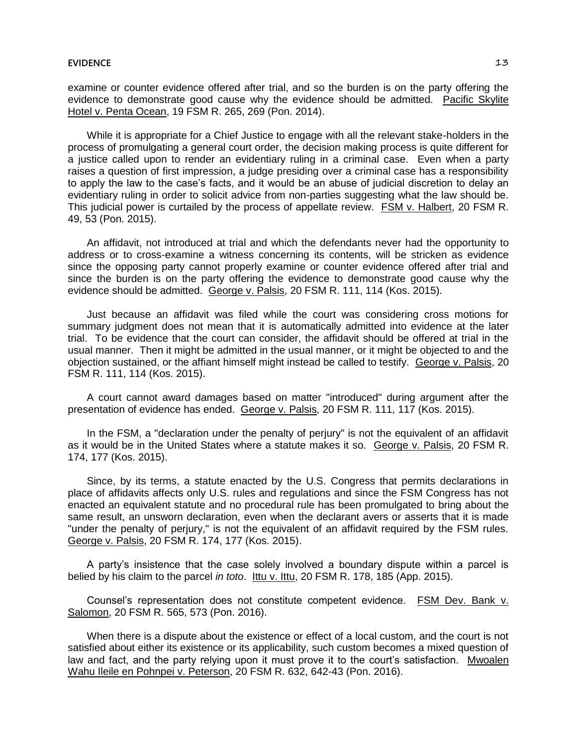#### **EVIDENCE** 23

examine or counter evidence offered after trial, and so the burden is on the party offering the evidence to demonstrate good cause why the evidence should be admitted. Pacific Skylite Hotel v. Penta Ocean, 19 FSM R. 265, 269 (Pon. 2014).

While it is appropriate for a Chief Justice to engage with all the relevant stake-holders in the process of promulgating a general court order, the decision making process is quite different for a justice called upon to render an evidentiary ruling in a criminal case. Even when a party raises a question of first impression, a judge presiding over a criminal case has a responsibility to apply the law to the case's facts, and it would be an abuse of judicial discretion to delay an evidentiary ruling in order to solicit advice from non-parties suggesting what the law should be. This judicial power is curtailed by the process of appellate review. FSM v. Halbert, 20 FSM R. 49, 53 (Pon. 2015).

An affidavit, not introduced at trial and which the defendants never had the opportunity to address or to cross-examine a witness concerning its contents, will be stricken as evidence since the opposing party cannot properly examine or counter evidence offered after trial and since the burden is on the party offering the evidence to demonstrate good cause why the evidence should be admitted. George v. Palsis, 20 FSM R. 111, 114 (Kos. 2015).

Just because an affidavit was filed while the court was considering cross motions for summary judgment does not mean that it is automatically admitted into evidence at the later trial. To be evidence that the court can consider, the affidavit should be offered at trial in the usual manner. Then it might be admitted in the usual manner, or it might be objected to and the objection sustained, or the affiant himself might instead be called to testify. George v. Palsis, 20 FSM R. 111, 114 (Kos. 2015).

A court cannot award damages based on matter "introduced" during argument after the presentation of evidence has ended. George v. Palsis, 20 FSM R. 111, 117 (Kos. 2015).

In the FSM, a "declaration under the penalty of perjury" is not the equivalent of an affidavit as it would be in the United States where a statute makes it so. George v. Palsis, 20 FSM R. 174, 177 (Kos. 2015).

Since, by its terms, a statute enacted by the U.S. Congress that permits declarations in place of affidavits affects only U.S. rules and regulations and since the FSM Congress has not enacted an equivalent statute and no procedural rule has been promulgated to bring about the same result, an unsworn declaration, even when the declarant avers or asserts that it is made "under the penalty of perjury," is not the equivalent of an affidavit required by the FSM rules. George v. Palsis, 20 FSM R. 174, 177 (Kos. 2015).

A party's insistence that the case solely involved a boundary dispute within a parcel is belied by his claim to the parcel *in toto*. Ittu v. Ittu, 20 FSM R. 178, 185 (App. 2015).

Counsel's representation does not constitute competent evidence. FSM Dev. Bank v. Salomon, 20 FSM R. 565, 573 (Pon. 2016).

When there is a dispute about the existence or effect of a local custom, and the court is not satisfied about either its existence or its applicability, such custom becomes a mixed question of law and fact, and the party relying upon it must prove it to the court's satisfaction. Mwoalen Wahu Ileile en Pohnpei v. Peterson, 20 FSM R. 632, 642-43 (Pon. 2016).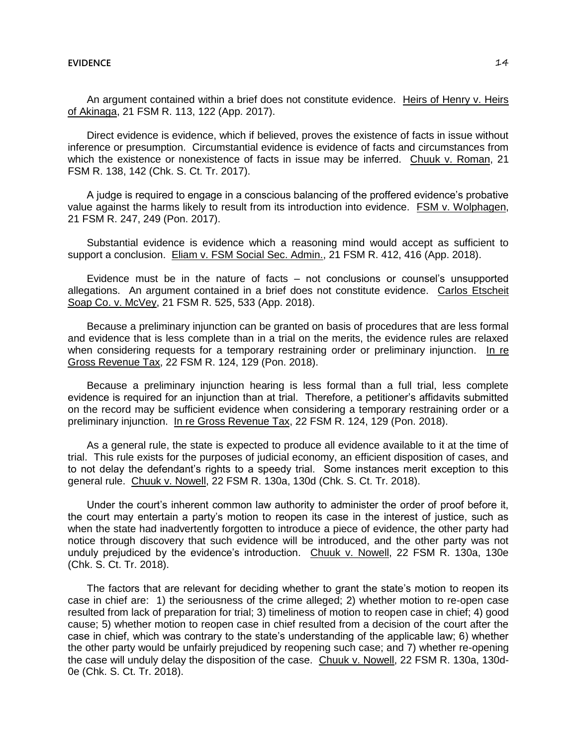An argument contained within a brief does not constitute evidence. Heirs of Henry v. Heirs of Akinaga, 21 FSM R. 113, 122 (App. 2017).

Direct evidence is evidence, which if believed, proves the existence of facts in issue without inference or presumption. Circumstantial evidence is evidence of facts and circumstances from which the existence or nonexistence of facts in issue may be inferred. Chuuk v. Roman, 21 FSM R. 138, 142 (Chk. S. Ct. Tr. 2017).

A judge is required to engage in a conscious balancing of the proffered evidence's probative value against the harms likely to result from its introduction into evidence. FSM v. Wolphagen, 21 FSM R. 247, 249 (Pon. 2017).

Substantial evidence is evidence which a reasoning mind would accept as sufficient to support a conclusion. Eliam v. FSM Social Sec. Admin., 21 FSM R. 412, 416 (App. 2018).

Evidence must be in the nature of facts – not conclusions or counsel's unsupported allegations. An argument contained in a brief does not constitute evidence. Carlos Etscheit Soap Co. v. McVey, 21 FSM R. 525, 533 (App. 2018).

Because a preliminary injunction can be granted on basis of procedures that are less formal and evidence that is less complete than in a trial on the merits, the evidence rules are relaxed when considering requests for a temporary restraining order or preliminary injunction. In re Gross Revenue Tax, 22 FSM R. 124, 129 (Pon. 2018).

Because a preliminary injunction hearing is less formal than a full trial, less complete evidence is required for an injunction than at trial. Therefore, a petitioner's affidavits submitted on the record may be sufficient evidence when considering a temporary restraining order or a preliminary injunction. In re Gross Revenue Tax, 22 FSM R. 124, 129 (Pon. 2018).

As a general rule, the state is expected to produce all evidence available to it at the time of trial. This rule exists for the purposes of judicial economy, an efficient disposition of cases, and to not delay the defendant's rights to a speedy trial. Some instances merit exception to this general rule. Chuuk v. Nowell, 22 FSM R. 130a, 130d (Chk. S. Ct. Tr. 2018).

Under the court's inherent common law authority to administer the order of proof before it, the court may entertain a party's motion to reopen its case in the interest of justice, such as when the state had inadvertently forgotten to introduce a piece of evidence, the other party had notice through discovery that such evidence will be introduced, and the other party was not unduly prejudiced by the evidence's introduction. Chuuk v. Nowell, 22 FSM R. 130a, 130e (Chk. S. Ct. Tr. 2018).

The factors that are relevant for deciding whether to grant the state's motion to reopen its case in chief are: 1) the seriousness of the crime alleged; 2) whether motion to re-open case resulted from lack of preparation for trial; 3) timeliness of motion to reopen case in chief; 4) good cause; 5) whether motion to reopen case in chief resulted from a decision of the court after the case in chief, which was contrary to the state's understanding of the applicable law; 6) whether the other party would be unfairly prejudiced by reopening such case; and 7) whether re-opening the case will unduly delay the disposition of the case. Chuuk v. Nowell, 22 FSM R. 130a, 130d-0e (Chk. S. Ct. Tr. 2018).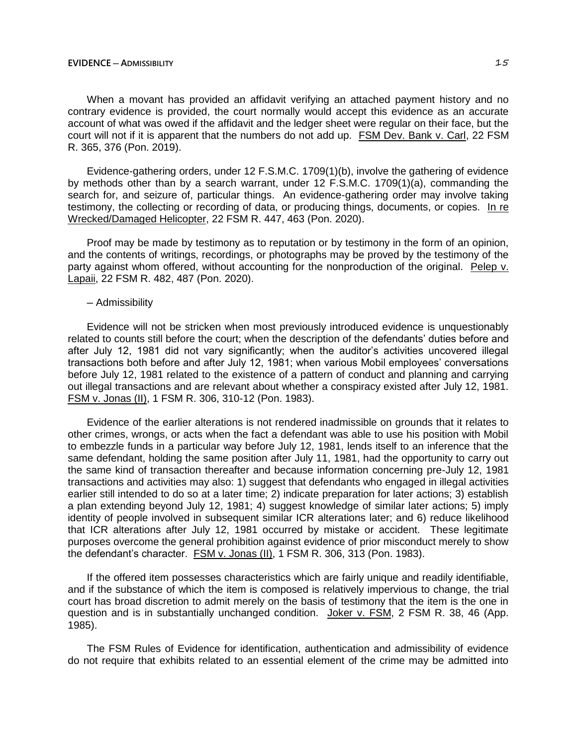### **EVIDENCE ─ ADMISSIBILITY** 15

When a movant has provided an affidavit verifying an attached payment history and no contrary evidence is provided, the court normally would accept this evidence as an accurate account of what was owed if the affidavit and the ledger sheet were regular on their face, but the court will not if it is apparent that the numbers do not add up. FSM Dev. Bank v. Carl, 22 FSM R. 365, 376 (Pon. 2019).

Evidence-gathering orders, under 12 F.S.M.C. 1709(1)(b), involve the gathering of evidence by methods other than by a search warrant, under 12 F.S.M.C. 1709(1)(a), commanding the search for, and seizure of, particular things. An evidence-gathering order may involve taking testimony, the collecting or recording of data, or producing things, documents, or copies. In re Wrecked/Damaged Helicopter, 22 FSM R. 447, 463 (Pon. 2020).

Proof may be made by testimony as to reputation or by testimony in the form of an opinion, and the contents of writings, recordings, or photographs may be proved by the testimony of the party against whom offered, without accounting for the nonproduction of the original. Pelep v. Lapaii, 22 FSM R. 482, 487 (Pon. 2020).

### ─ Admissibility

Evidence will not be stricken when most previously introduced evidence is unquestionably related to counts still before the court; when the description of the defendants' duties before and after July 12, 1981 did not vary significantly; when the auditor's activities uncovered illegal transactions both before and after July 12, 1981; when various Mobil employees' conversations before July 12, 1981 related to the existence of a pattern of conduct and planning and carrying out illegal transactions and are relevant about whether a conspiracy existed after July 12, 1981. FSM v. Jonas (II), 1 FSM R. 306, 310-12 (Pon. 1983).

Evidence of the earlier alterations is not rendered inadmissible on grounds that it relates to other crimes, wrongs, or acts when the fact a defendant was able to use his position with Mobil to embezzle funds in a particular way before July 12, 1981, lends itself to an inference that the same defendant, holding the same position after July 11, 1981, had the opportunity to carry out the same kind of transaction thereafter and because information concerning pre-July 12, 1981 transactions and activities may also: 1) suggest that defendants who engaged in illegal activities earlier still intended to do so at a later time; 2) indicate preparation for later actions; 3) establish a plan extending beyond July 12, 1981; 4) suggest knowledge of similar later actions; 5) imply identity of people involved in subsequent similar ICR alterations later; and 6) reduce likelihood that ICR alterations after July 12, 1981 occurred by mistake or accident. These legitimate purposes overcome the general prohibition against evidence of prior misconduct merely to show the defendant's character. FSM v. Jonas (II), 1 FSM R. 306, 313 (Pon. 1983).

If the offered item possesses characteristics which are fairly unique and readily identifiable, and if the substance of which the item is composed is relatively impervious to change, the trial court has broad discretion to admit merely on the basis of testimony that the item is the one in question and is in substantially unchanged condition. Joker v. FSM, 2 FSM R. 38, 46 (App. 1985).

The FSM Rules of Evidence for identification, authentication and admissibility of evidence do not require that exhibits related to an essential element of the crime may be admitted into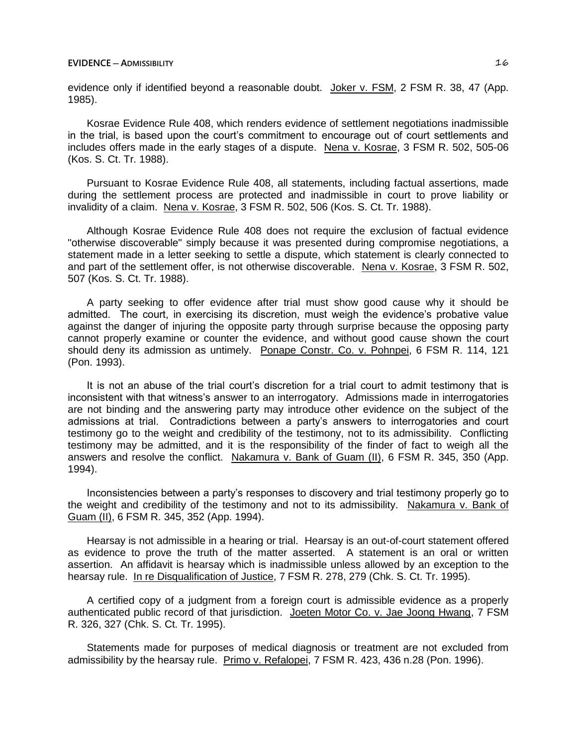evidence only if identified beyond a reasonable doubt. Joker v. FSM, 2 FSM R. 38, 47 (App. 1985).

Kosrae Evidence Rule 408, which renders evidence of settlement negotiations inadmissible in the trial, is based upon the court's commitment to encourage out of court settlements and includes offers made in the early stages of a dispute. Nena v. Kosrae, 3 FSM R. 502, 505-06 (Kos. S. Ct. Tr. 1988).

Pursuant to Kosrae Evidence Rule 408, all statements, including factual assertions, made during the settlement process are protected and inadmissible in court to prove liability or invalidity of a claim. Nena v. Kosrae, 3 FSM R. 502, 506 (Kos. S. Ct. Tr. 1988).

Although Kosrae Evidence Rule 408 does not require the exclusion of factual evidence "otherwise discoverable" simply because it was presented during compromise negotiations, a statement made in a letter seeking to settle a dispute, which statement is clearly connected to and part of the settlement offer, is not otherwise discoverable. Nena v. Kosrae, 3 FSM R. 502, 507 (Kos. S. Ct. Tr. 1988).

A party seeking to offer evidence after trial must show good cause why it should be admitted. The court, in exercising its discretion, must weigh the evidence's probative value against the danger of injuring the opposite party through surprise because the opposing party cannot properly examine or counter the evidence, and without good cause shown the court should deny its admission as untimely. Ponape Constr. Co. v. Pohnpei, 6 FSM R. 114, 121 (Pon. 1993).

It is not an abuse of the trial court's discretion for a trial court to admit testimony that is inconsistent with that witness's answer to an interrogatory. Admissions made in interrogatories are not binding and the answering party may introduce other evidence on the subject of the admissions at trial. Contradictions between a party's answers to interrogatories and court testimony go to the weight and credibility of the testimony, not to its admissibility. Conflicting testimony may be admitted, and it is the responsibility of the finder of fact to weigh all the answers and resolve the conflict. Nakamura v. Bank of Guam (II), 6 FSM R. 345, 350 (App. 1994).

Inconsistencies between a party's responses to discovery and trial testimony properly go to the weight and credibility of the testimony and not to its admissibility. Nakamura v. Bank of Guam (II), 6 FSM R. 345, 352 (App. 1994).

Hearsay is not admissible in a hearing or trial. Hearsay is an out-of-court statement offered as evidence to prove the truth of the matter asserted. A statement is an oral or written assertion. An affidavit is hearsay which is inadmissible unless allowed by an exception to the hearsay rule. In re Disqualification of Justice, 7 FSM R. 278, 279 (Chk. S. Ct. Tr. 1995).

A certified copy of a judgment from a foreign court is admissible evidence as a properly authenticated public record of that jurisdiction. Joeten Motor Co. v. Jae Joong Hwang, 7 FSM R. 326, 327 (Chk. S. Ct. Tr. 1995).

Statements made for purposes of medical diagnosis or treatment are not excluded from admissibility by the hearsay rule. Primo v. Refalopei, 7 FSM R. 423, 436 n.28 (Pon. 1996).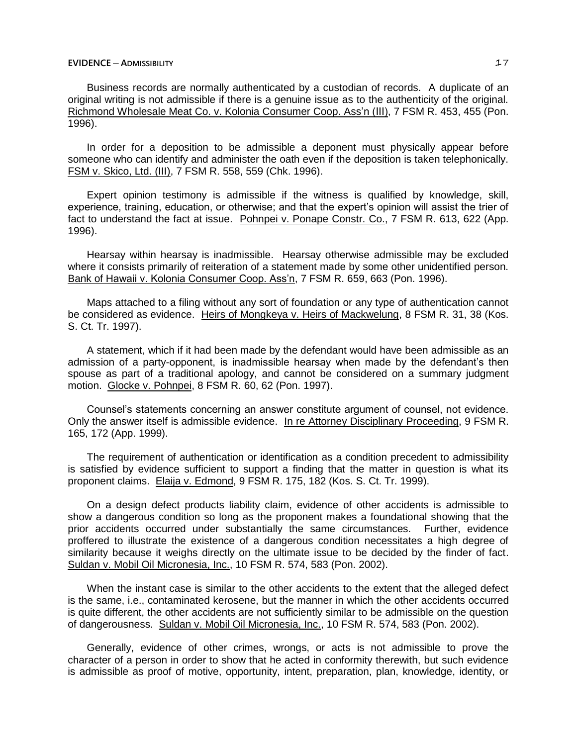### **EVIDENCE ─ ADMISSIBILITY** 17

Business records are normally authenticated by a custodian of records. A duplicate of an original writing is not admissible if there is a genuine issue as to the authenticity of the original. Richmond Wholesale Meat Co. v. Kolonia Consumer Coop. Ass'n (III), 7 FSM R. 453, 455 (Pon. 1996).

In order for a deposition to be admissible a deponent must physically appear before someone who can identify and administer the oath even if the deposition is taken telephonically. FSM v. Skico, Ltd. (III), 7 FSM R. 558, 559 (Chk. 1996).

Expert opinion testimony is admissible if the witness is qualified by knowledge, skill, experience, training, education, or otherwise; and that the expert's opinion will assist the trier of fact to understand the fact at issue. Pohnpei v. Ponape Constr. Co., 7 FSM R. 613, 622 (App. 1996).

Hearsay within hearsay is inadmissible. Hearsay otherwise admissible may be excluded where it consists primarily of reiteration of a statement made by some other unidentified person. Bank of Hawaii v. Kolonia Consumer Coop. Ass'n, 7 FSM R. 659, 663 (Pon. 1996).

Maps attached to a filing without any sort of foundation or any type of authentication cannot be considered as evidence. Heirs of Mongkeya v. Heirs of Mackwelung, 8 FSM R. 31, 38 (Kos. S. Ct. Tr. 1997).

A statement, which if it had been made by the defendant would have been admissible as an admission of a party-opponent, is inadmissible hearsay when made by the defendant's then spouse as part of a traditional apology, and cannot be considered on a summary judgment motion. Glocke v. Pohnpei, 8 FSM R. 60, 62 (Pon. 1997).

Counsel's statements concerning an answer constitute argument of counsel, not evidence. Only the answer itself is admissible evidence. In re Attorney Disciplinary Proceeding, 9 FSM R. 165, 172 (App. 1999).

The requirement of authentication or identification as a condition precedent to admissibility is satisfied by evidence sufficient to support a finding that the matter in question is what its proponent claims. Elaija v. Edmond, 9 FSM R. 175, 182 (Kos. S. Ct. Tr. 1999).

On a design defect products liability claim, evidence of other accidents is admissible to show a dangerous condition so long as the proponent makes a foundational showing that the prior accidents occurred under substantially the same circumstances. Further, evidence proffered to illustrate the existence of a dangerous condition necessitates a high degree of similarity because it weighs directly on the ultimate issue to be decided by the finder of fact. Suldan v. Mobil Oil Micronesia, Inc., 10 FSM R. 574, 583 (Pon. 2002).

When the instant case is similar to the other accidents to the extent that the alleged defect is the same, i.e., contaminated kerosene, but the manner in which the other accidents occurred is quite different, the other accidents are not sufficiently similar to be admissible on the question of dangerousness. Suldan v. Mobil Oil Micronesia, Inc., 10 FSM R. 574, 583 (Pon. 2002).

Generally, evidence of other crimes, wrongs, or acts is not admissible to prove the character of a person in order to show that he acted in conformity therewith, but such evidence is admissible as proof of motive, opportunity, intent, preparation, plan, knowledge, identity, or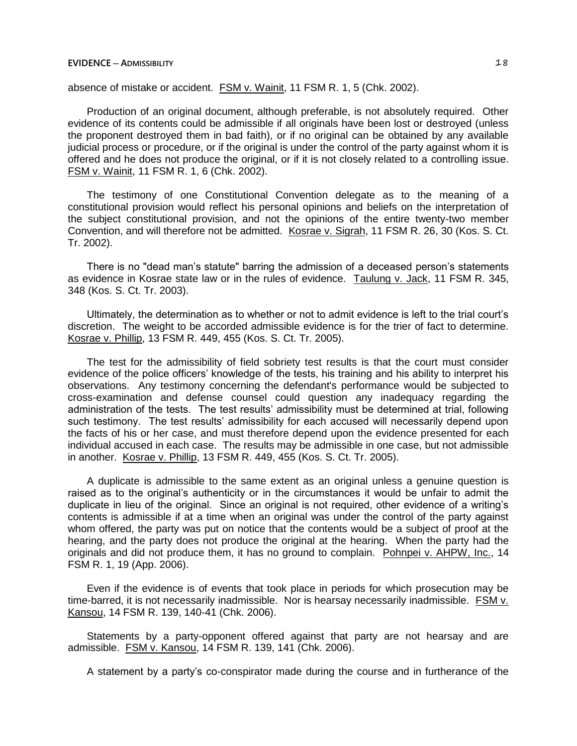absence of mistake or accident. FSM v. Wainit, 11 FSM R. 1, 5 (Chk. 2002).

Production of an original document, although preferable, is not absolutely required. Other evidence of its contents could be admissible if all originals have been lost or destroyed (unless the proponent destroyed them in bad faith), or if no original can be obtained by any available judicial process or procedure, or if the original is under the control of the party against whom it is offered and he does not produce the original, or if it is not closely related to a controlling issue. FSM v. Wainit, 11 FSM R. 1, 6 (Chk. 2002).

The testimony of one Constitutional Convention delegate as to the meaning of a constitutional provision would reflect his personal opinions and beliefs on the interpretation of the subject constitutional provision, and not the opinions of the entire twenty-two member Convention, and will therefore not be admitted. Kosrae v. Sigrah, 11 FSM R. 26, 30 (Kos. S. Ct. Tr. 2002).

There is no "dead man's statute" barring the admission of a deceased person's statements as evidence in Kosrae state law or in the rules of evidence. Taulung v. Jack, 11 FSM R. 345, 348 (Kos. S. Ct. Tr. 2003).

Ultimately, the determination as to whether or not to admit evidence is left to the trial court's discretion. The weight to be accorded admissible evidence is for the trier of fact to determine. Kosrae v. Phillip, 13 FSM R. 449, 455 (Kos. S. Ct. Tr. 2005).

The test for the admissibility of field sobriety test results is that the court must consider evidence of the police officers' knowledge of the tests, his training and his ability to interpret his observations. Any testimony concerning the defendant's performance would be subjected to cross-examination and defense counsel could question any inadequacy regarding the administration of the tests. The test results' admissibility must be determined at trial, following such testimony. The test results' admissibility for each accused will necessarily depend upon the facts of his or her case, and must therefore depend upon the evidence presented for each individual accused in each case. The results may be admissible in one case, but not admissible in another. Kosrae v. Phillip, 13 FSM R. 449, 455 (Kos. S. Ct. Tr. 2005).

A duplicate is admissible to the same extent as an original unless a genuine question is raised as to the original's authenticity or in the circumstances it would be unfair to admit the duplicate in lieu of the original. Since an original is not required, other evidence of a writing's contents is admissible if at a time when an original was under the control of the party against whom offered, the party was put on notice that the contents would be a subject of proof at the hearing, and the party does not produce the original at the hearing. When the party had the originals and did not produce them, it has no ground to complain. Pohnpei v. AHPW, Inc., 14 FSM R. 1, 19 (App. 2006).

Even if the evidence is of events that took place in periods for which prosecution may be time-barred, it is not necessarily inadmissible. Nor is hearsay necessarily inadmissible. FSM v. Kansou, 14 FSM R. 139, 140-41 (Chk. 2006).

Statements by a party-opponent offered against that party are not hearsay and are admissible. FSM v. Kansou, 14 FSM R. 139, 141 (Chk. 2006).

A statement by a party's co-conspirator made during the course and in furtherance of the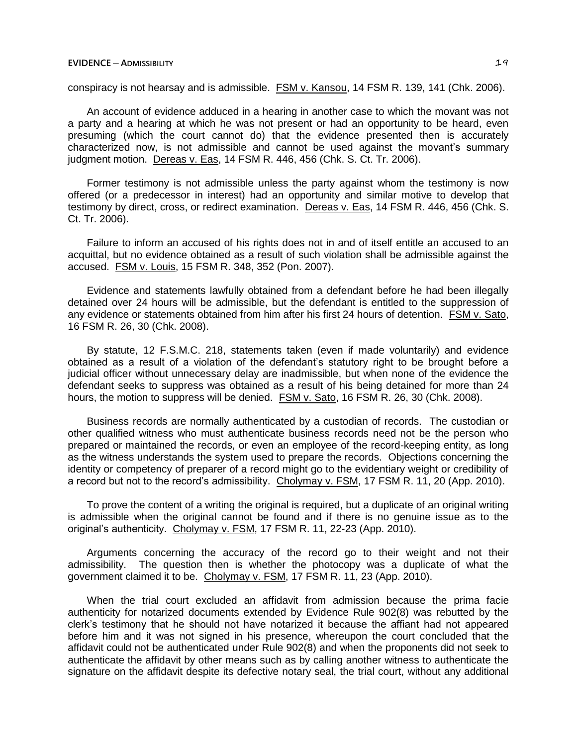### **EVIDENCE ─ ADMISSIBILITY** 19

conspiracy is not hearsay and is admissible. FSM v. Kansou, 14 FSM R. 139, 141 (Chk. 2006).

An account of evidence adduced in a hearing in another case to which the movant was not a party and a hearing at which he was not present or had an opportunity to be heard, even presuming (which the court cannot do) that the evidence presented then is accurately characterized now, is not admissible and cannot be used against the movant's summary judgment motion. Dereas v. Eas, 14 FSM R. 446, 456 (Chk. S. Ct. Tr. 2006).

Former testimony is not admissible unless the party against whom the testimony is now offered (or a predecessor in interest) had an opportunity and similar motive to develop that testimony by direct, cross, or redirect examination. Dereas v. Eas, 14 FSM R. 446, 456 (Chk. S. Ct. Tr. 2006).

Failure to inform an accused of his rights does not in and of itself entitle an accused to an acquittal, but no evidence obtained as a result of such violation shall be admissible against the accused. FSM v. Louis, 15 FSM R. 348, 352 (Pon. 2007).

Evidence and statements lawfully obtained from a defendant before he had been illegally detained over 24 hours will be admissible, but the defendant is entitled to the suppression of any evidence or statements obtained from him after his first 24 hours of detention. FSM v. Sato, 16 FSM R. 26, 30 (Chk. 2008).

By statute, 12 F.S.M.C. 218, statements taken (even if made voluntarily) and evidence obtained as a result of a violation of the defendant's statutory right to be brought before a judicial officer without unnecessary delay are inadmissible, but when none of the evidence the defendant seeks to suppress was obtained as a result of his being detained for more than 24 hours, the motion to suppress will be denied. FSM v. Sato, 16 FSM R. 26, 30 (Chk. 2008).

Business records are normally authenticated by a custodian of records. The custodian or other qualified witness who must authenticate business records need not be the person who prepared or maintained the records, or even an employee of the record-keeping entity, as long as the witness understands the system used to prepare the records. Objections concerning the identity or competency of preparer of a record might go to the evidentiary weight or credibility of a record but not to the record's admissibility. Cholymay v. FSM, 17 FSM R. 11, 20 (App. 2010).

To prove the content of a writing the original is required, but a duplicate of an original writing is admissible when the original cannot be found and if there is no genuine issue as to the original's authenticity. Cholymay v. FSM, 17 FSM R. 11, 22-23 (App. 2010).

Arguments concerning the accuracy of the record go to their weight and not their admissibility. The question then is whether the photocopy was a duplicate of what the government claimed it to be. Cholymay v. FSM, 17 FSM R. 11, 23 (App. 2010).

When the trial court excluded an affidavit from admission because the prima facie authenticity for notarized documents extended by Evidence Rule 902(8) was rebutted by the clerk's testimony that he should not have notarized it because the affiant had not appeared before him and it was not signed in his presence, whereupon the court concluded that the affidavit could not be authenticated under Rule 902(8) and when the proponents did not seek to authenticate the affidavit by other means such as by calling another witness to authenticate the signature on the affidavit despite its defective notary seal, the trial court, without any additional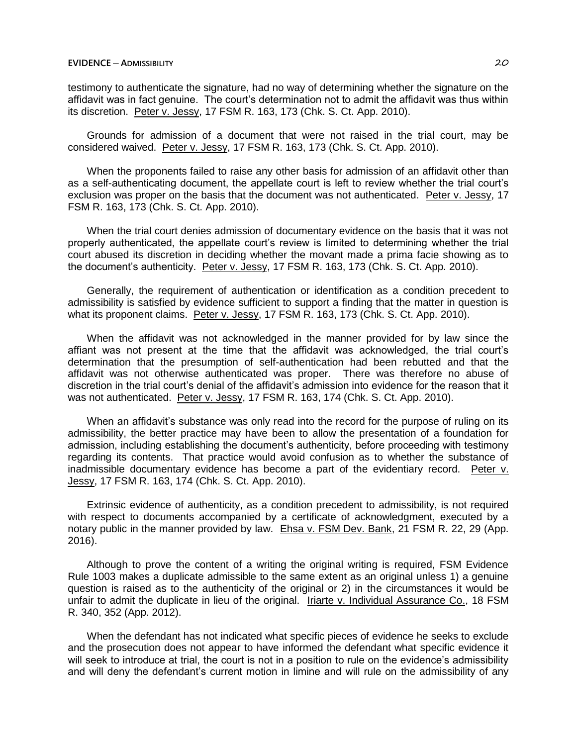testimony to authenticate the signature, had no way of determining whether the signature on the affidavit was in fact genuine. The court's determination not to admit the affidavit was thus within its discretion. Peter v. Jessy, 17 FSM R. 163, 173 (Chk. S. Ct. App. 2010).

Grounds for admission of a document that were not raised in the trial court, may be considered waived. Peter v. Jessy, 17 FSM R. 163, 173 (Chk. S. Ct. App. 2010).

When the proponents failed to raise any other basis for admission of an affidavit other than as a self-authenticating document, the appellate court is left to review whether the trial court's exclusion was proper on the basis that the document was not authenticated. Peter v. Jessy, 17 FSM R. 163, 173 (Chk. S. Ct. App. 2010).

When the trial court denies admission of documentary evidence on the basis that it was not properly authenticated, the appellate court's review is limited to determining whether the trial court abused its discretion in deciding whether the movant made a prima facie showing as to the document's authenticity. Peter v. Jessy, 17 FSM R. 163, 173 (Chk. S. Ct. App. 2010).

Generally, the requirement of authentication or identification as a condition precedent to admissibility is satisfied by evidence sufficient to support a finding that the matter in question is what its proponent claims. Peter v. Jessy, 17 FSM R. 163, 173 (Chk. S. Ct. App. 2010).

When the affidavit was not acknowledged in the manner provided for by law since the affiant was not present at the time that the affidavit was acknowledged, the trial court's determination that the presumption of self-authentication had been rebutted and that the affidavit was not otherwise authenticated was proper. There was therefore no abuse of discretion in the trial court's denial of the affidavit's admission into evidence for the reason that it was not authenticated. Peter v. Jessy, 17 FSM R. 163, 174 (Chk. S. Ct. App. 2010).

When an affidavit's substance was only read into the record for the purpose of ruling on its admissibility, the better practice may have been to allow the presentation of a foundation for admission, including establishing the document's authenticity, before proceeding with testimony regarding its contents. That practice would avoid confusion as to whether the substance of inadmissible documentary evidence has become a part of the evidentiary record. Peter v. Jessy, 17 FSM R. 163, 174 (Chk. S. Ct. App. 2010).

Extrinsic evidence of authenticity, as a condition precedent to admissibility, is not required with respect to documents accompanied by a certificate of acknowledgment, executed by a notary public in the manner provided by law. Ehsa v. FSM Dev. Bank, 21 FSM R. 22, 29 (App. 2016).

Although to prove the content of a writing the original writing is required, FSM Evidence Rule 1003 makes a duplicate admissible to the same extent as an original unless 1) a genuine question is raised as to the authenticity of the original or 2) in the circumstances it would be unfair to admit the duplicate in lieu of the original. Iriarte v. Individual Assurance Co., 18 FSM R. 340, 352 (App. 2012).

When the defendant has not indicated what specific pieces of evidence he seeks to exclude and the prosecution does not appear to have informed the defendant what specific evidence it will seek to introduce at trial, the court is not in a position to rule on the evidence's admissibility and will deny the defendant's current motion in limine and will rule on the admissibility of any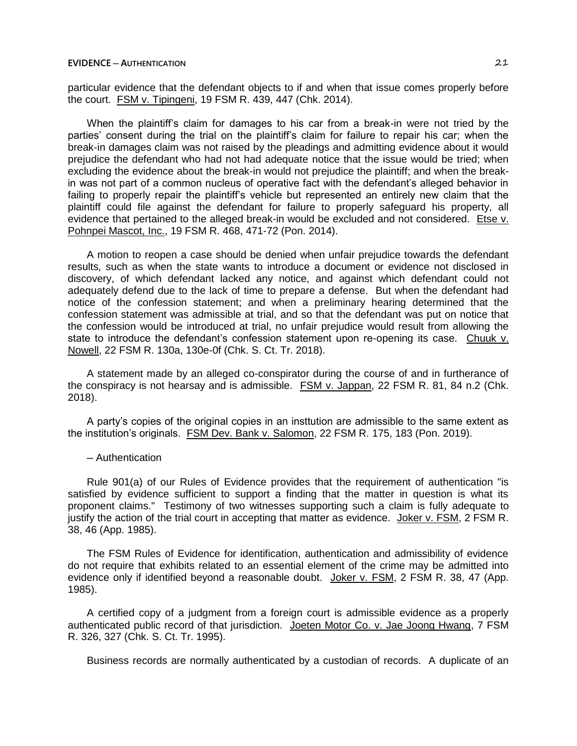particular evidence that the defendant objects to if and when that issue comes properly before the court. FSM v. Tipingeni, 19 FSM R. 439, 447 (Chk. 2014).

When the plaintiff's claim for damages to his car from a break-in were not tried by the parties' consent during the trial on the plaintiff's claim for failure to repair his car; when the break-in damages claim was not raised by the pleadings and admitting evidence about it would prejudice the defendant who had not had adequate notice that the issue would be tried; when excluding the evidence about the break-in would not prejudice the plaintiff; and when the breakin was not part of a common nucleus of operative fact with the defendant's alleged behavior in failing to properly repair the plaintiff's vehicle but represented an entirely new claim that the plaintiff could file against the defendant for failure to properly safeguard his property, all evidence that pertained to the alleged break-in would be excluded and not considered. Etse v. Pohnpei Mascot, Inc., 19 FSM R. 468, 471-72 (Pon. 2014).

A motion to reopen a case should be denied when unfair prejudice towards the defendant results, such as when the state wants to introduce a document or evidence not disclosed in discovery, of which defendant lacked any notice, and against which defendant could not adequately defend due to the lack of time to prepare a defense. But when the defendant had notice of the confession statement; and when a preliminary hearing determined that the confession statement was admissible at trial, and so that the defendant was put on notice that the confession would be introduced at trial, no unfair prejudice would result from allowing the state to introduce the defendant's confession statement upon re-opening its case. Chuuk v. Nowell, 22 FSM R. 130a, 130e-0f (Chk. S. Ct. Tr. 2018).

A statement made by an alleged co-conspirator during the course of and in furtherance of the conspiracy is not hearsay and is admissible. FSM v. Jappan, 22 FSM R. 81, 84 n.2 (Chk. 2018).

A party's copies of the original copies in an insttution are admissible to the same extent as the institution's originals. FSM Dev. Bank v. Salomon, 22 FSM R. 175, 183 (Pon. 2019).

─ Authentication

Rule 901(a) of our Rules of Evidence provides that the requirement of authentication "is satisfied by evidence sufficient to support a finding that the matter in question is what its proponent claims." Testimony of two witnesses supporting such a claim is fully adequate to justify the action of the trial court in accepting that matter as evidence. Joker v. FSM, 2 FSM R. 38, 46 (App. 1985).

The FSM Rules of Evidence for identification, authentication and admissibility of evidence do not require that exhibits related to an essential element of the crime may be admitted into evidence only if identified beyond a reasonable doubt. Joker v. FSM, 2 FSM R. 38, 47 (App. 1985).

A certified copy of a judgment from a foreign court is admissible evidence as a properly authenticated public record of that jurisdiction. Joeten Motor Co. v. Jae Joong Hwang, 7 FSM R. 326, 327 (Chk. S. Ct. Tr. 1995).

Business records are normally authenticated by a custodian of records. A duplicate of an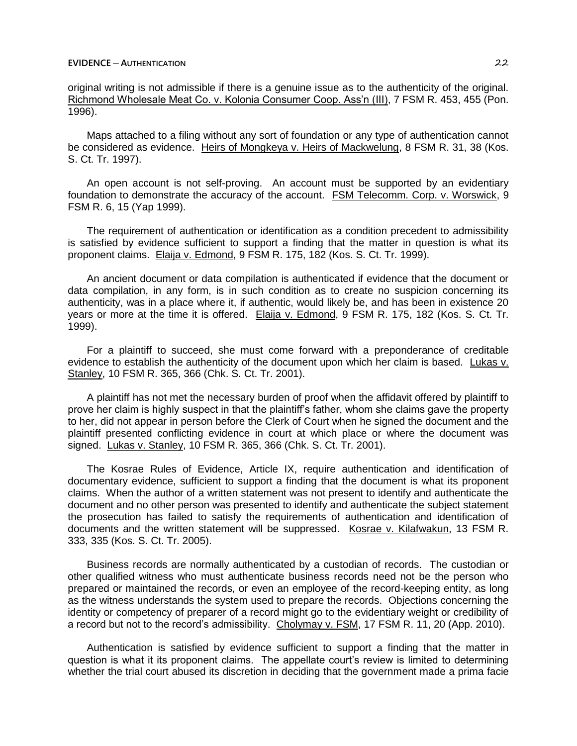original writing is not admissible if there is a genuine issue as to the authenticity of the original. Richmond Wholesale Meat Co. v. Kolonia Consumer Coop. Ass'n (III), 7 FSM R. 453, 455 (Pon. 1996).

Maps attached to a filing without any sort of foundation or any type of authentication cannot be considered as evidence. Heirs of Mongkeya v. Heirs of Mackwelung, 8 FSM R. 31, 38 (Kos. S. Ct. Tr. 1997).

An open account is not self-proving. An account must be supported by an evidentiary foundation to demonstrate the accuracy of the account. FSM Telecomm. Corp. v. Worswick, 9 FSM R. 6, 15 (Yap 1999).

The requirement of authentication or identification as a condition precedent to admissibility is satisfied by evidence sufficient to support a finding that the matter in question is what its proponent claims. Elaija v. Edmond, 9 FSM R. 175, 182 (Kos. S. Ct. Tr. 1999).

An ancient document or data compilation is authenticated if evidence that the document or data compilation, in any form, is in such condition as to create no suspicion concerning its authenticity, was in a place where it, if authentic, would likely be, and has been in existence 20 years or more at the time it is offered. Elaija v. Edmond, 9 FSM R. 175, 182 (Kos. S. Ct. Tr. 1999).

For a plaintiff to succeed, she must come forward with a preponderance of creditable evidence to establish the authenticity of the document upon which her claim is based. Lukas v. Stanley, 10 FSM R. 365, 366 (Chk. S. Ct. Tr. 2001).

A plaintiff has not met the necessary burden of proof when the affidavit offered by plaintiff to prove her claim is highly suspect in that the plaintiff's father, whom she claims gave the property to her, did not appear in person before the Clerk of Court when he signed the document and the plaintiff presented conflicting evidence in court at which place or where the document was signed. Lukas v. Stanley, 10 FSM R. 365, 366 (Chk. S. Ct. Tr. 2001).

The Kosrae Rules of Evidence, Article IX, require authentication and identification of documentary evidence, sufficient to support a finding that the document is what its proponent claims. When the author of a written statement was not present to identify and authenticate the document and no other person was presented to identify and authenticate the subject statement the prosecution has failed to satisfy the requirements of authentication and identification of documents and the written statement will be suppressed. Kosrae v. Kilafwakun, 13 FSM R. 333, 335 (Kos. S. Ct. Tr. 2005).

Business records are normally authenticated by a custodian of records. The custodian or other qualified witness who must authenticate business records need not be the person who prepared or maintained the records, or even an employee of the record-keeping entity, as long as the witness understands the system used to prepare the records. Objections concerning the identity or competency of preparer of a record might go to the evidentiary weight or credibility of a record but not to the record's admissibility. Cholymay v. FSM, 17 FSM R. 11, 20 (App. 2010).

Authentication is satisfied by evidence sufficient to support a finding that the matter in question is what it its proponent claims. The appellate court's review is limited to determining whether the trial court abused its discretion in deciding that the government made a prima facie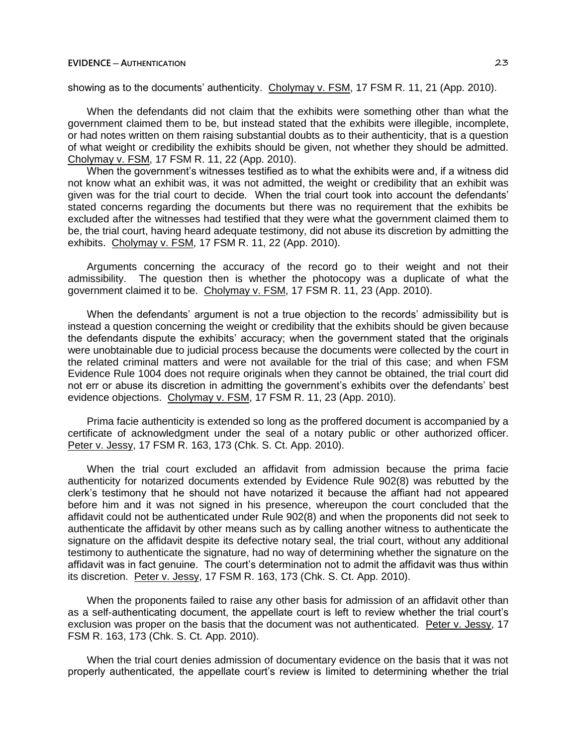### **EVIDENCE ─ AUTHENTICATION** 23

showing as to the documents' authenticity. Cholymay v. FSM, 17 FSM R. 11, 21 (App. 2010).

When the defendants did not claim that the exhibits were something other than what the government claimed them to be, but instead stated that the exhibits were illegible, incomplete, or had notes written on them raising substantial doubts as to their authenticity, that is a question of what weight or credibility the exhibits should be given, not whether they should be admitted. Cholymay v. FSM, 17 FSM R. 11, 22 (App. 2010).

When the government's witnesses testified as to what the exhibits were and, if a witness did not know what an exhibit was, it was not admitted, the weight or credibility that an exhibit was given was for the trial court to decide. When the trial court took into account the defendants' stated concerns regarding the documents but there was no requirement that the exhibits be excluded after the witnesses had testified that they were what the government claimed them to be, the trial court, having heard adequate testimony, did not abuse its discretion by admitting the exhibits. Cholymay v. FSM, 17 FSM R. 11, 22 (App. 2010).

Arguments concerning the accuracy of the record go to their weight and not their admissibility. The question then is whether the photocopy was a duplicate of what the government claimed it to be. Cholymay v. FSM, 17 FSM R. 11, 23 (App. 2010).

When the defendants' argument is not a true objection to the records' admissibility but is instead a question concerning the weight or credibility that the exhibits should be given because the defendants dispute the exhibits' accuracy; when the government stated that the originals were unobtainable due to judicial process because the documents were collected by the court in the related criminal matters and were not available for the trial of this case; and when FSM Evidence Rule 1004 does not require originals when they cannot be obtained, the trial court did not err or abuse its discretion in admitting the government's exhibits over the defendants' best evidence objections. Cholymay v. FSM, 17 FSM R. 11, 23 (App. 2010).

Prima facie authenticity is extended so long as the proffered document is accompanied by a certificate of acknowledgment under the seal of a notary public or other authorized officer. Peter v. Jessy, 17 FSM R. 163, 173 (Chk. S. Ct. App. 2010).

When the trial court excluded an affidavit from admission because the prima facie authenticity for notarized documents extended by Evidence Rule 902(8) was rebutted by the clerk's testimony that he should not have notarized it because the affiant had not appeared before him and it was not signed in his presence, whereupon the court concluded that the affidavit could not be authenticated under Rule 902(8) and when the proponents did not seek to authenticate the affidavit by other means such as by calling another witness to authenticate the signature on the affidavit despite its defective notary seal, the trial court, without any additional testimony to authenticate the signature, had no way of determining whether the signature on the affidavit was in fact genuine. The court's determination not to admit the affidavit was thus within its discretion. Peter v. Jessy, 17 FSM R. 163, 173 (Chk. S. Ct. App. 2010).

When the proponents failed to raise any other basis for admission of an affidavit other than as a self-authenticating document, the appellate court is left to review whether the trial court's exclusion was proper on the basis that the document was not authenticated. Peter v. Jessy, 17 FSM R. 163, 173 (Chk. S. Ct. App. 2010).

When the trial court denies admission of documentary evidence on the basis that it was not properly authenticated, the appellate court's review is limited to determining whether the trial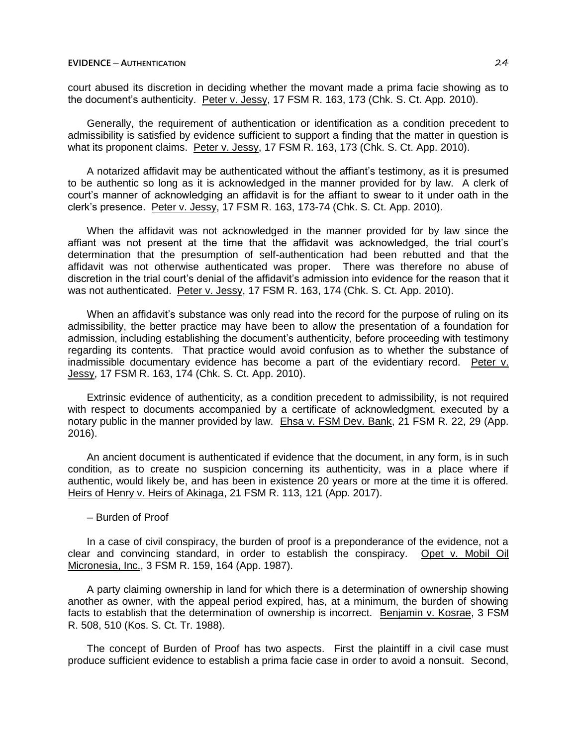### **EVIDENCE ─ AUTHENTICATION** 24

court abused its discretion in deciding whether the movant made a prima facie showing as to the document's authenticity. Peter v. Jessy, 17 FSM R. 163, 173 (Chk. S. Ct. App. 2010).

Generally, the requirement of authentication or identification as a condition precedent to admissibility is satisfied by evidence sufficient to support a finding that the matter in question is what its proponent claims. Peter v. Jessy, 17 FSM R. 163, 173 (Chk. S. Ct. App. 2010).

A notarized affidavit may be authenticated without the affiant's testimony, as it is presumed to be authentic so long as it is acknowledged in the manner provided for by law. A clerk of court's manner of acknowledging an affidavit is for the affiant to swear to it under oath in the clerk's presence. Peter v. Jessy, 17 FSM R. 163, 173-74 (Chk. S. Ct. App. 2010).

When the affidavit was not acknowledged in the manner provided for by law since the affiant was not present at the time that the affidavit was acknowledged, the trial court's determination that the presumption of self-authentication had been rebutted and that the affidavit was not otherwise authenticated was proper. There was therefore no abuse of discretion in the trial court's denial of the affidavit's admission into evidence for the reason that it was not authenticated. Peter v. Jessy, 17 FSM R. 163, 174 (Chk. S. Ct. App. 2010).

When an affidavit's substance was only read into the record for the purpose of ruling on its admissibility, the better practice may have been to allow the presentation of a foundation for admission, including establishing the document's authenticity, before proceeding with testimony regarding its contents. That practice would avoid confusion as to whether the substance of inadmissible documentary evidence has become a part of the evidentiary record. Peter v. Jessy, 17 FSM R. 163, 174 (Chk. S. Ct. App. 2010).

Extrinsic evidence of authenticity, as a condition precedent to admissibility, is not required with respect to documents accompanied by a certificate of acknowledgment, executed by a notary public in the manner provided by law. Ehsa v. FSM Dev. Bank, 21 FSM R. 22, 29 (App. 2016).

An ancient document is authenticated if evidence that the document, in any form, is in such condition, as to create no suspicion concerning its authenticity, was in a place where if authentic, would likely be, and has been in existence 20 years or more at the time it is offered. Heirs of Henry v. Heirs of Akinaga, 21 FSM R. 113, 121 (App. 2017).

─ Burden of Proof

In a case of civil conspiracy, the burden of proof is a preponderance of the evidence, not a clear and convincing standard, in order to establish the conspiracy. Opet v. Mobil Oil Micronesia, Inc., 3 FSM R. 159, 164 (App. 1987).

A party claiming ownership in land for which there is a determination of ownership showing another as owner, with the appeal period expired, has, at a minimum, the burden of showing facts to establish that the determination of ownership is incorrect. Benjamin v. Kosrae, 3 FSM R. 508, 510 (Kos. S. Ct. Tr. 1988).

The concept of Burden of Proof has two aspects. First the plaintiff in a civil case must produce sufficient evidence to establish a prima facie case in order to avoid a nonsuit. Second,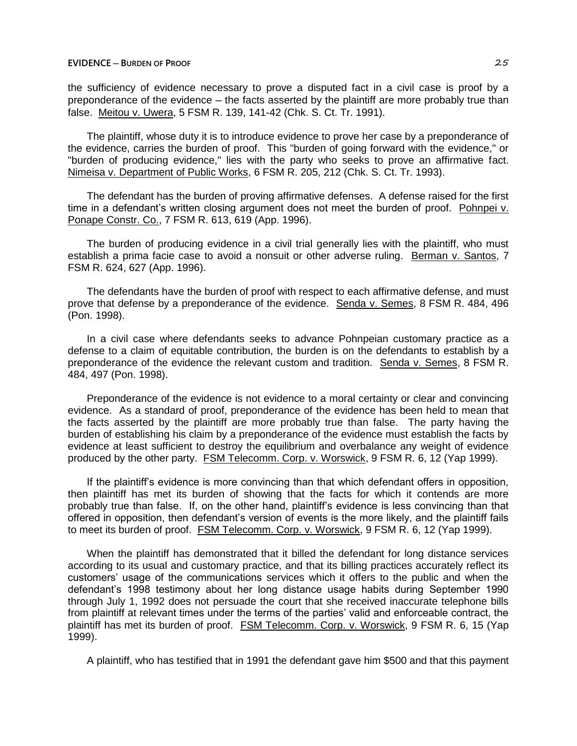the sufficiency of evidence necessary to prove a disputed fact in a civil case is proof by a preponderance of the evidence — the facts asserted by the plaintiff are more probably true than false. Meitou v. Uwera, 5 FSM R. 139, 141-42 (Chk. S. Ct. Tr. 1991).

The plaintiff, whose duty it is to introduce evidence to prove her case by a preponderance of the evidence, carries the burden of proof. This "burden of going forward with the evidence," or "burden of producing evidence," lies with the party who seeks to prove an affirmative fact. Nimeisa v. Department of Public Works, 6 FSM R. 205, 212 (Chk. S. Ct. Tr. 1993).

The defendant has the burden of proving affirmative defenses. A defense raised for the first time in a defendant's written closing argument does not meet the burden of proof. Pohnpei v. Ponape Constr. Co., 7 FSM R. 613, 619 (App. 1996).

The burden of producing evidence in a civil trial generally lies with the plaintiff, who must establish a prima facie case to avoid a nonsuit or other adverse ruling. Berman v. Santos, 7 FSM R. 624, 627 (App. 1996).

The defendants have the burden of proof with respect to each affirmative defense, and must prove that defense by a preponderance of the evidence. Senda v. Semes, 8 FSM R. 484, 496 (Pon. 1998).

In a civil case where defendants seeks to advance Pohnpeian customary practice as a defense to a claim of equitable contribution, the burden is on the defendants to establish by a preponderance of the evidence the relevant custom and tradition. Senda v. Semes, 8 FSM R. 484, 497 (Pon. 1998).

Preponderance of the evidence is not evidence to a moral certainty or clear and convincing evidence. As a standard of proof, preponderance of the evidence has been held to mean that the facts asserted by the plaintiff are more probably true than false. The party having the burden of establishing his claim by a preponderance of the evidence must establish the facts by evidence at least sufficient to destroy the equilibrium and overbalance any weight of evidence produced by the other party. FSM Telecomm. Corp. v. Worswick, 9 FSM R. 6, 12 (Yap 1999).

If the plaintiff's evidence is more convincing than that which defendant offers in opposition, then plaintiff has met its burden of showing that the facts for which it contends are more probably true than false. If, on the other hand, plaintiff's evidence is less convincing than that offered in opposition, then defendant's version of events is the more likely, and the plaintiff fails to meet its burden of proof. FSM Telecomm. Corp. v. Worswick, 9 FSM R. 6, 12 (Yap 1999).

When the plaintiff has demonstrated that it billed the defendant for long distance services according to its usual and customary practice, and that its billing practices accurately reflect its customers' usage of the communications services which it offers to the public and when the defendant's 1998 testimony about her long distance usage habits during September 1990 through July 1, 1992 does not persuade the court that she received inaccurate telephone bills from plaintiff at relevant times under the terms of the parties' valid and enforceable contract, the plaintiff has met its burden of proof. FSM Telecomm. Corp. v. Worswick, 9 FSM R. 6, 15 (Yap 1999).

A plaintiff, who has testified that in 1991 the defendant gave him \$500 and that this payment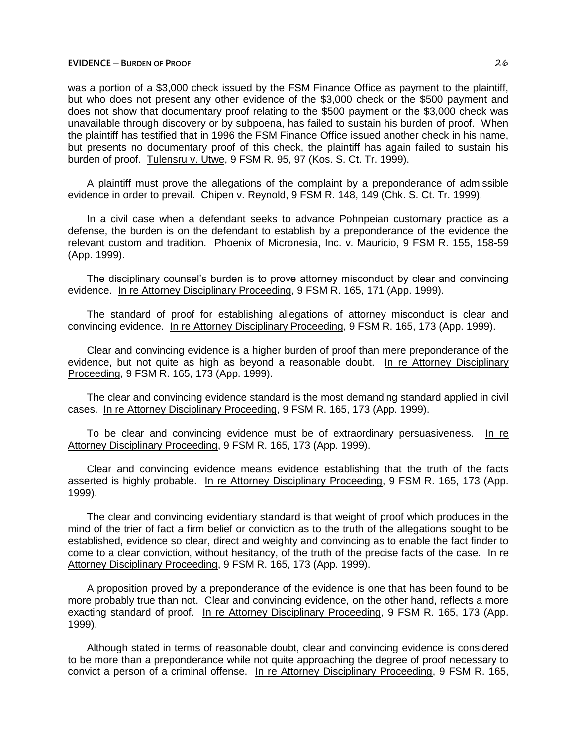was a portion of a \$3,000 check issued by the FSM Finance Office as payment to the plaintiff, but who does not present any other evidence of the \$3,000 check or the \$500 payment and does not show that documentary proof relating to the \$500 payment or the \$3,000 check was unavailable through discovery or by subpoena, has failed to sustain his burden of proof. When the plaintiff has testified that in 1996 the FSM Finance Office issued another check in his name, but presents no documentary proof of this check, the plaintiff has again failed to sustain his burden of proof. Tulensru v. Utwe, 9 FSM R. 95, 97 (Kos. S. Ct. Tr. 1999).

A plaintiff must prove the allegations of the complaint by a preponderance of admissible evidence in order to prevail. Chipen v. Reynold, 9 FSM R. 148, 149 (Chk. S. Ct. Tr. 1999).

In a civil case when a defendant seeks to advance Pohnpeian customary practice as a defense, the burden is on the defendant to establish by a preponderance of the evidence the relevant custom and tradition. Phoenix of Micronesia, Inc. v. Mauricio, 9 FSM R. 155, 158-59 (App. 1999).

The disciplinary counsel's burden is to prove attorney misconduct by clear and convincing evidence. In re Attorney Disciplinary Proceeding, 9 FSM R. 165, 171 (App. 1999).

The standard of proof for establishing allegations of attorney misconduct is clear and convincing evidence. In re Attorney Disciplinary Proceeding, 9 FSM R. 165, 173 (App. 1999).

Clear and convincing evidence is a higher burden of proof than mere preponderance of the evidence, but not quite as high as beyond a reasonable doubt. In re Attorney Disciplinary Proceeding, 9 FSM R. 165, 173 (App. 1999).

The clear and convincing evidence standard is the most demanding standard applied in civil cases. In re Attorney Disciplinary Proceeding, 9 FSM R. 165, 173 (App. 1999).

To be clear and convincing evidence must be of extraordinary persuasiveness. In re Attorney Disciplinary Proceeding, 9 FSM R. 165, 173 (App. 1999).

Clear and convincing evidence means evidence establishing that the truth of the facts asserted is highly probable. In re Attorney Disciplinary Proceeding, 9 FSM R. 165, 173 (App. 1999).

The clear and convincing evidentiary standard is that weight of proof which produces in the mind of the trier of fact a firm belief or conviction as to the truth of the allegations sought to be established, evidence so clear, direct and weighty and convincing as to enable the fact finder to come to a clear conviction, without hesitancy, of the truth of the precise facts of the case. In re Attorney Disciplinary Proceeding, 9 FSM R. 165, 173 (App. 1999).

A proposition proved by a preponderance of the evidence is one that has been found to be more probably true than not. Clear and convincing evidence, on the other hand, reflects a more exacting standard of proof. In re Attorney Disciplinary Proceeding, 9 FSM R. 165, 173 (App. 1999).

Although stated in terms of reasonable doubt, clear and convincing evidence is considered to be more than a preponderance while not quite approaching the degree of proof necessary to convict a person of a criminal offense. In re Attorney Disciplinary Proceeding, 9 FSM R. 165,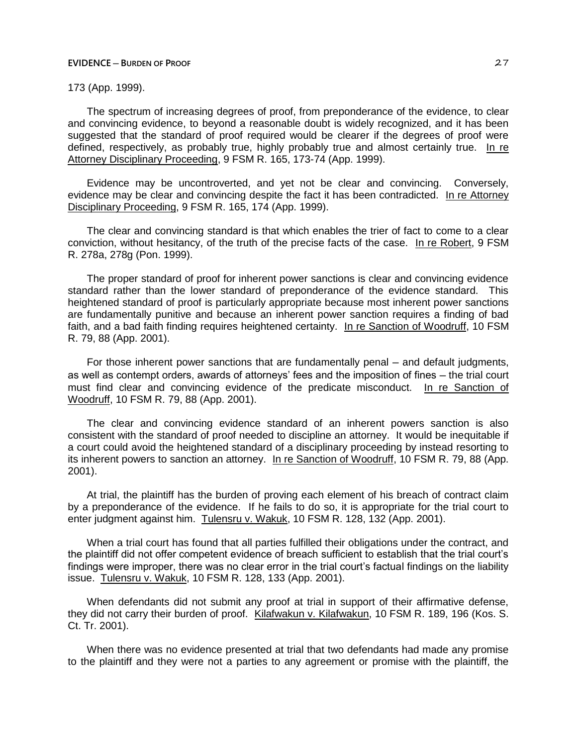# 173 (App. 1999).

The spectrum of increasing degrees of proof, from preponderance of the evidence, to clear and convincing evidence, to beyond a reasonable doubt is widely recognized, and it has been suggested that the standard of proof required would be clearer if the degrees of proof were defined, respectively, as probably true, highly probably true and almost certainly true. In re Attorney Disciplinary Proceeding, 9 FSM R. 165, 173-74 (App. 1999).

Evidence may be uncontroverted, and yet not be clear and convincing. Conversely, evidence may be clear and convincing despite the fact it has been contradicted. In re Attorney Disciplinary Proceeding, 9 FSM R. 165, 174 (App. 1999).

The clear and convincing standard is that which enables the trier of fact to come to a clear conviction, without hesitancy, of the truth of the precise facts of the case. In re Robert, 9 FSM R. 278a, 278g (Pon. 1999).

The proper standard of proof for inherent power sanctions is clear and convincing evidence standard rather than the lower standard of preponderance of the evidence standard. This heightened standard of proof is particularly appropriate because most inherent power sanctions are fundamentally punitive and because an inherent power sanction requires a finding of bad faith, and a bad faith finding requires heightened certainty. In re Sanction of Woodruff, 10 FSM R. 79, 88 (App. 2001).

For those inherent power sanctions that are fundamentally penal – and default judgments, as well as contempt orders, awards of attorneys' fees and the imposition of fines - the trial court must find clear and convincing evidence of the predicate misconduct. In re Sanction of Woodruff, 10 FSM R. 79, 88 (App. 2001).

The clear and convincing evidence standard of an inherent powers sanction is also consistent with the standard of proof needed to discipline an attorney. It would be inequitable if a court could avoid the heightened standard of a disciplinary proceeding by instead resorting to its inherent powers to sanction an attorney. In re Sanction of Woodruff, 10 FSM R. 79, 88 (App. 2001).

At trial, the plaintiff has the burden of proving each element of his breach of contract claim by a preponderance of the evidence. If he fails to do so, it is appropriate for the trial court to enter judgment against him. Tulensru v. Wakuk, 10 FSM R. 128, 132 (App. 2001).

When a trial court has found that all parties fulfilled their obligations under the contract, and the plaintiff did not offer competent evidence of breach sufficient to establish that the trial court's findings were improper, there was no clear error in the trial court's factual findings on the liability issue. Tulensru v. Wakuk, 10 FSM R. 128, 133 (App. 2001).

When defendants did not submit any proof at trial in support of their affirmative defense, they did not carry their burden of proof. Kilafwakun v. Kilafwakun, 10 FSM R. 189, 196 (Kos. S. Ct. Tr. 2001).

When there was no evidence presented at trial that two defendants had made any promise to the plaintiff and they were not a parties to any agreement or promise with the plaintiff, the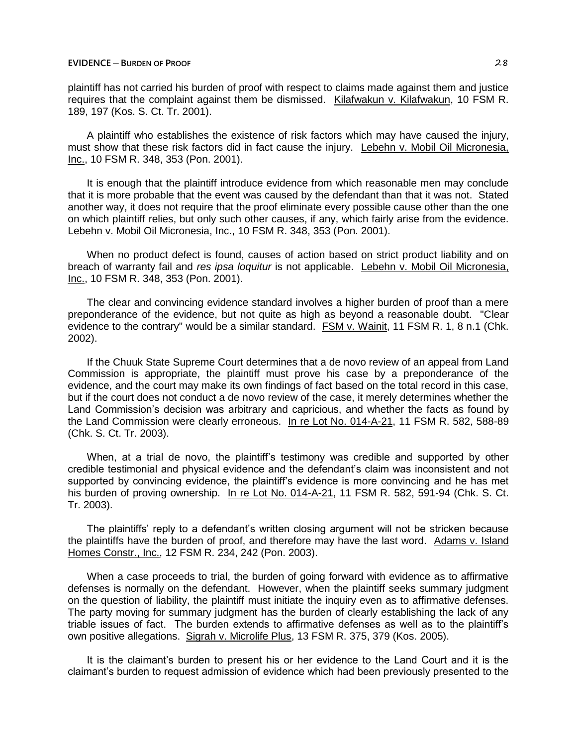plaintiff has not carried his burden of proof with respect to claims made against them and justice requires that the complaint against them be dismissed. Kilafwakun v. Kilafwakun, 10 FSM R. 189, 197 (Kos. S. Ct. Tr. 2001).

A plaintiff who establishes the existence of risk factors which may have caused the injury, must show that these risk factors did in fact cause the injury. Lebehn v. Mobil Oil Micronesia, Inc., 10 FSM R. 348, 353 (Pon. 2001).

It is enough that the plaintiff introduce evidence from which reasonable men may conclude that it is more probable that the event was caused by the defendant than that it was not. Stated another way, it does not require that the proof eliminate every possible cause other than the one on which plaintiff relies, but only such other causes, if any, which fairly arise from the evidence. Lebehn v. Mobil Oil Micronesia, Inc., 10 FSM R. 348, 353 (Pon. 2001).

When no product defect is found, causes of action based on strict product liability and on breach of warranty fail and *res ipsa loquitur* is not applicable. Lebehn v. Mobil Oil Micronesia, Inc., 10 FSM R. 348, 353 (Pon. 2001).

The clear and convincing evidence standard involves a higher burden of proof than a mere preponderance of the evidence, but not quite as high as beyond a reasonable doubt. "Clear evidence to the contrary" would be a similar standard. FSM v. Wainit, 11 FSM R. 1, 8 n.1 (Chk. 2002).

If the Chuuk State Supreme Court determines that a de novo review of an appeal from Land Commission is appropriate, the plaintiff must prove his case by a preponderance of the evidence, and the court may make its own findings of fact based on the total record in this case, but if the court does not conduct a de novo review of the case, it merely determines whether the Land Commission's decision was arbitrary and capricious, and whether the facts as found by the Land Commission were clearly erroneous. In re Lot No. 014-A-21, 11 FSM R. 582, 588-89 (Chk. S. Ct. Tr. 2003).

When, at a trial de novo, the plaintiff's testimony was credible and supported by other credible testimonial and physical evidence and the defendant's claim was inconsistent and not supported by convincing evidence, the plaintiff's evidence is more convincing and he has met his burden of proving ownership. In re Lot No. 014-A-21, 11 FSM R. 582, 591-94 (Chk. S. Ct. Tr. 2003).

The plaintiffs' reply to a defendant's written closing argument will not be stricken because the plaintiffs have the burden of proof, and therefore may have the last word. Adams v. Island Homes Constr., Inc., 12 FSM R. 234, 242 (Pon. 2003).

When a case proceeds to trial, the burden of going forward with evidence as to affirmative defenses is normally on the defendant. However, when the plaintiff seeks summary judgment on the question of liability, the plaintiff must initiate the inquiry even as to affirmative defenses. The party moving for summary judgment has the burden of clearly establishing the lack of any triable issues of fact. The burden extends to affirmative defenses as well as to the plaintiff's own positive allegations. Sigrah v. Microlife Plus, 13 FSM R. 375, 379 (Kos. 2005).

It is the claimant's burden to present his or her evidence to the Land Court and it is the claimant's burden to request admission of evidence which had been previously presented to the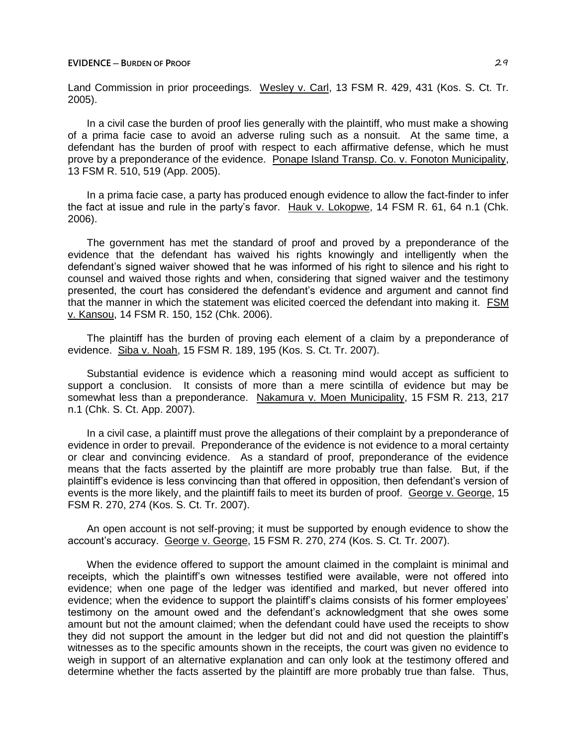Land Commission in prior proceedings. Wesley v. Carl, 13 FSM R. 429, 431 (Kos. S. Ct. Tr. 2005).

In a civil case the burden of proof lies generally with the plaintiff, who must make a showing of a prima facie case to avoid an adverse ruling such as a nonsuit. At the same time, a defendant has the burden of proof with respect to each affirmative defense, which he must prove by a preponderance of the evidence. Ponape Island Transp. Co. v. Fonoton Municipality, 13 FSM R. 510, 519 (App. 2005).

In a prima facie case, a party has produced enough evidence to allow the fact-finder to infer the fact at issue and rule in the party's favor. Hauk v. Lokopwe, 14 FSM R. 61, 64 n.1 (Chk. 2006).

The government has met the standard of proof and proved by a preponderance of the evidence that the defendant has waived his rights knowingly and intelligently when the defendant's signed waiver showed that he was informed of his right to silence and his right to counsel and waived those rights and when, considering that signed waiver and the testimony presented, the court has considered the defendant's evidence and argument and cannot find that the manner in which the statement was elicited coerced the defendant into making it. FSM v. Kansou, 14 FSM R. 150, 152 (Chk. 2006).

The plaintiff has the burden of proving each element of a claim by a preponderance of evidence. Siba v. Noah, 15 FSM R. 189, 195 (Kos. S. Ct. Tr. 2007).

Substantial evidence is evidence which a reasoning mind would accept as sufficient to support a conclusion. It consists of more than a mere scintilla of evidence but may be somewhat less than a preponderance. Nakamura v. Moen Municipality, 15 FSM R. 213, 217 n.1 (Chk. S. Ct. App. 2007).

In a civil case, a plaintiff must prove the allegations of their complaint by a preponderance of evidence in order to prevail. Preponderance of the evidence is not evidence to a moral certainty or clear and convincing evidence. As a standard of proof, preponderance of the evidence means that the facts asserted by the plaintiff are more probably true than false. But, if the plaintiff's evidence is less convincing than that offered in opposition, then defendant's version of events is the more likely, and the plaintiff fails to meet its burden of proof. George v. George, 15 FSM R. 270, 274 (Kos. S. Ct. Tr. 2007).

An open account is not self-proving; it must be supported by enough evidence to show the account's accuracy. George v. George, 15 FSM R. 270, 274 (Kos. S. Ct. Tr. 2007).

When the evidence offered to support the amount claimed in the complaint is minimal and receipts, which the plaintiff's own witnesses testified were available, were not offered into evidence; when one page of the ledger was identified and marked, but never offered into evidence; when the evidence to support the plaintiff's claims consists of his former employees' testimony on the amount owed and the defendant's acknowledgment that she owes some amount but not the amount claimed; when the defendant could have used the receipts to show they did not support the amount in the ledger but did not and did not question the plaintiff's witnesses as to the specific amounts shown in the receipts, the court was given no evidence to weigh in support of an alternative explanation and can only look at the testimony offered and determine whether the facts asserted by the plaintiff are more probably true than false. Thus,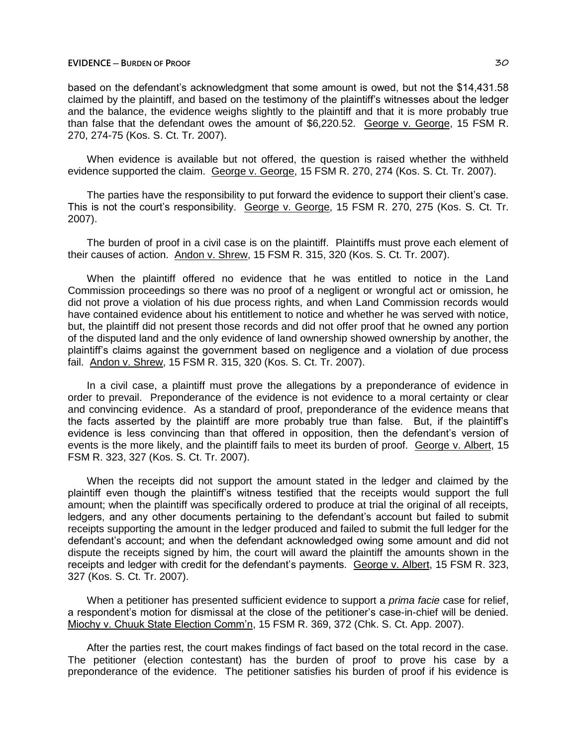based on the defendant's acknowledgment that some amount is owed, but not the \$14,431.58 claimed by the plaintiff, and based on the testimony of the plaintiff's witnesses about the ledger and the balance, the evidence weighs slightly to the plaintiff and that it is more probably true than false that the defendant owes the amount of \$6,220.52. George v. George, 15 FSM R. 270, 274-75 (Kos. S. Ct. Tr. 2007).

When evidence is available but not offered, the question is raised whether the withheld evidence supported the claim. George v. George, 15 FSM R. 270, 274 (Kos. S. Ct. Tr. 2007).

The parties have the responsibility to put forward the evidence to support their client's case. This is not the court's responsibility. George v. George, 15 FSM R. 270, 275 (Kos. S. Ct. Tr. 2007).

The burden of proof in a civil case is on the plaintiff. Plaintiffs must prove each element of their causes of action. Andon v. Shrew, 15 FSM R. 315, 320 (Kos. S. Ct. Tr. 2007).

When the plaintiff offered no evidence that he was entitled to notice in the Land Commission proceedings so there was no proof of a negligent or wrongful act or omission, he did not prove a violation of his due process rights, and when Land Commission records would have contained evidence about his entitlement to notice and whether he was served with notice, but, the plaintiff did not present those records and did not offer proof that he owned any portion of the disputed land and the only evidence of land ownership showed ownership by another, the plaintiff's claims against the government based on negligence and a violation of due process fail. Andon v. Shrew, 15 FSM R. 315, 320 (Kos. S. Ct. Tr. 2007).

In a civil case, a plaintiff must prove the allegations by a preponderance of evidence in order to prevail. Preponderance of the evidence is not evidence to a moral certainty or clear and convincing evidence. As a standard of proof, preponderance of the evidence means that the facts asserted by the plaintiff are more probably true than false. But, if the plaintiff's evidence is less convincing than that offered in opposition, then the defendant's version of events is the more likely, and the plaintiff fails to meet its burden of proof. George v. Albert, 15 FSM R. 323, 327 (Kos. S. Ct. Tr. 2007).

When the receipts did not support the amount stated in the ledger and claimed by the plaintiff even though the plaintiff's witness testified that the receipts would support the full amount; when the plaintiff was specifically ordered to produce at trial the original of all receipts, ledgers, and any other documents pertaining to the defendant's account but failed to submit receipts supporting the amount in the ledger produced and failed to submit the full ledger for the defendant's account; and when the defendant acknowledged owing some amount and did not dispute the receipts signed by him, the court will award the plaintiff the amounts shown in the receipts and ledger with credit for the defendant's payments. George v. Albert, 15 FSM R. 323, 327 (Kos. S. Ct. Tr. 2007).

When a petitioner has presented sufficient evidence to support a *prima facie* case for relief, a respondent's motion for dismissal at the close of the petitioner's case-in-chief will be denied. Miochy v. Chuuk State Election Comm'n, 15 FSM R. 369, 372 (Chk. S. Ct. App. 2007).

After the parties rest, the court makes findings of fact based on the total record in the case. The petitioner (election contestant) has the burden of proof to prove his case by a preponderance of the evidence. The petitioner satisfies his burden of proof if his evidence is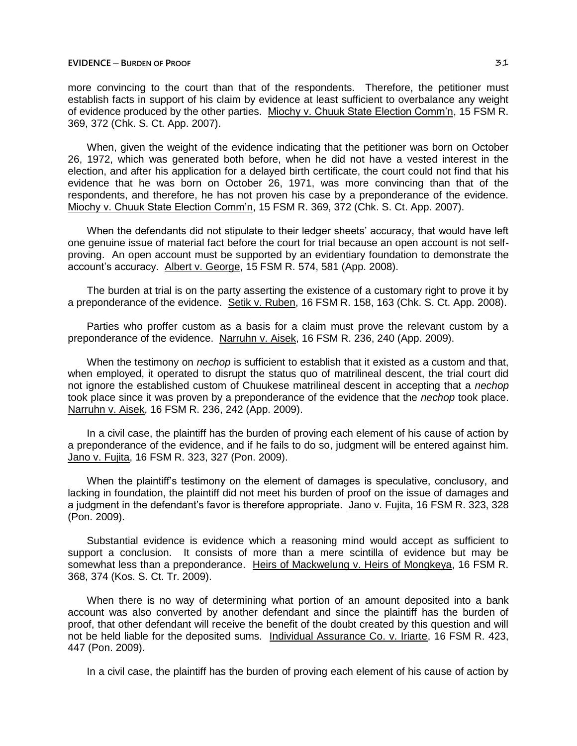more convincing to the court than that of the respondents. Therefore, the petitioner must establish facts in support of his claim by evidence at least sufficient to overbalance any weight of evidence produced by the other parties. Miochy v. Chuuk State Election Comm'n, 15 FSM R. 369, 372 (Chk. S. Ct. App. 2007).

When, given the weight of the evidence indicating that the petitioner was born on October 26, 1972, which was generated both before, when he did not have a vested interest in the election, and after his application for a delayed birth certificate, the court could not find that his evidence that he was born on October 26, 1971, was more convincing than that of the respondents, and therefore, he has not proven his case by a preponderance of the evidence. Miochy v. Chuuk State Election Comm'n, 15 FSM R. 369, 372 (Chk. S. Ct. App. 2007).

When the defendants did not stipulate to their ledger sheets' accuracy, that would have left one genuine issue of material fact before the court for trial because an open account is not selfproving. An open account must be supported by an evidentiary foundation to demonstrate the account's accuracy. Albert v. George, 15 FSM R. 574, 581 (App. 2008).

The burden at trial is on the party asserting the existence of a customary right to prove it by a preponderance of the evidence. Setik v. Ruben, 16 FSM R. 158, 163 (Chk. S. Ct. App. 2008).

Parties who proffer custom as a basis for a claim must prove the relevant custom by a preponderance of the evidence. Narruhn v. Aisek, 16 FSM R. 236, 240 (App. 2009).

When the testimony on *nechop* is sufficient to establish that it existed as a custom and that, when employed, it operated to disrupt the status quo of matrilineal descent, the trial court did not ignore the established custom of Chuukese matrilineal descent in accepting that a *nechop* took place since it was proven by a preponderance of the evidence that the *nechop* took place. Narruhn v. Aisek, 16 FSM R. 236, 242 (App. 2009).

In a civil case, the plaintiff has the burden of proving each element of his cause of action by a preponderance of the evidence, and if he fails to do so, judgment will be entered against him. Jano v. Fujita, 16 FSM R. 323, 327 (Pon. 2009).

When the plaintiff's testimony on the element of damages is speculative, conclusory, and lacking in foundation, the plaintiff did not meet his burden of proof on the issue of damages and a judgment in the defendant's favor is therefore appropriate. Jano v. Fujita, 16 FSM R. 323, 328 (Pon. 2009).

Substantial evidence is evidence which a reasoning mind would accept as sufficient to support a conclusion. It consists of more than a mere scintilla of evidence but may be somewhat less than a preponderance. Heirs of Mackwelung v. Heirs of Mongkeya, 16 FSM R. 368, 374 (Kos. S. Ct. Tr. 2009).

When there is no way of determining what portion of an amount deposited into a bank account was also converted by another defendant and since the plaintiff has the burden of proof, that other defendant will receive the benefit of the doubt created by this question and will not be held liable for the deposited sums. Individual Assurance Co. v. Iriarte, 16 FSM R. 423, 447 (Pon. 2009).

In a civil case, the plaintiff has the burden of proving each element of his cause of action by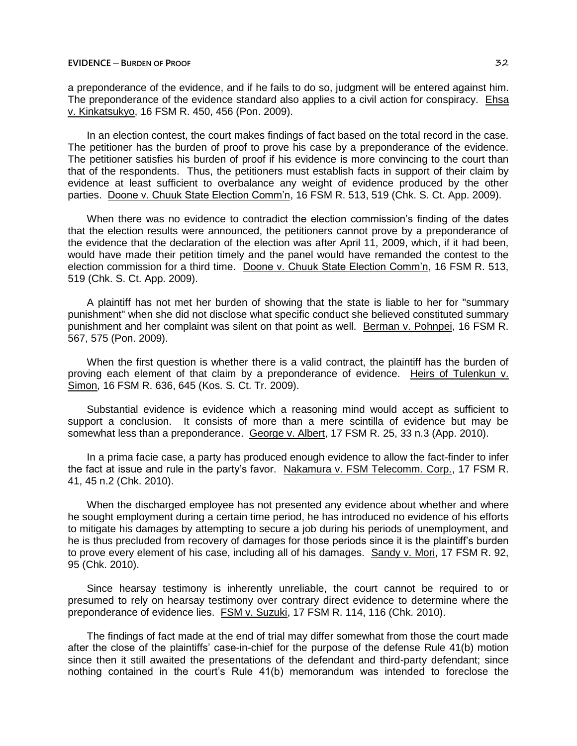a preponderance of the evidence, and if he fails to do so, judgment will be entered against him. The preponderance of the evidence standard also applies to a civil action for conspiracy. Ehsa v. Kinkatsukyo, 16 FSM R. 450, 456 (Pon. 2009).

In an election contest, the court makes findings of fact based on the total record in the case. The petitioner has the burden of proof to prove his case by a preponderance of the evidence. The petitioner satisfies his burden of proof if his evidence is more convincing to the court than that of the respondents. Thus, the petitioners must establish facts in support of their claim by evidence at least sufficient to overbalance any weight of evidence produced by the other parties. Doone v. Chuuk State Election Comm'n, 16 FSM R. 513, 519 (Chk. S. Ct. App. 2009).

When there was no evidence to contradict the election commission's finding of the dates that the election results were announced, the petitioners cannot prove by a preponderance of the evidence that the declaration of the election was after April 11, 2009, which, if it had been, would have made their petition timely and the panel would have remanded the contest to the election commission for a third time. Doone v. Chuuk State Election Comm'n, 16 FSM R. 513, 519 (Chk. S. Ct. App. 2009).

A plaintiff has not met her burden of showing that the state is liable to her for "summary punishment" when she did not disclose what specific conduct she believed constituted summary punishment and her complaint was silent on that point as well. Berman v. Pohnpei, 16 FSM R. 567, 575 (Pon. 2009).

When the first question is whether there is a valid contract, the plaintiff has the burden of proving each element of that claim by a preponderance of evidence. Heirs of Tulenkun v. Simon, 16 FSM R. 636, 645 (Kos. S. Ct. Tr. 2009).

Substantial evidence is evidence which a reasoning mind would accept as sufficient to support a conclusion. It consists of more than a mere scintilla of evidence but may be somewhat less than a preponderance. George v. Albert, 17 FSM R. 25, 33 n.3 (App. 2010).

In a prima facie case, a party has produced enough evidence to allow the fact-finder to infer the fact at issue and rule in the party's favor. Nakamura v. FSM Telecomm. Corp., 17 FSM R. 41, 45 n.2 (Chk. 2010).

When the discharged employee has not presented any evidence about whether and where he sought employment during a certain time period, he has introduced no evidence of his efforts to mitigate his damages by attempting to secure a job during his periods of unemployment, and he is thus precluded from recovery of damages for those periods since it is the plaintiff's burden to prove every element of his case, including all of his damages. Sandy v. Mori, 17 FSM R. 92, 95 (Chk. 2010).

Since hearsay testimony is inherently unreliable, the court cannot be required to or presumed to rely on hearsay testimony over contrary direct evidence to determine where the preponderance of evidence lies. FSM v. Suzuki, 17 FSM R. 114, 116 (Chk. 2010).

The findings of fact made at the end of trial may differ somewhat from those the court made after the close of the plaintiffs' case-in-chief for the purpose of the defense Rule 41(b) motion since then it still awaited the presentations of the defendant and third-party defendant; since nothing contained in the court's Rule 41(b) memorandum was intended to foreclose the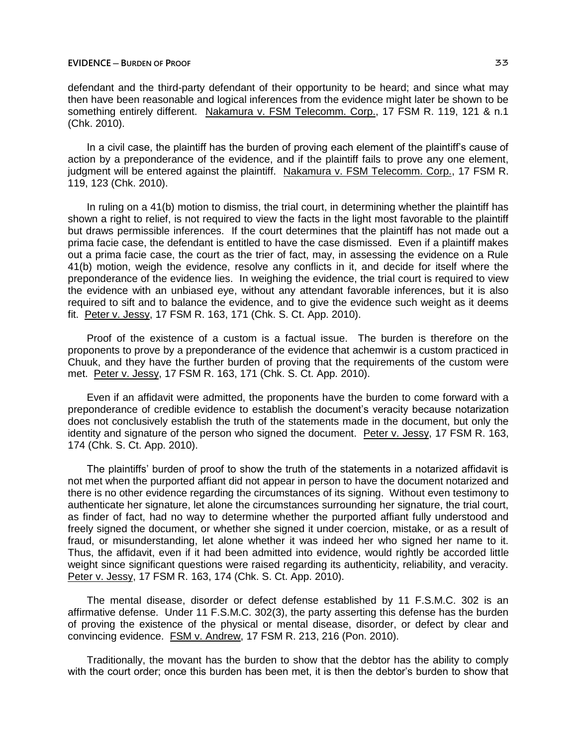defendant and the third-party defendant of their opportunity to be heard; and since what may then have been reasonable and logical inferences from the evidence might later be shown to be something entirely different. Nakamura v. FSM Telecomm. Corp., 17 FSM R. 119, 121 & n.1 (Chk. 2010).

In a civil case, the plaintiff has the burden of proving each element of the plaintiff's cause of action by a preponderance of the evidence, and if the plaintiff fails to prove any one element, judgment will be entered against the plaintiff. Nakamura v. FSM Telecomm. Corp., 17 FSM R. 119, 123 (Chk. 2010).

In ruling on a 41(b) motion to dismiss, the trial court, in determining whether the plaintiff has shown a right to relief, is not required to view the facts in the light most favorable to the plaintiff but draws permissible inferences. If the court determines that the plaintiff has not made out a prima facie case, the defendant is entitled to have the case dismissed. Even if a plaintiff makes out a prima facie case, the court as the trier of fact, may, in assessing the evidence on a Rule 41(b) motion, weigh the evidence, resolve any conflicts in it, and decide for itself where the preponderance of the evidence lies. In weighing the evidence, the trial court is required to view the evidence with an unbiased eye, without any attendant favorable inferences, but it is also required to sift and to balance the evidence, and to give the evidence such weight as it deems fit. Peter v. Jessy, 17 FSM R. 163, 171 (Chk. S. Ct. App. 2010).

Proof of the existence of a custom is a factual issue. The burden is therefore on the proponents to prove by a preponderance of the evidence that achemwir is a custom practiced in Chuuk, and they have the further burden of proving that the requirements of the custom were met. Peter v. Jessy, 17 FSM R. 163, 171 (Chk. S. Ct. App. 2010).

Even if an affidavit were admitted, the proponents have the burden to come forward with a preponderance of credible evidence to establish the document's veracity because notarization does not conclusively establish the truth of the statements made in the document, but only the identity and signature of the person who signed the document. Peter v. Jessy, 17 FSM R. 163, 174 (Chk. S. Ct. App. 2010).

The plaintiffs' burden of proof to show the truth of the statements in a notarized affidavit is not met when the purported affiant did not appear in person to have the document notarized and there is no other evidence regarding the circumstances of its signing. Without even testimony to authenticate her signature, let alone the circumstances surrounding her signature, the trial court, as finder of fact, had no way to determine whether the purported affiant fully understood and freely signed the document, or whether she signed it under coercion, mistake, or as a result of fraud, or misunderstanding, let alone whether it was indeed her who signed her name to it. Thus, the affidavit, even if it had been admitted into evidence, would rightly be accorded little weight since significant questions were raised regarding its authenticity, reliability, and veracity. Peter v. Jessy, 17 FSM R. 163, 174 (Chk. S. Ct. App. 2010).

The mental disease, disorder or defect defense established by 11 F.S.M.C. 302 is an affirmative defense. Under 11 F.S.M.C. 302(3), the party asserting this defense has the burden of proving the existence of the physical or mental disease, disorder, or defect by clear and convincing evidence. FSM v. Andrew, 17 FSM R. 213, 216 (Pon. 2010).

Traditionally, the movant has the burden to show that the debtor has the ability to comply with the court order; once this burden has been met, it is then the debtor's burden to show that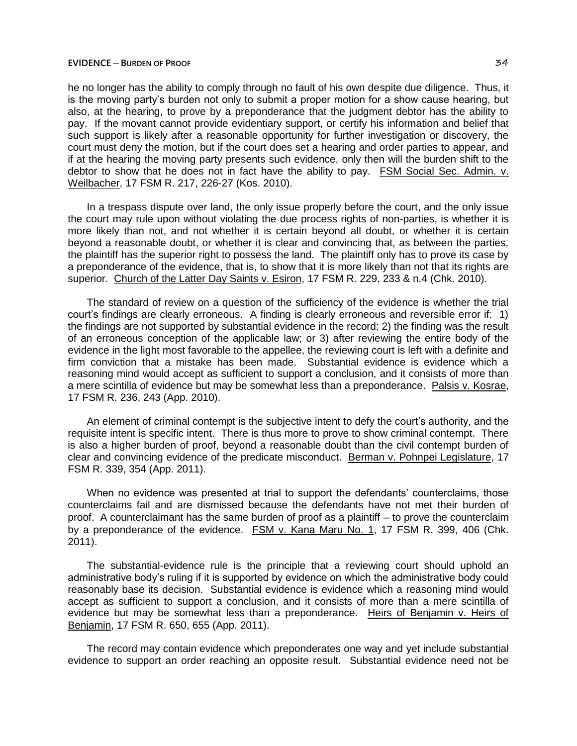he no longer has the ability to comply through no fault of his own despite due diligence. Thus, it is the moving party's burden not only to submit a proper motion for a show cause hearing, but also, at the hearing, to prove by a preponderance that the judgment debtor has the ability to pay. If the movant cannot provide evidentiary support, or certify his information and belief that such support is likely after a reasonable opportunity for further investigation or discovery, the court must deny the motion, but if the court does set a hearing and order parties to appear, and if at the hearing the moving party presents such evidence, only then will the burden shift to the debtor to show that he does not in fact have the ability to pay. FSM Social Sec. Admin. v. Weilbacher, 17 FSM R. 217, 226-27 (Kos. 2010).

In a trespass dispute over land, the only issue properly before the court, and the only issue the court may rule upon without violating the due process rights of non-parties, is whether it is more likely than not, and not whether it is certain beyond all doubt, or whether it is certain beyond a reasonable doubt, or whether it is clear and convincing that, as between the parties, the plaintiff has the superior right to possess the land. The plaintiff only has to prove its case by a preponderance of the evidence, that is, to show that it is more likely than not that its rights are superior. Church of the Latter Day Saints v. Esiron, 17 FSM R. 229, 233 & n.4 (Chk. 2010).

The standard of review on a question of the sufficiency of the evidence is whether the trial court's findings are clearly erroneous. A finding is clearly erroneous and reversible error if: 1) the findings are not supported by substantial evidence in the record; 2) the finding was the result of an erroneous conception of the applicable law; or 3) after reviewing the entire body of the evidence in the light most favorable to the appellee, the reviewing court is left with a definite and firm conviction that a mistake has been made. Substantial evidence is evidence which a reasoning mind would accept as sufficient to support a conclusion, and it consists of more than a mere scintilla of evidence but may be somewhat less than a preponderance. Palsis v. Kosrae, 17 FSM R. 236, 243 (App. 2010).

An element of criminal contempt is the subjective intent to defy the court's authority, and the requisite intent is specific intent. There is thus more to prove to show criminal contempt. There is also a higher burden of proof, beyond a reasonable doubt than the civil contempt burden of clear and convincing evidence of the predicate misconduct. Berman v. Pohnpei Legislature, 17 FSM R. 339, 354 (App. 2011).

When no evidence was presented at trial to support the defendants' counterclaims, those counterclaims fail and are dismissed because the defendants have not met their burden of proof. A counterclaimant has the same burden of proof as a plaintiff ─ to prove the counterclaim by a preponderance of the evidence. FSM v. Kana Maru No. 1, 17 FSM R. 399, 406 (Chk. 2011).

The substantial-evidence rule is the principle that a reviewing court should uphold an administrative body's ruling if it is supported by evidence on which the administrative body could reasonably base its decision. Substantial evidence is evidence which a reasoning mind would accept as sufficient to support a conclusion, and it consists of more than a mere scintilla of evidence but may be somewhat less than a preponderance. Heirs of Benjamin v. Heirs of Benjamin, 17 FSM R. 650, 655 (App. 2011).

The record may contain evidence which preponderates one way and yet include substantial evidence to support an order reaching an opposite result. Substantial evidence need not be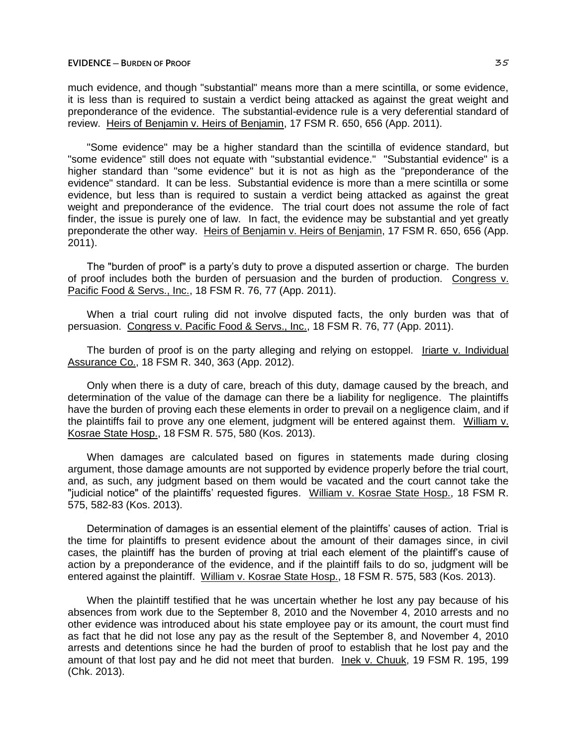much evidence, and though "substantial" means more than a mere scintilla, or some evidence, it is less than is required to sustain a verdict being attacked as against the great weight and preponderance of the evidence. The substantial-evidence rule is a very deferential standard of review. Heirs of Benjamin v. Heirs of Benjamin, 17 FSM R. 650, 656 (App. 2011).

"Some evidence" may be a higher standard than the scintilla of evidence standard, but "some evidence" still does not equate with "substantial evidence." "Substantial evidence" is a higher standard than "some evidence" but it is not as high as the "preponderance of the evidence" standard. It can be less. Substantial evidence is more than a mere scintilla or some evidence, but less than is required to sustain a verdict being attacked as against the great weight and preponderance of the evidence. The trial court does not assume the role of fact finder, the issue is purely one of law. In fact, the evidence may be substantial and yet greatly preponderate the other way. Heirs of Benjamin v. Heirs of Benjamin, 17 FSM R. 650, 656 (App. 2011).

The "burden of proof" is a party's duty to prove a disputed assertion or charge. The burden of proof includes both the burden of persuasion and the burden of production. Congress v. Pacific Food & Servs., Inc., 18 FSM R. 76, 77 (App. 2011).

When a trial court ruling did not involve disputed facts, the only burden was that of persuasion. Congress v. Pacific Food & Servs., Inc., 18 FSM R. 76, 77 (App. 2011).

The burden of proof is on the party alleging and relying on estoppel. Iriarte v. Individual Assurance Co., 18 FSM R. 340, 363 (App. 2012).

Only when there is a duty of care, breach of this duty, damage caused by the breach, and determination of the value of the damage can there be a liability for negligence. The plaintiffs have the burden of proving each these elements in order to prevail on a negligence claim, and if the plaintiffs fail to prove any one element, judgment will be entered against them. William v. Kosrae State Hosp., 18 FSM R. 575, 580 (Kos. 2013).

When damages are calculated based on figures in statements made during closing argument, those damage amounts are not supported by evidence properly before the trial court, and, as such, any judgment based on them would be vacated and the court cannot take the "judicial notice" of the plaintiffs' requested figures. William v. Kosrae State Hosp., 18 FSM R. 575, 582-83 (Kos. 2013).

Determination of damages is an essential element of the plaintiffs' causes of action. Trial is the time for plaintiffs to present evidence about the amount of their damages since, in civil cases, the plaintiff has the burden of proving at trial each element of the plaintiff's cause of action by a preponderance of the evidence, and if the plaintiff fails to do so, judgment will be entered against the plaintiff. William v. Kosrae State Hosp., 18 FSM R. 575, 583 (Kos. 2013).

When the plaintiff testified that he was uncertain whether he lost any pay because of his absences from work due to the September 8, 2010 and the November 4, 2010 arrests and no other evidence was introduced about his state employee pay or its amount, the court must find as fact that he did not lose any pay as the result of the September 8, and November 4, 2010 arrests and detentions since he had the burden of proof to establish that he lost pay and the amount of that lost pay and he did not meet that burden. Inek v. Chuuk, 19 FSM R. 195, 199 (Chk. 2013).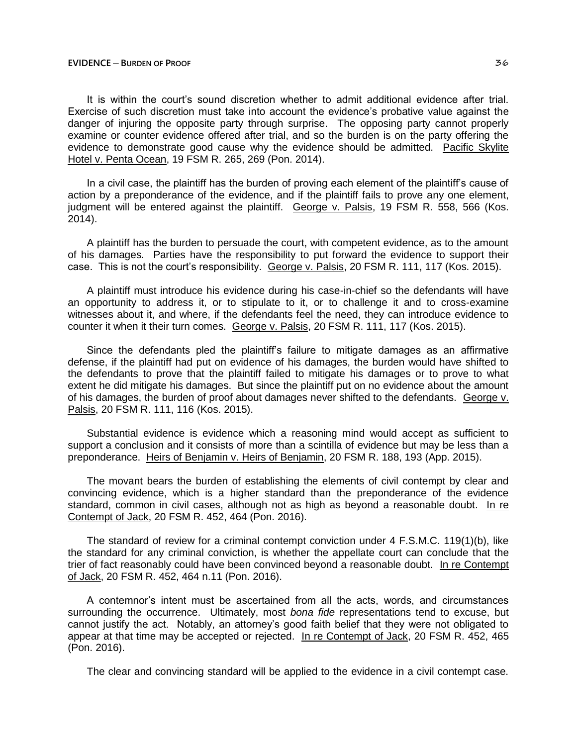It is within the court's sound discretion whether to admit additional evidence after trial. Exercise of such discretion must take into account the evidence's probative value against the danger of injuring the opposite party through surprise. The opposing party cannot properly examine or counter evidence offered after trial, and so the burden is on the party offering the evidence to demonstrate good cause why the evidence should be admitted. Pacific Skylite Hotel v. Penta Ocean, 19 FSM R. 265, 269 (Pon. 2014).

In a civil case, the plaintiff has the burden of proving each element of the plaintiff's cause of action by a preponderance of the evidence, and if the plaintiff fails to prove any one element, judgment will be entered against the plaintiff. George v. Palsis, 19 FSM R. 558, 566 (Kos. 2014).

A plaintiff has the burden to persuade the court, with competent evidence, as to the amount of his damages. Parties have the responsibility to put forward the evidence to support their case. This is not the court's responsibility. George v. Palsis, 20 FSM R. 111, 117 (Kos. 2015).

A plaintiff must introduce his evidence during his case-in-chief so the defendants will have an opportunity to address it, or to stipulate to it, or to challenge it and to cross-examine witnesses about it, and where, if the defendants feel the need, they can introduce evidence to counter it when it their turn comes. George v. Palsis, 20 FSM R. 111, 117 (Kos. 2015).

Since the defendants pled the plaintiff's failure to mitigate damages as an affirmative defense, if the plaintiff had put on evidence of his damages, the burden would have shifted to the defendants to prove that the plaintiff failed to mitigate his damages or to prove to what extent he did mitigate his damages. But since the plaintiff put on no evidence about the amount of his damages, the burden of proof about damages never shifted to the defendants. George v. Palsis, 20 FSM R. 111, 116 (Kos. 2015).

Substantial evidence is evidence which a reasoning mind would accept as sufficient to support a conclusion and it consists of more than a scintilla of evidence but may be less than a preponderance. Heirs of Benjamin v. Heirs of Benjamin, 20 FSM R. 188, 193 (App. 2015).

The movant bears the burden of establishing the elements of civil contempt by clear and convincing evidence, which is a higher standard than the preponderance of the evidence standard, common in civil cases, although not as high as beyond a reasonable doubt. In re Contempt of Jack, 20 FSM R. 452, 464 (Pon. 2016).

The standard of review for a criminal contempt conviction under 4 F.S.M.C. 119(1)(b), like the standard for any criminal conviction, is whether the appellate court can conclude that the trier of fact reasonably could have been convinced beyond a reasonable doubt. In re Contempt of Jack, 20 FSM R. 452, 464 n.11 (Pon. 2016).

A contemnor's intent must be ascertained from all the acts, words, and circumstances surrounding the occurrence. Ultimately, most *bona fide* representations tend to excuse, but cannot justify the act. Notably, an attorney's good faith belief that they were not obligated to appear at that time may be accepted or rejected. In re Contempt of Jack, 20 FSM R. 452, 465 (Pon. 2016).

The clear and convincing standard will be applied to the evidence in a civil contempt case.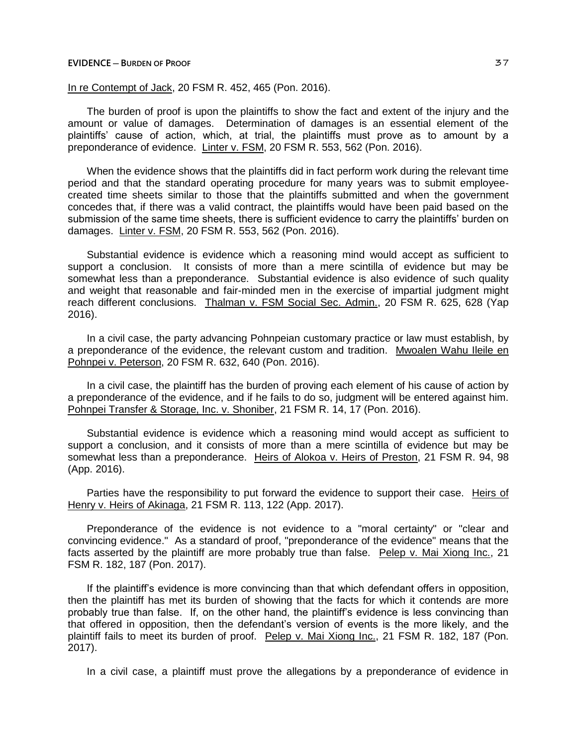#### **EVIDENCE ─ BURDEN OF PROOF** 37

In re Contempt of Jack, 20 FSM R. 452, 465 (Pon. 2016).

The burden of proof is upon the plaintiffs to show the fact and extent of the injury and the amount or value of damages. Determination of damages is an essential element of the plaintiffs' cause of action, which, at trial, the plaintiffs must prove as to amount by a preponderance of evidence. Linter v. FSM, 20 FSM R. 553, 562 (Pon. 2016).

When the evidence shows that the plaintiffs did in fact perform work during the relevant time period and that the standard operating procedure for many years was to submit employeecreated time sheets similar to those that the plaintiffs submitted and when the government concedes that, if there was a valid contract, the plaintiffs would have been paid based on the submission of the same time sheets, there is sufficient evidence to carry the plaintiffs' burden on damages. Linter v. FSM, 20 FSM R. 553, 562 (Pon. 2016).

Substantial evidence is evidence which a reasoning mind would accept as sufficient to support a conclusion. It consists of more than a mere scintilla of evidence but may be somewhat less than a preponderance. Substantial evidence is also evidence of such quality and weight that reasonable and fair-minded men in the exercise of impartial judgment might reach different conclusions. Thalman v. FSM Social Sec. Admin., 20 FSM R. 625, 628 (Yap 2016).

In a civil case, the party advancing Pohnpeian customary practice or law must establish, by a preponderance of the evidence, the relevant custom and tradition. Mwoalen Wahu Ileile en Pohnpei v. Peterson, 20 FSM R. 632, 640 (Pon. 2016).

In a civil case, the plaintiff has the burden of proving each element of his cause of action by a preponderance of the evidence, and if he fails to do so, judgment will be entered against him. Pohnpei Transfer & Storage, Inc. v. Shoniber, 21 FSM R. 14, 17 (Pon. 2016).

Substantial evidence is evidence which a reasoning mind would accept as sufficient to support a conclusion, and it consists of more than a mere scintilla of evidence but may be somewhat less than a preponderance. Heirs of Alokoa v. Heirs of Preston, 21 FSM R. 94, 98 (App. 2016).

Parties have the responsibility to put forward the evidence to support their case. Heirs of Henry v. Heirs of Akinaga, 21 FSM R. 113, 122 (App. 2017).

Preponderance of the evidence is not evidence to a "moral certainty" or "clear and convincing evidence." As a standard of proof, "preponderance of the evidence" means that the facts asserted by the plaintiff are more probably true than false. Pelep v. Mai Xiong Inc., 21 FSM R. 182, 187 (Pon. 2017).

If the plaintiff's evidence is more convincing than that which defendant offers in opposition, then the plaintiff has met its burden of showing that the facts for which it contends are more probably true than false. If, on the other hand, the plaintiff's evidence is less convincing than that offered in opposition, then the defendant's version of events is the more likely, and the plaintiff fails to meet its burden of proof. Pelep v. Mai Xiong Inc., 21 FSM R. 182, 187 (Pon. 2017).

In a civil case, a plaintiff must prove the allegations by a preponderance of evidence in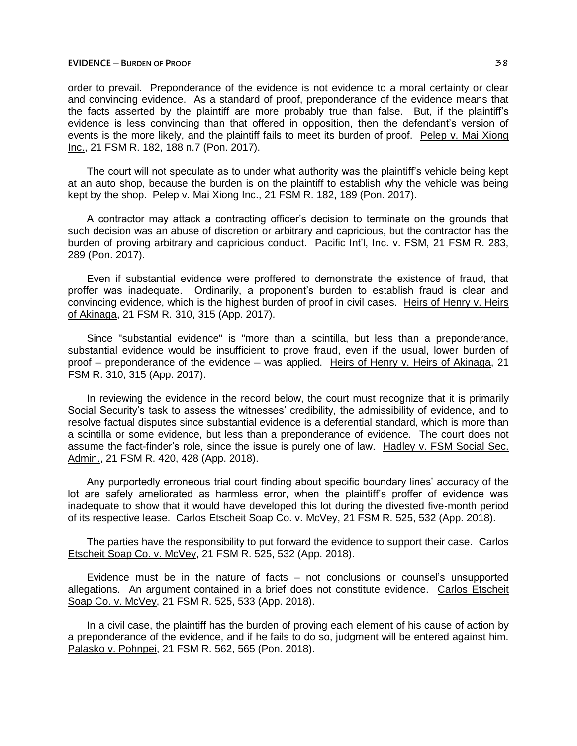### **EVIDENCE ─ BURDEN OF PROOF** 38

order to prevail. Preponderance of the evidence is not evidence to a moral certainty or clear and convincing evidence. As a standard of proof, preponderance of the evidence means that the facts asserted by the plaintiff are more probably true than false. But, if the plaintiff's evidence is less convincing than that offered in opposition, then the defendant's version of events is the more likely, and the plaintiff fails to meet its burden of proof. Pelep v. Mai Xiong Inc., 21 FSM R. 182, 188 n.7 (Pon. 2017).

The court will not speculate as to under what authority was the plaintiff's vehicle being kept at an auto shop, because the burden is on the plaintiff to establish why the vehicle was being kept by the shop. Pelep v. Mai Xiong Inc., 21 FSM R. 182, 189 (Pon. 2017).

A contractor may attack a contracting officer's decision to terminate on the grounds that such decision was an abuse of discretion or arbitrary and capricious, but the contractor has the burden of proving arbitrary and capricious conduct. Pacific Int'l, Inc. v. FSM, 21 FSM R. 283, 289 (Pon. 2017).

Even if substantial evidence were proffered to demonstrate the existence of fraud, that proffer was inadequate. Ordinarily, a proponent's burden to establish fraud is clear and convincing evidence, which is the highest burden of proof in civil cases. Heirs of Henry v. Heirs of Akinaga, 21 FSM R. 310, 315 (App. 2017).

Since "substantial evidence" is "more than a scintilla, but less than a preponderance, substantial evidence would be insufficient to prove fraud, even if the usual, lower burden of proof – preponderance of the evidence – was applied. Heirs of Henry v. Heirs of Akinaga, 21 FSM R. 310, 315 (App. 2017).

In reviewing the evidence in the record below, the court must recognize that it is primarily Social Security's task to assess the witnesses' credibility, the admissibility of evidence, and to resolve factual disputes since substantial evidence is a deferential standard, which is more than a scintilla or some evidence, but less than a preponderance of evidence. The court does not assume the fact-finder's role, since the issue is purely one of law. Hadley v. FSM Social Sec. Admin., 21 FSM R. 420, 428 (App. 2018).

Any purportedly erroneous trial court finding about specific boundary lines' accuracy of the lot are safely ameliorated as harmless error, when the plaintiff's proffer of evidence was inadequate to show that it would have developed this lot during the divested five-month period of its respective lease. Carlos Etscheit Soap Co. v. McVey, 21 FSM R. 525, 532 (App. 2018).

The parties have the responsibility to put forward the evidence to support their case. Carlos Etscheit Soap Co. v. McVey, 21 FSM R. 525, 532 (App. 2018).

Evidence must be in the nature of facts – not conclusions or counsel's unsupported allegations. An argument contained in a brief does not constitute evidence. Carlos Etscheit Soap Co. v. McVey, 21 FSM R. 525, 533 (App. 2018).

In a civil case, the plaintiff has the burden of proving each element of his cause of action by a preponderance of the evidence, and if he fails to do so, judgment will be entered against him. Palasko v. Pohnpei, 21 FSM R. 562, 565 (Pon. 2018).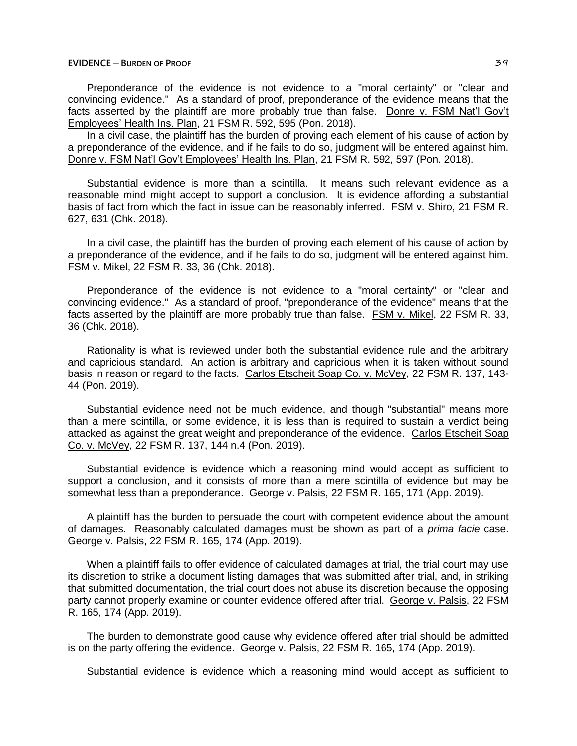#### **EVIDENCE ─ BURDEN OF PROOF** 39

Preponderance of the evidence is not evidence to a "moral certainty" or "clear and convincing evidence." As a standard of proof, preponderance of the evidence means that the facts asserted by the plaintiff are more probably true than false. Donre v. FSM Nat'l Gov't Employees' Health Ins. Plan, 21 FSM R. 592, 595 (Pon. 2018).

In a civil case, the plaintiff has the burden of proving each element of his cause of action by a preponderance of the evidence, and if he fails to do so, judgment will be entered against him. Donre v. FSM Nat'l Gov't Employees' Health Ins. Plan, 21 FSM R. 592, 597 (Pon. 2018).

Substantial evidence is more than a scintilla. It means such relevant evidence as a reasonable mind might accept to support a conclusion. It is evidence affording a substantial basis of fact from which the fact in issue can be reasonably inferred. FSM v. Shiro, 21 FSM R. 627, 631 (Chk. 2018).

In a civil case, the plaintiff has the burden of proving each element of his cause of action by a preponderance of the evidence, and if he fails to do so, judgment will be entered against him. FSM v. Mikel, 22 FSM R. 33, 36 (Chk. 2018).

Preponderance of the evidence is not evidence to a "moral certainty" or "clear and convincing evidence." As a standard of proof, "preponderance of the evidence" means that the facts asserted by the plaintiff are more probably true than false. FSM v. Mikel, 22 FSM R. 33, 36 (Chk. 2018).

Rationality is what is reviewed under both the substantial evidence rule and the arbitrary and capricious standard. An action is arbitrary and capricious when it is taken without sound basis in reason or regard to the facts. Carlos Etscheit Soap Co. v. McVey, 22 FSM R. 137, 143-44 (Pon. 2019).

Substantial evidence need not be much evidence, and though "substantial" means more than a mere scintilla, or some evidence, it is less than is required to sustain a verdict being attacked as against the great weight and preponderance of the evidence. Carlos Etscheit Soap Co. v. McVey, 22 FSM R. 137, 144 n.4 (Pon. 2019).

Substantial evidence is evidence which a reasoning mind would accept as sufficient to support a conclusion, and it consists of more than a mere scintilla of evidence but may be somewhat less than a preponderance. George v. Palsis, 22 FSM R. 165, 171 (App. 2019).

A plaintiff has the burden to persuade the court with competent evidence about the amount of damages. Reasonably calculated damages must be shown as part of a *prima facie* case. George v. Palsis, 22 FSM R. 165, 174 (App. 2019).

When a plaintiff fails to offer evidence of calculated damages at trial, the trial court may use its discretion to strike a document listing damages that was submitted after trial, and, in striking that submitted documentation, the trial court does not abuse its discretion because the opposing party cannot properly examine or counter evidence offered after trial. George v. Palsis, 22 FSM R. 165, 174 (App. 2019).

The burden to demonstrate good cause why evidence offered after trial should be admitted is on the party offering the evidence. George v. Palsis, 22 FSM R. 165, 174 (App. 2019).

Substantial evidence is evidence which a reasoning mind would accept as sufficient to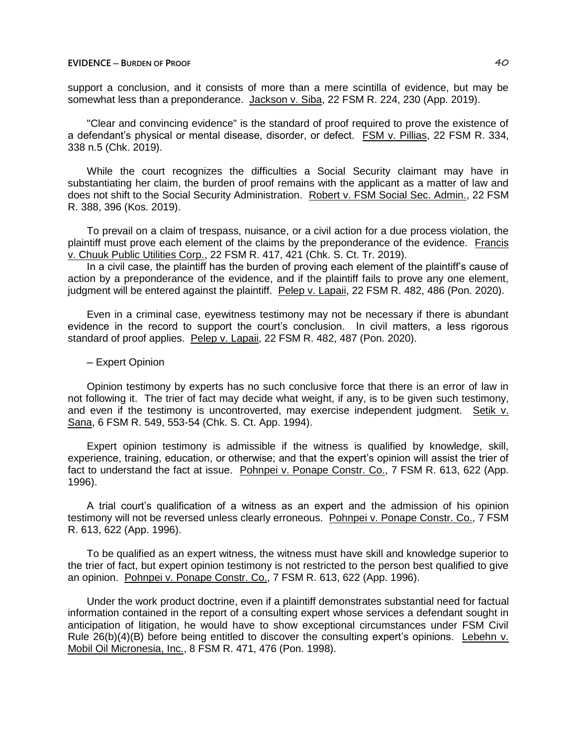support a conclusion, and it consists of more than a mere scintilla of evidence, but may be somewhat less than a preponderance. Jackson v. Siba, 22 FSM R. 224, 230 (App. 2019).

"Clear and convincing evidence" is the standard of proof required to prove the existence of a defendant's physical or mental disease, disorder, or defect. FSM v. Pillias, 22 FSM R. 334, 338 n.5 (Chk. 2019).

While the court recognizes the difficulties a Social Security claimant may have in substantiating her claim, the burden of proof remains with the applicant as a matter of law and does not shift to the Social Security Administration. Robert v. FSM Social Sec. Admin., 22 FSM R. 388, 396 (Kos. 2019).

To prevail on a claim of trespass, nuisance, or a civil action for a due process violation, the plaintiff must prove each element of the claims by the preponderance of the evidence. Francis v. Chuuk Public Utilities Corp., 22 FSM R. 417, 421 (Chk. S. Ct. Tr. 2019).

In a civil case, the plaintiff has the burden of proving each element of the plaintiff's cause of action by a preponderance of the evidence, and if the plaintiff fails to prove any one element, judgment will be entered against the plaintiff. Pelep v. Lapaii, 22 FSM R. 482, 486 (Pon. 2020).

Even in a criminal case, eyewitness testimony may not be necessary if there is abundant evidence in the record to support the court's conclusion. In civil matters, a less rigorous standard of proof applies. Pelep v. Lapaii, 22 FSM R. 482, 487 (Pon. 2020).

# ─ Expert Opinion

Opinion testimony by experts has no such conclusive force that there is an error of law in not following it. The trier of fact may decide what weight, if any, is to be given such testimony, and even if the testimony is uncontroverted, may exercise independent judgment. Setik v. Sana, 6 FSM R. 549, 553-54 (Chk. S. Ct. App. 1994).

Expert opinion testimony is admissible if the witness is qualified by knowledge, skill, experience, training, education, or otherwise; and that the expert's opinion will assist the trier of fact to understand the fact at issue. Pohnpei v. Ponape Constr. Co., 7 FSM R. 613, 622 (App. 1996).

A trial court's qualification of a witness as an expert and the admission of his opinion testimony will not be reversed unless clearly erroneous. Pohnpei v. Ponape Constr. Co., 7 FSM R. 613, 622 (App. 1996).

To be qualified as an expert witness, the witness must have skill and knowledge superior to the trier of fact, but expert opinion testimony is not restricted to the person best qualified to give an opinion. Pohnpei v. Ponape Constr. Co., 7 FSM R. 613, 622 (App. 1996).

Under the work product doctrine, even if a plaintiff demonstrates substantial need for factual information contained in the report of a consulting expert whose services a defendant sought in anticipation of litigation, he would have to show exceptional circumstances under FSM Civil Rule 26(b)(4)(B) before being entitled to discover the consulting expert's opinions. Lebehn v. Mobil Oil Micronesia, Inc., 8 FSM R. 471, 476 (Pon. 1998).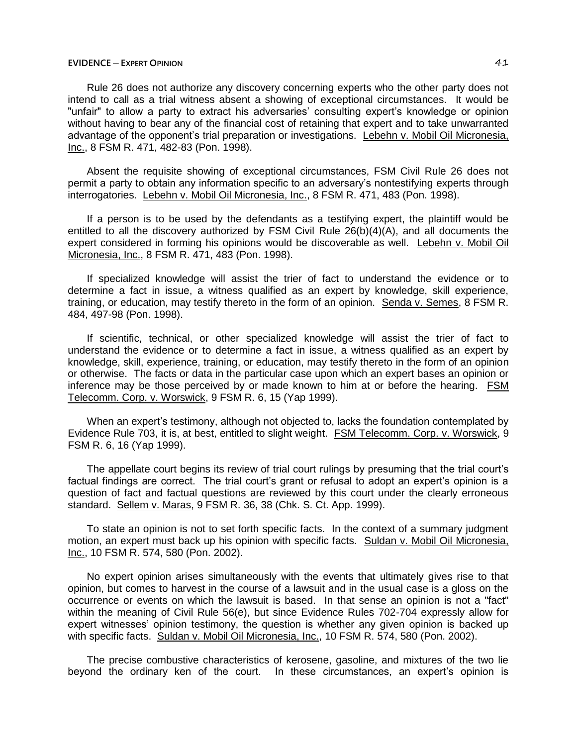Rule 26 does not authorize any discovery concerning experts who the other party does not intend to call as a trial witness absent a showing of exceptional circumstances. It would be "unfair" to allow a party to extract his adversaries' consulting expert's knowledge or opinion without having to bear any of the financial cost of retaining that expert and to take unwarranted advantage of the opponent's trial preparation or investigations. Lebehn v. Mobil Oil Micronesia, Inc., 8 FSM R. 471, 482-83 (Pon. 1998).

Absent the requisite showing of exceptional circumstances, FSM Civil Rule 26 does not permit a party to obtain any information specific to an adversary's nontestifying experts through interrogatories. Lebehn v. Mobil Oil Micronesia, Inc., 8 FSM R. 471, 483 (Pon. 1998).

If a person is to be used by the defendants as a testifying expert, the plaintiff would be entitled to all the discovery authorized by FSM Civil Rule  $26(b)(4)(A)$ , and all documents the expert considered in forming his opinions would be discoverable as well. Lebehn v. Mobil Oil Micronesia, Inc., 8 FSM R. 471, 483 (Pon. 1998).

If specialized knowledge will assist the trier of fact to understand the evidence or to determine a fact in issue, a witness qualified as an expert by knowledge, skill experience, training, or education, may testify thereto in the form of an opinion. Senda v. Semes, 8 FSM R. 484, 497-98 (Pon. 1998).

If scientific, technical, or other specialized knowledge will assist the trier of fact to understand the evidence or to determine a fact in issue, a witness qualified as an expert by knowledge, skill, experience, training, or education, may testify thereto in the form of an opinion or otherwise. The facts or data in the particular case upon which an expert bases an opinion or inference may be those perceived by or made known to him at or before the hearing. FSM Telecomm. Corp. v. Worswick, 9 FSM R. 6, 15 (Yap 1999).

When an expert's testimony, although not objected to, lacks the foundation contemplated by Evidence Rule 703, it is, at best, entitled to slight weight. FSM Telecomm. Corp. v. Worswick, 9 FSM R. 6, 16 (Yap 1999).

The appellate court begins its review of trial court rulings by presuming that the trial court's factual findings are correct. The trial court's grant or refusal to adopt an expert's opinion is a question of fact and factual questions are reviewed by this court under the clearly erroneous standard. Sellem v. Maras, 9 FSM R. 36, 38 (Chk. S. Ct. App. 1999).

To state an opinion is not to set forth specific facts. In the context of a summary judgment motion, an expert must back up his opinion with specific facts. Suldan v. Mobil Oil Micronesia, Inc., 10 FSM R. 574, 580 (Pon. 2002).

No expert opinion arises simultaneously with the events that ultimately gives rise to that opinion, but comes to harvest in the course of a lawsuit and in the usual case is a gloss on the occurrence or events on which the lawsuit is based. In that sense an opinion is not a "fact" within the meaning of Civil Rule 56(e), but since Evidence Rules 702-704 expressly allow for expert witnesses' opinion testimony, the question is whether any given opinion is backed up with specific facts. Suldan v. Mobil Oil Micronesia, Inc., 10 FSM R. 574, 580 (Pon. 2002).

The precise combustive characteristics of kerosene, gasoline, and mixtures of the two lie beyond the ordinary ken of the court. In these circumstances, an expert's opinion is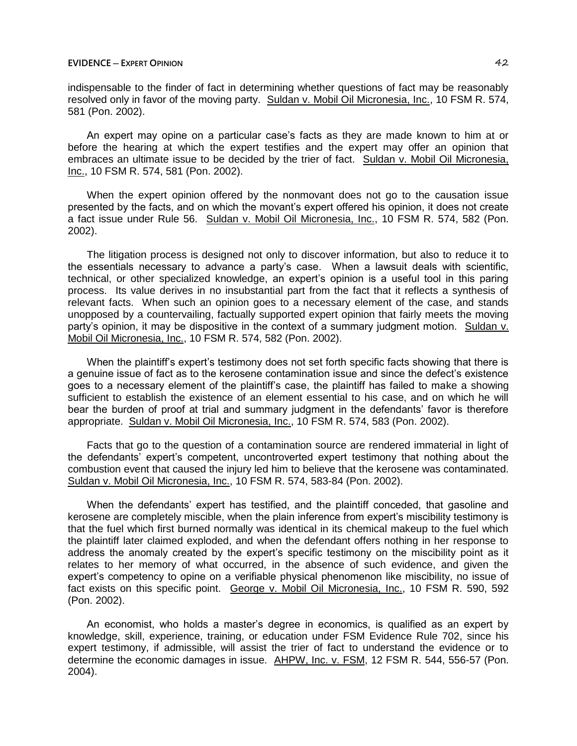indispensable to the finder of fact in determining whether questions of fact may be reasonably resolved only in favor of the moving party. Suldan v. Mobil Oil Micronesia, Inc., 10 FSM R. 574, 581 (Pon. 2002).

An expert may opine on a particular case's facts as they are made known to him at or before the hearing at which the expert testifies and the expert may offer an opinion that embraces an ultimate issue to be decided by the trier of fact. Suldan v. Mobil Oil Micronesia, Inc., 10 FSM R. 574, 581 (Pon. 2002).

When the expert opinion offered by the nonmovant does not go to the causation issue presented by the facts, and on which the movant's expert offered his opinion, it does not create a fact issue under Rule 56. Suldan v. Mobil Oil Micronesia, Inc., 10 FSM R. 574, 582 (Pon. 2002).

The litigation process is designed not only to discover information, but also to reduce it to the essentials necessary to advance a party's case. When a lawsuit deals with scientific, technical, or other specialized knowledge, an expert's opinion is a useful tool in this paring process. Its value derives in no insubstantial part from the fact that it reflects a synthesis of relevant facts. When such an opinion goes to a necessary element of the case, and stands unopposed by a countervailing, factually supported expert opinion that fairly meets the moving party's opinion, it may be dispositive in the context of a summary judgment motion. Suldan v. Mobil Oil Micronesia, Inc., 10 FSM R. 574, 582 (Pon. 2002).

When the plaintiff's expert's testimony does not set forth specific facts showing that there is a genuine issue of fact as to the kerosene contamination issue and since the defect's existence goes to a necessary element of the plaintiff's case, the plaintiff has failed to make a showing sufficient to establish the existence of an element essential to his case, and on which he will bear the burden of proof at trial and summary judgment in the defendants' favor is therefore appropriate. Suldan v. Mobil Oil Micronesia, Inc., 10 FSM R. 574, 583 (Pon. 2002).

Facts that go to the question of a contamination source are rendered immaterial in light of the defendants' expert's competent, uncontroverted expert testimony that nothing about the combustion event that caused the injury led him to believe that the kerosene was contaminated. Suldan v. Mobil Oil Micronesia, Inc., 10 FSM R. 574, 583-84 (Pon. 2002).

When the defendants' expert has testified, and the plaintiff conceded, that gasoline and kerosene are completely miscible, when the plain inference from expert's miscibility testimony is that the fuel which first burned normally was identical in its chemical makeup to the fuel which the plaintiff later claimed exploded, and when the defendant offers nothing in her response to address the anomaly created by the expert's specific testimony on the miscibility point as it relates to her memory of what occurred, in the absence of such evidence, and given the expert's competency to opine on a verifiable physical phenomenon like miscibility, no issue of fact exists on this specific point. George v. Mobil Oil Micronesia, Inc., 10 FSM R. 590, 592 (Pon. 2002).

An economist, who holds a master's degree in economics, is qualified as an expert by knowledge, skill, experience, training, or education under FSM Evidence Rule 702, since his expert testimony, if admissible, will assist the trier of fact to understand the evidence or to determine the economic damages in issue. AHPW, Inc. v. FSM, 12 FSM R. 544, 556-57 (Pon. 2004).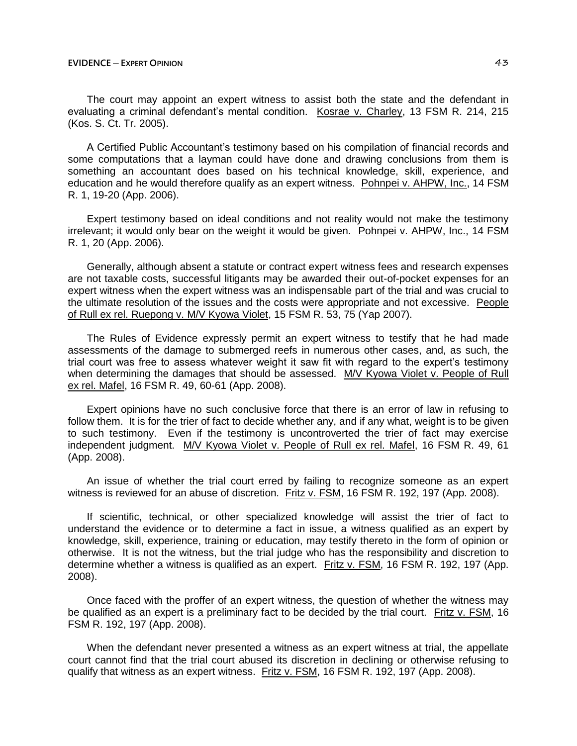The court may appoint an expert witness to assist both the state and the defendant in evaluating a criminal defendant's mental condition. Kosrae v. Charley, 13 FSM R. 214, 215 (Kos. S. Ct. Tr. 2005).

A Certified Public Accountant's testimony based on his compilation of financial records and some computations that a layman could have done and drawing conclusions from them is something an accountant does based on his technical knowledge, skill, experience, and education and he would therefore qualify as an expert witness. Pohnpei v. AHPW, Inc., 14 FSM R. 1, 19-20 (App. 2006).

Expert testimony based on ideal conditions and not reality would not make the testimony irrelevant; it would only bear on the weight it would be given. Pohnpei v. AHPW, Inc., 14 FSM R. 1, 20 (App. 2006).

Generally, although absent a statute or contract expert witness fees and research expenses are not taxable costs, successful litigants may be awarded their out-of-pocket expenses for an expert witness when the expert witness was an indispensable part of the trial and was crucial to the ultimate resolution of the issues and the costs were appropriate and not excessive. People of Rull ex rel. Ruepong v. M/V Kyowa Violet, 15 FSM R. 53, 75 (Yap 2007).

The Rules of Evidence expressly permit an expert witness to testify that he had made assessments of the damage to submerged reefs in numerous other cases, and, as such, the trial court was free to assess whatever weight it saw fit with regard to the expert's testimony when determining the damages that should be assessed. M/V Kyowa Violet v. People of Rull ex rel. Mafel, 16 FSM R. 49, 60-61 (App. 2008).

Expert opinions have no such conclusive force that there is an error of law in refusing to follow them. It is for the trier of fact to decide whether any, and if any what, weight is to be given to such testimony. Even if the testimony is uncontroverted the trier of fact may exercise independent judgment. M/V Kyowa Violet v. People of Rull ex rel. Mafel, 16 FSM R. 49, 61 (App. 2008).

An issue of whether the trial court erred by failing to recognize someone as an expert witness is reviewed for an abuse of discretion. Fritz v. FSM, 16 FSM R. 192, 197 (App. 2008).

If scientific, technical, or other specialized knowledge will assist the trier of fact to understand the evidence or to determine a fact in issue, a witness qualified as an expert by knowledge, skill, experience, training or education, may testify thereto in the form of opinion or otherwise. It is not the witness, but the trial judge who has the responsibility and discretion to determine whether a witness is qualified as an expert. Fritz v. FSM, 16 FSM R. 192, 197 (App. 2008).

Once faced with the proffer of an expert witness, the question of whether the witness may be qualified as an expert is a preliminary fact to be decided by the trial court. Fritz v. FSM, 16 FSM R. 192, 197 (App. 2008).

When the defendant never presented a witness as an expert witness at trial, the appellate court cannot find that the trial court abused its discretion in declining or otherwise refusing to qualify that witness as an expert witness. Fritz v. FSM, 16 FSM R. 192, 197 (App. 2008).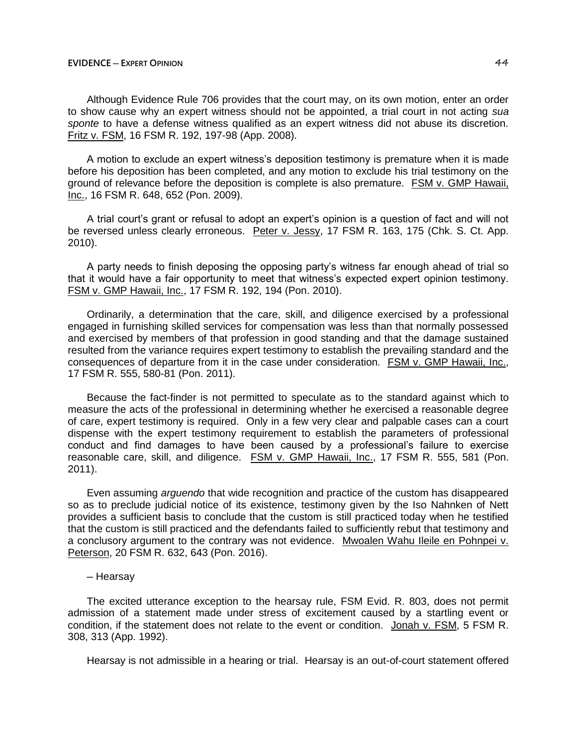Although Evidence Rule 706 provides that the court may, on its own motion, enter an order to show cause why an expert witness should not be appointed, a trial court in not acting *sua sponte* to have a defense witness qualified as an expert witness did not abuse its discretion. Fritz v. FSM, 16 FSM R. 192, 197-98 (App. 2008).

A motion to exclude an expert witness's deposition testimony is premature when it is made before his deposition has been completed, and any motion to exclude his trial testimony on the ground of relevance before the deposition is complete is also premature. FSM v. GMP Hawaii, Inc., 16 FSM R. 648, 652 (Pon. 2009).

A trial court's grant or refusal to adopt an expert's opinion is a question of fact and will not be reversed unless clearly erroneous. Peter v. Jessy, 17 FSM R. 163, 175 (Chk. S. Ct. App. 2010).

A party needs to finish deposing the opposing party's witness far enough ahead of trial so that it would have a fair opportunity to meet that witness's expected expert opinion testimony. FSM v. GMP Hawaii, Inc., 17 FSM R. 192, 194 (Pon. 2010).

Ordinarily, a determination that the care, skill, and diligence exercised by a professional engaged in furnishing skilled services for compensation was less than that normally possessed and exercised by members of that profession in good standing and that the damage sustained resulted from the variance requires expert testimony to establish the prevailing standard and the consequences of departure from it in the case under consideration. FSM v. GMP Hawaii, Inc., 17 FSM R. 555, 580-81 (Pon. 2011).

Because the fact-finder is not permitted to speculate as to the standard against which to measure the acts of the professional in determining whether he exercised a reasonable degree of care, expert testimony is required. Only in a few very clear and palpable cases can a court dispense with the expert testimony requirement to establish the parameters of professional conduct and find damages to have been caused by a professional's failure to exercise reasonable care, skill, and diligence. FSM v. GMP Hawaii, Inc., 17 FSM R. 555, 581 (Pon. 2011).

Even assuming *arguendo* that wide recognition and practice of the custom has disappeared so as to preclude judicial notice of its existence, testimony given by the Iso Nahnken of Nett provides a sufficient basis to conclude that the custom is still practiced today when he testified that the custom is still practiced and the defendants failed to sufficiently rebut that testimony and a conclusory argument to the contrary was not evidence. Mwoalen Wahu Ileile en Pohnpei v. Peterson, 20 FSM R. 632, 643 (Pon. 2016).

### ─ Hearsay

The excited utterance exception to the hearsay rule, FSM Evid. R. 803, does not permit admission of a statement made under stress of excitement caused by a startling event or condition, if the statement does not relate to the event or condition. Jonah v. FSM, 5 FSM R. 308, 313 (App. 1992).

Hearsay is not admissible in a hearing or trial. Hearsay is an out-of-court statement offered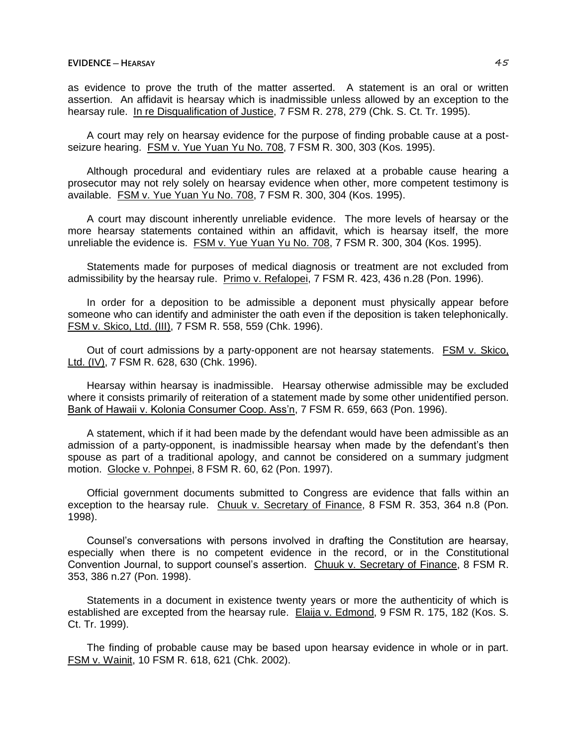as evidence to prove the truth of the matter asserted. A statement is an oral or written assertion. An affidavit is hearsay which is inadmissible unless allowed by an exception to the hearsay rule. In re Disqualification of Justice, 7 FSM R. 278, 279 (Chk. S. Ct. Tr. 1995).

A court may rely on hearsay evidence for the purpose of finding probable cause at a postseizure hearing. FSM v. Yue Yuan Yu No. 708, 7 FSM R. 300, 303 (Kos. 1995).

Although procedural and evidentiary rules are relaxed at a probable cause hearing a prosecutor may not rely solely on hearsay evidence when other, more competent testimony is available. FSM v. Yue Yuan Yu No. 708, 7 FSM R. 300, 304 (Kos. 1995).

A court may discount inherently unreliable evidence. The more levels of hearsay or the more hearsay statements contained within an affidavit, which is hearsay itself, the more unreliable the evidence is. FSM v. Yue Yuan Yu No. 708, 7 FSM R. 300, 304 (Kos. 1995).

Statements made for purposes of medical diagnosis or treatment are not excluded from admissibility by the hearsay rule. Primo v. Refalopei, 7 FSM R. 423, 436 n.28 (Pon. 1996).

In order for a deposition to be admissible a deponent must physically appear before someone who can identify and administer the oath even if the deposition is taken telephonically. FSM v. Skico, Ltd. (III), 7 FSM R. 558, 559 (Chk. 1996).

Out of court admissions by a party-opponent are not hearsay statements. FSM v. Skico, Ltd. (IV), 7 FSM R. 628, 630 (Chk. 1996).

Hearsay within hearsay is inadmissible. Hearsay otherwise admissible may be excluded where it consists primarily of reiteration of a statement made by some other unidentified person. Bank of Hawaii v. Kolonia Consumer Coop. Ass'n, 7 FSM R. 659, 663 (Pon. 1996).

A statement, which if it had been made by the defendant would have been admissible as an admission of a party-opponent, is inadmissible hearsay when made by the defendant's then spouse as part of a traditional apology, and cannot be considered on a summary judgment motion. Glocke v. Pohnpei, 8 FSM R. 60, 62 (Pon. 1997).

Official government documents submitted to Congress are evidence that falls within an exception to the hearsay rule. Chuuk v. Secretary of Finance, 8 FSM R. 353, 364 n.8 (Pon. 1998).

Counsel's conversations with persons involved in drafting the Constitution are hearsay, especially when there is no competent evidence in the record, or in the Constitutional Convention Journal, to support counsel's assertion. Chuuk v. Secretary of Finance, 8 FSM R. 353, 386 n.27 (Pon. 1998).

Statements in a document in existence twenty years or more the authenticity of which is established are excepted from the hearsay rule. Elaija v. Edmond, 9 FSM R. 175, 182 (Kos. S. Ct. Tr. 1999).

The finding of probable cause may be based upon hearsay evidence in whole or in part. FSM v. Wainit, 10 FSM R. 618, 621 (Chk. 2002).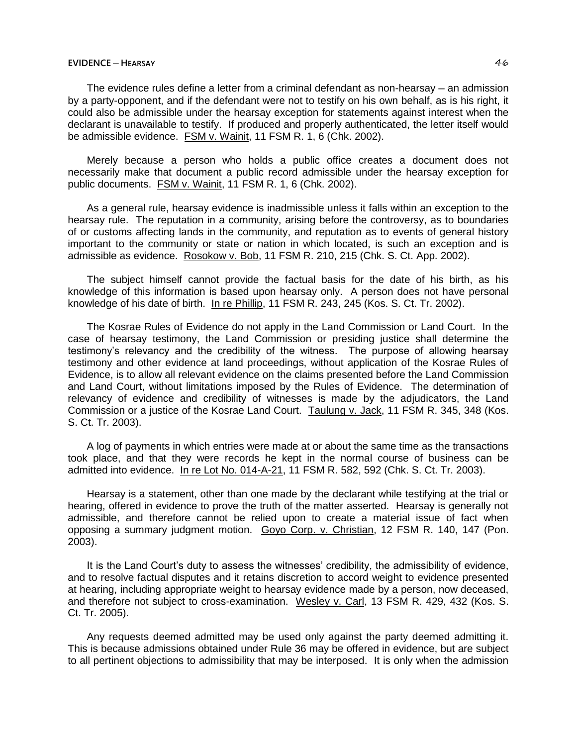## **EVIDENCE ─ HEARSAY** 46

The evidence rules define a letter from a criminal defendant as non-hearsay - an admission by a party-opponent, and if the defendant were not to testify on his own behalf, as is his right, it could also be admissible under the hearsay exception for statements against interest when the declarant is unavailable to testify. If produced and properly authenticated, the letter itself would be admissible evidence. FSM v. Wainit, 11 FSM R. 1, 6 (Chk. 2002).

Merely because a person who holds a public office creates a document does not necessarily make that document a public record admissible under the hearsay exception for public documents. FSM v. Wainit, 11 FSM R. 1, 6 (Chk. 2002).

As a general rule, hearsay evidence is inadmissible unless it falls within an exception to the hearsay rule. The reputation in a community, arising before the controversy, as to boundaries of or customs affecting lands in the community, and reputation as to events of general history important to the community or state or nation in which located, is such an exception and is admissible as evidence. Rosokow v. Bob, 11 FSM R. 210, 215 (Chk. S. Ct. App. 2002).

The subject himself cannot provide the factual basis for the date of his birth, as his knowledge of this information is based upon hearsay only. A person does not have personal knowledge of his date of birth. In re Phillip, 11 FSM R. 243, 245 (Kos. S. Ct. Tr. 2002).

The Kosrae Rules of Evidence do not apply in the Land Commission or Land Court. In the case of hearsay testimony, the Land Commission or presiding justice shall determine the testimony's relevancy and the credibility of the witness. The purpose of allowing hearsay testimony and other evidence at land proceedings, without application of the Kosrae Rules of Evidence, is to allow all relevant evidence on the claims presented before the Land Commission and Land Court, without limitations imposed by the Rules of Evidence. The determination of relevancy of evidence and credibility of witnesses is made by the adjudicators, the Land Commission or a justice of the Kosrae Land Court. Taulung v. Jack, 11 FSM R. 345, 348 (Kos. S. Ct. Tr. 2003).

A log of payments in which entries were made at or about the same time as the transactions took place, and that they were records he kept in the normal course of business can be admitted into evidence. In re Lot No. 014-A-21, 11 FSM R. 582, 592 (Chk. S. Ct. Tr. 2003).

Hearsay is a statement, other than one made by the declarant while testifying at the trial or hearing, offered in evidence to prove the truth of the matter asserted. Hearsay is generally not admissible, and therefore cannot be relied upon to create a material issue of fact when opposing a summary judgment motion. Goyo Corp. v. Christian, 12 FSM R. 140, 147 (Pon. 2003).

It is the Land Court's duty to assess the witnesses' credibility, the admissibility of evidence, and to resolve factual disputes and it retains discretion to accord weight to evidence presented at hearing, including appropriate weight to hearsay evidence made by a person, now deceased, and therefore not subject to cross-examination. Wesley v. Carl, 13 FSM R. 429, 432 (Kos. S. Ct. Tr. 2005).

Any requests deemed admitted may be used only against the party deemed admitting it. This is because admissions obtained under Rule 36 may be offered in evidence, but are subject to all pertinent objections to admissibility that may be interposed. It is only when the admission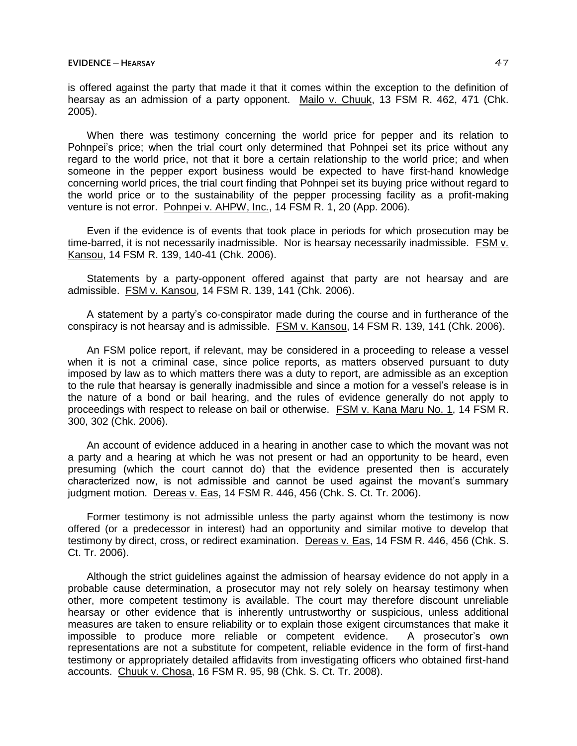is offered against the party that made it that it comes within the exception to the definition of hearsay as an admission of a party opponent. Mailo v. Chuuk, 13 FSM R. 462, 471 (Chk. 2005).

When there was testimony concerning the world price for pepper and its relation to Pohnpei's price; when the trial court only determined that Pohnpei set its price without any regard to the world price, not that it bore a certain relationship to the world price; and when someone in the pepper export business would be expected to have first-hand knowledge concerning world prices, the trial court finding that Pohnpei set its buying price without regard to the world price or to the sustainability of the pepper processing facility as a profit-making venture is not error. Pohnpei v. AHPW, Inc., 14 FSM R. 1, 20 (App. 2006).

Even if the evidence is of events that took place in periods for which prosecution may be time-barred, it is not necessarily inadmissible. Nor is hearsay necessarily inadmissible. FSM v. Kansou, 14 FSM R. 139, 140-41 (Chk. 2006).

Statements by a party-opponent offered against that party are not hearsay and are admissible. FSM v. Kansou, 14 FSM R. 139, 141 (Chk. 2006).

A statement by a party's co-conspirator made during the course and in furtherance of the conspiracy is not hearsay and is admissible. **FSM v. Kansou**, 14 FSM R. 139, 141 (Chk. 2006).

An FSM police report, if relevant, may be considered in a proceeding to release a vessel when it is not a criminal case, since police reports, as matters observed pursuant to duty imposed by law as to which matters there was a duty to report, are admissible as an exception to the rule that hearsay is generally inadmissible and since a motion for a vessel's release is in the nature of a bond or bail hearing, and the rules of evidence generally do not apply to proceedings with respect to release on bail or otherwise. FSM v. Kana Maru No. 1, 14 FSM R. 300, 302 (Chk. 2006).

An account of evidence adduced in a hearing in another case to which the movant was not a party and a hearing at which he was not present or had an opportunity to be heard, even presuming (which the court cannot do) that the evidence presented then is accurately characterized now, is not admissible and cannot be used against the movant's summary judgment motion. Dereas v. Eas, 14 FSM R. 446, 456 (Chk. S. Ct. Tr. 2006).

Former testimony is not admissible unless the party against whom the testimony is now offered (or a predecessor in interest) had an opportunity and similar motive to develop that testimony by direct, cross, or redirect examination. Dereas v. Eas, 14 FSM R. 446, 456 (Chk. S. Ct. Tr. 2006).

Although the strict guidelines against the admission of hearsay evidence do not apply in a probable cause determination, a prosecutor may not rely solely on hearsay testimony when other, more competent testimony is available. The court may therefore discount unreliable hearsay or other evidence that is inherently untrustworthy or suspicious, unless additional measures are taken to ensure reliability or to explain those exigent circumstances that make it impossible to produce more reliable or competent evidence. A prosecutor's own representations are not a substitute for competent, reliable evidence in the form of first-hand testimony or appropriately detailed affidavits from investigating officers who obtained first-hand accounts. Chuuk v. Chosa, 16 FSM R. 95, 98 (Chk. S. Ct. Tr. 2008).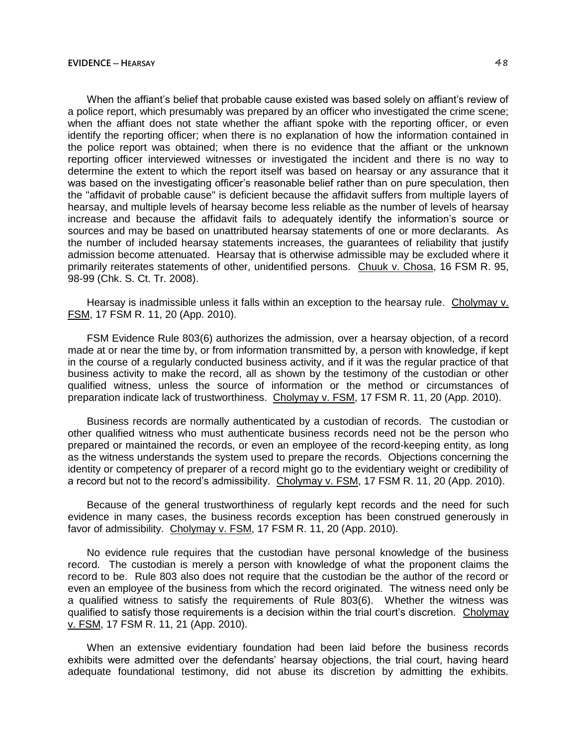When the affiant's belief that probable cause existed was based solely on affiant's review of a police report, which presumably was prepared by an officer who investigated the crime scene; when the affiant does not state whether the affiant spoke with the reporting officer, or even identify the reporting officer; when there is no explanation of how the information contained in the police report was obtained; when there is no evidence that the affiant or the unknown reporting officer interviewed witnesses or investigated the incident and there is no way to determine the extent to which the report itself was based on hearsay or any assurance that it was based on the investigating officer's reasonable belief rather than on pure speculation, then the "affidavit of probable cause" is deficient because the affidavit suffers from multiple layers of hearsay, and multiple levels of hearsay become less reliable as the number of levels of hearsay increase and because the affidavit fails to adequately identify the information's source or sources and may be based on unattributed hearsay statements of one or more declarants. As the number of included hearsay statements increases, the guarantees of reliability that justify admission become attenuated. Hearsay that is otherwise admissible may be excluded where it primarily reiterates statements of other, unidentified persons. Chuuk v. Chosa, 16 FSM R. 95, 98-99 (Chk. S. Ct. Tr. 2008).

Hearsay is inadmissible unless it falls within an exception to the hearsay rule. Cholymay v. FSM, 17 FSM R. 11, 20 (App. 2010).

FSM Evidence Rule 803(6) authorizes the admission, over a hearsay objection, of a record made at or near the time by, or from information transmitted by, a person with knowledge, if kept in the course of a regularly conducted business activity, and if it was the regular practice of that business activity to make the record, all as shown by the testimony of the custodian or other qualified witness, unless the source of information or the method or circumstances of preparation indicate lack of trustworthiness. Cholymay v. FSM, 17 FSM R. 11, 20 (App. 2010).

Business records are normally authenticated by a custodian of records. The custodian or other qualified witness who must authenticate business records need not be the person who prepared or maintained the records, or even an employee of the record-keeping entity, as long as the witness understands the system used to prepare the records. Objections concerning the identity or competency of preparer of a record might go to the evidentiary weight or credibility of a record but not to the record's admissibility. Cholymay v. FSM, 17 FSM R. 11, 20 (App. 2010).

Because of the general trustworthiness of regularly kept records and the need for such evidence in many cases, the business records exception has been construed generously in favor of admissibility. Cholymay v. FSM, 17 FSM R. 11, 20 (App. 2010).

No evidence rule requires that the custodian have personal knowledge of the business record. The custodian is merely a person with knowledge of what the proponent claims the record to be. Rule 803 also does not require that the custodian be the author of the record or even an employee of the business from which the record originated. The witness need only be a qualified witness to satisfy the requirements of Rule 803(6). Whether the witness was qualified to satisfy those requirements is a decision within the trial court's discretion. Cholymay v. FSM, 17 FSM R. 11, 21 (App. 2010).

When an extensive evidentiary foundation had been laid before the business records exhibits were admitted over the defendants' hearsay objections, the trial court, having heard adequate foundational testimony, did not abuse its discretion by admitting the exhibits.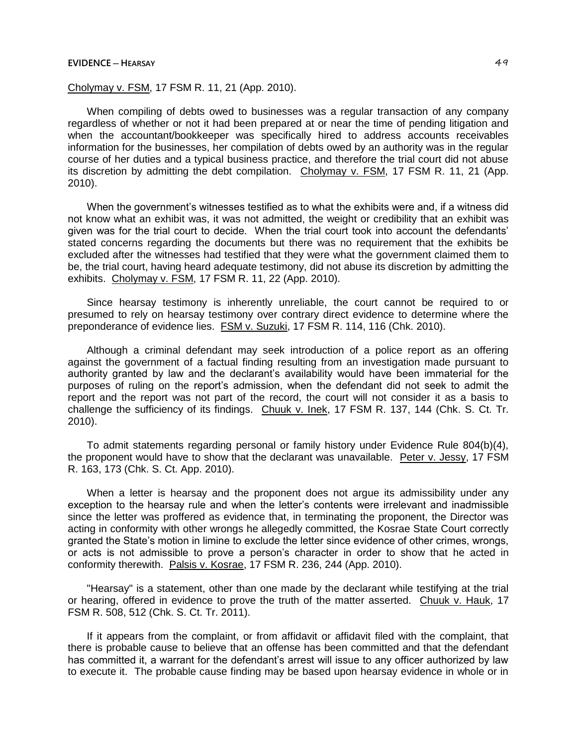### **EVIDENCE ─ HEARSAY** 49

# Cholymay v. FSM, 17 FSM R. 11, 21 (App. 2010).

When compiling of debts owed to businesses was a regular transaction of any company regardless of whether or not it had been prepared at or near the time of pending litigation and when the accountant/bookkeeper was specifically hired to address accounts receivables information for the businesses, her compilation of debts owed by an authority was in the regular course of her duties and a typical business practice, and therefore the trial court did not abuse its discretion by admitting the debt compilation. Cholymay v. FSM, 17 FSM R. 11, 21 (App. 2010).

When the government's witnesses testified as to what the exhibits were and, if a witness did not know what an exhibit was, it was not admitted, the weight or credibility that an exhibit was given was for the trial court to decide. When the trial court took into account the defendants' stated concerns regarding the documents but there was no requirement that the exhibits be excluded after the witnesses had testified that they were what the government claimed them to be, the trial court, having heard adequate testimony, did not abuse its discretion by admitting the exhibits. Cholymay v. FSM, 17 FSM R. 11, 22 (App. 2010).

Since hearsay testimony is inherently unreliable, the court cannot be required to or presumed to rely on hearsay testimony over contrary direct evidence to determine where the preponderance of evidence lies. FSM v. Suzuki, 17 FSM R. 114, 116 (Chk. 2010).

Although a criminal defendant may seek introduction of a police report as an offering against the government of a factual finding resulting from an investigation made pursuant to authority granted by law and the declarant's availability would have been immaterial for the purposes of ruling on the report's admission, when the defendant did not seek to admit the report and the report was not part of the record, the court will not consider it as a basis to challenge the sufficiency of its findings. Chuuk v. Inek, 17 FSM R. 137, 144 (Chk. S. Ct. Tr. 2010).

To admit statements regarding personal or family history under Evidence Rule 804(b)(4), the proponent would have to show that the declarant was unavailable. Peter v. Jessy, 17 FSM R. 163, 173 (Chk. S. Ct. App. 2010).

When a letter is hearsay and the proponent does not argue its admissibility under any exception to the hearsay rule and when the letter's contents were irrelevant and inadmissible since the letter was proffered as evidence that, in terminating the proponent, the Director was acting in conformity with other wrongs he allegedly committed, the Kosrae State Court correctly granted the State's motion in limine to exclude the letter since evidence of other crimes, wrongs, or acts is not admissible to prove a person's character in order to show that he acted in conformity therewith. Palsis v. Kosrae, 17 FSM R. 236, 244 (App. 2010).

"Hearsay" is a statement, other than one made by the declarant while testifying at the trial or hearing, offered in evidence to prove the truth of the matter asserted. Chuuk v. Hauk, 17 FSM R. 508, 512 (Chk. S. Ct. Tr. 2011).

If it appears from the complaint, or from affidavit or affidavit filed with the complaint, that there is probable cause to believe that an offense has been committed and that the defendant has committed it, a warrant for the defendant's arrest will issue to any officer authorized by law to execute it. The probable cause finding may be based upon hearsay evidence in whole or in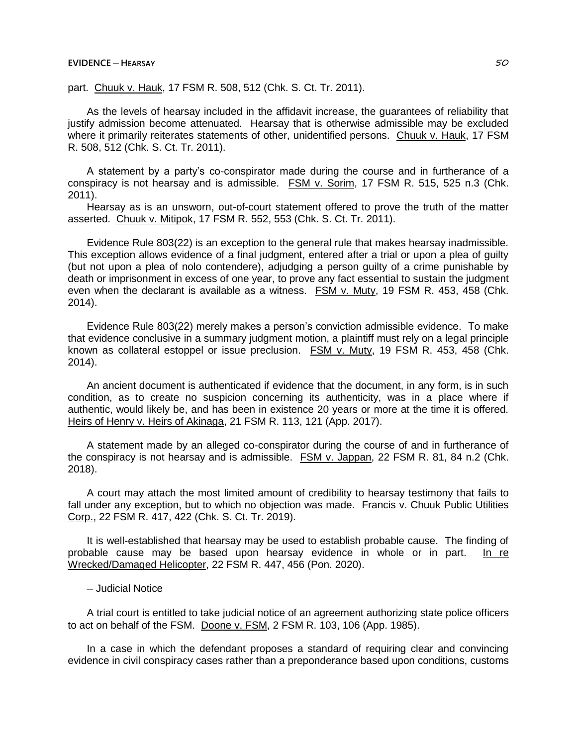### **EVIDENCE ─ HEARSAY** 50

part. Chuuk v. Hauk, 17 FSM R. 508, 512 (Chk. S. Ct. Tr. 2011).

As the levels of hearsay included in the affidavit increase, the guarantees of reliability that justify admission become attenuated. Hearsay that is otherwise admissible may be excluded where it primarily reiterates statements of other, unidentified persons. Chuuk v. Hauk, 17 FSM R. 508, 512 (Chk. S. Ct. Tr. 2011).

A statement by a party's co-conspirator made during the course and in furtherance of a conspiracy is not hearsay and is admissible. FSM v. Sorim, 17 FSM R. 515, 525 n.3 (Chk. 2011).

Hearsay as is an unsworn, out-of-court statement offered to prove the truth of the matter asserted. Chuuk v. Mitipok, 17 FSM R. 552, 553 (Chk. S. Ct. Tr. 2011).

Evidence Rule 803(22) is an exception to the general rule that makes hearsay inadmissible. This exception allows evidence of a final judgment, entered after a trial or upon a plea of guilty (but not upon a plea of nolo contendere), adjudging a person guilty of a crime punishable by death or imprisonment in excess of one year, to prove any fact essential to sustain the judgment even when the declarant is available as a witness. FSM v. Muty, 19 FSM R. 453, 458 (Chk. 2014).

Evidence Rule 803(22) merely makes a person's conviction admissible evidence. To make that evidence conclusive in a summary judgment motion, a plaintiff must rely on a legal principle known as collateral estoppel or issue preclusion. FSM v. Muty, 19 FSM R. 453, 458 (Chk. 2014).

An ancient document is authenticated if evidence that the document, in any form, is in such condition, as to create no suspicion concerning its authenticity, was in a place where if authentic, would likely be, and has been in existence 20 years or more at the time it is offered. Heirs of Henry v. Heirs of Akinaga, 21 FSM R. 113, 121 (App. 2017).

A statement made by an alleged co-conspirator during the course of and in furtherance of the conspiracy is not hearsay and is admissible. FSM v. Jappan, 22 FSM R. 81, 84 n.2 (Chk. 2018).

A court may attach the most limited amount of credibility to hearsay testimony that fails to fall under any exception, but to which no objection was made. Francis v. Chuuk Public Utilities Corp., 22 FSM R. 417, 422 (Chk. S. Ct. Tr. 2019).

It is well-established that hearsay may be used to establish probable cause. The finding of probable cause may be based upon hearsay evidence in whole or in part. In re Wrecked/Damaged Helicopter, 22 FSM R. 447, 456 (Pon. 2020).

─ Judicial Notice

A trial court is entitled to take judicial notice of an agreement authorizing state police officers to act on behalf of the FSM. Doone v. FSM, 2 FSM R. 103, 106 (App. 1985).

In a case in which the defendant proposes a standard of requiring clear and convincing evidence in civil conspiracy cases rather than a preponderance based upon conditions, customs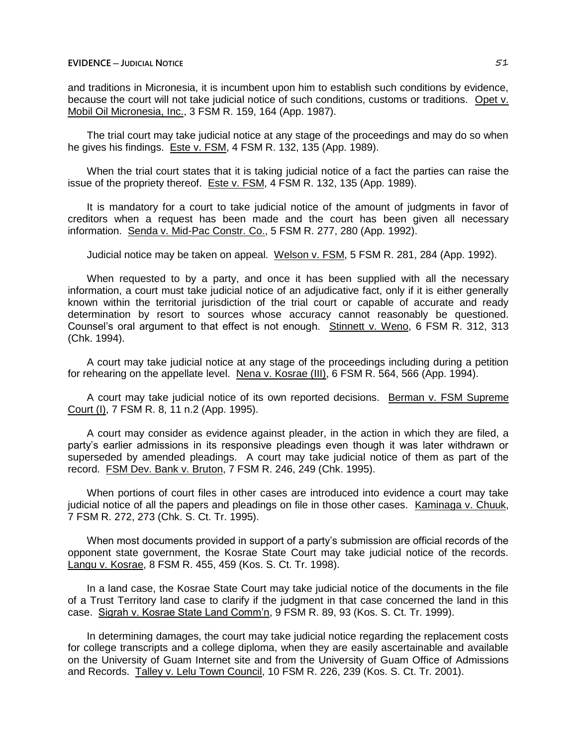and traditions in Micronesia, it is incumbent upon him to establish such conditions by evidence, because the court will not take judicial notice of such conditions, customs or traditions. Opet v. Mobil Oil Micronesia, Inc., 3 FSM R. 159, 164 (App. 1987).

The trial court may take judicial notice at any stage of the proceedings and may do so when he gives his findings. Este v. FSM, 4 FSM R. 132, 135 (App. 1989).

When the trial court states that it is taking judicial notice of a fact the parties can raise the issue of the propriety thereof. Este v. FSM, 4 FSM R. 132, 135 (App. 1989).

It is mandatory for a court to take judicial notice of the amount of judgments in favor of creditors when a request has been made and the court has been given all necessary information. Senda v. Mid-Pac Constr. Co., 5 FSM R. 277, 280 (App. 1992).

Judicial notice may be taken on appeal. Welson v. FSM, 5 FSM R. 281, 284 (App. 1992).

When requested to by a party, and once it has been supplied with all the necessary information, a court must take judicial notice of an adjudicative fact, only if it is either generally known within the territorial jurisdiction of the trial court or capable of accurate and ready determination by resort to sources whose accuracy cannot reasonably be questioned. Counsel's oral argument to that effect is not enough. Stinnett v. Weno, 6 FSM R. 312, 313 (Chk. 1994).

A court may take judicial notice at any stage of the proceedings including during a petition for rehearing on the appellate level. Nena v. Kosrae (III), 6 FSM R. 564, 566 (App. 1994).

A court may take judicial notice of its own reported decisions. Berman v. FSM Supreme Court (I), 7 FSM R. 8, 11 n.2 (App. 1995).

A court may consider as evidence against pleader, in the action in which they are filed, a party's earlier admissions in its responsive pleadings even though it was later withdrawn or superseded by amended pleadings. A court may take judicial notice of them as part of the record. FSM Dev. Bank v. Bruton, 7 FSM R. 246, 249 (Chk. 1995).

When portions of court files in other cases are introduced into evidence a court may take judicial notice of all the papers and pleadings on file in those other cases. Kaminaga v. Chuuk, 7 FSM R. 272, 273 (Chk. S. Ct. Tr. 1995).

When most documents provided in support of a party's submission are official records of the opponent state government, the Kosrae State Court may take judicial notice of the records. Langu v. Kosrae, 8 FSM R. 455, 459 (Kos. S. Ct. Tr. 1998).

In a land case, the Kosrae State Court may take judicial notice of the documents in the file of a Trust Territory land case to clarify if the judgment in that case concerned the land in this case. Sigrah v. Kosrae State Land Comm'n, 9 FSM R. 89, 93 (Kos. S. Ct. Tr. 1999).

In determining damages, the court may take judicial notice regarding the replacement costs for college transcripts and a college diploma, when they are easily ascertainable and available on the University of Guam Internet site and from the University of Guam Office of Admissions and Records. Talley v. Lelu Town Council, 10 FSM R. 226, 239 (Kos. S. Ct. Tr. 2001).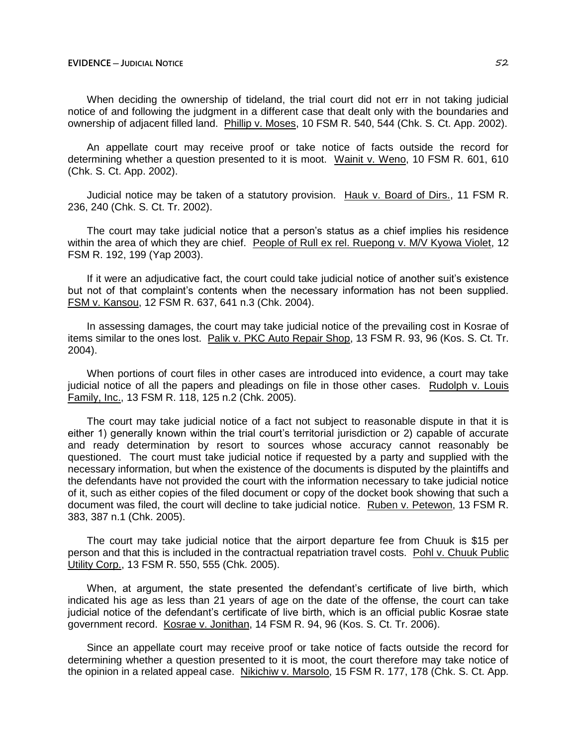When deciding the ownership of tideland, the trial court did not err in not taking judicial notice of and following the judgment in a different case that dealt only with the boundaries and ownership of adjacent filled land. Phillip v. Moses, 10 FSM R. 540, 544 (Chk. S. Ct. App. 2002).

An appellate court may receive proof or take notice of facts outside the record for determining whether a question presented to it is moot. Wainit v. Weno, 10 FSM R. 601, 610 (Chk. S. Ct. App. 2002).

Judicial notice may be taken of a statutory provision. Hauk v. Board of Dirs., 11 FSM R. 236, 240 (Chk. S. Ct. Tr. 2002).

The court may take judicial notice that a person's status as a chief implies his residence within the area of which they are chief. People of Rull ex rel. Ruepong v. M/V Kyowa Violet, 12 FSM R. 192, 199 (Yap 2003).

If it were an adjudicative fact, the court could take judicial notice of another suit's existence but not of that complaint's contents when the necessary information has not been supplied. FSM v. Kansou, 12 FSM R. 637, 641 n.3 (Chk. 2004).

In assessing damages, the court may take judicial notice of the prevailing cost in Kosrae of items similar to the ones lost. Palik v. PKC Auto Repair Shop, 13 FSM R. 93, 96 (Kos. S. Ct. Tr. 2004).

When portions of court files in other cases are introduced into evidence, a court may take judicial notice of all the papers and pleadings on file in those other cases. Rudolph v. Louis Family, Inc., 13 FSM R. 118, 125 n.2 (Chk. 2005).

The court may take judicial notice of a fact not subject to reasonable dispute in that it is either 1) generally known within the trial court's territorial jurisdiction or 2) capable of accurate and ready determination by resort to sources whose accuracy cannot reasonably be questioned. The court must take judicial notice if requested by a party and supplied with the necessary information, but when the existence of the documents is disputed by the plaintiffs and the defendants have not provided the court with the information necessary to take judicial notice of it, such as either copies of the filed document or copy of the docket book showing that such a document was filed, the court will decline to take judicial notice. Ruben v. Petewon, 13 FSM R. 383, 387 n.1 (Chk. 2005).

The court may take judicial notice that the airport departure fee from Chuuk is \$15 per person and that this is included in the contractual repatriation travel costs. Pohl v. Chuuk Public Utility Corp., 13 FSM R. 550, 555 (Chk. 2005).

When, at argument, the state presented the defendant's certificate of live birth, which indicated his age as less than 21 years of age on the date of the offense, the court can take judicial notice of the defendant's certificate of live birth, which is an official public Kosrae state government record. Kosrae v. Jonithan, 14 FSM R. 94, 96 (Kos. S. Ct. Tr. 2006).

Since an appellate court may receive proof or take notice of facts outside the record for determining whether a question presented to it is moot, the court therefore may take notice of the opinion in a related appeal case. Nikichiw v. Marsolo, 15 FSM R. 177, 178 (Chk. S. Ct. App.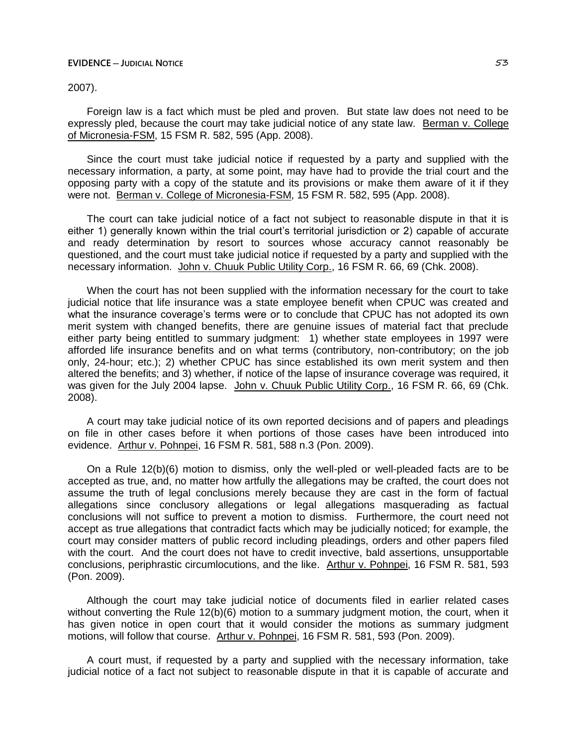2007).

Foreign law is a fact which must be pled and proven. But state law does not need to be expressly pled, because the court may take judicial notice of any state law. Berman v. College of Micronesia-FSM, 15 FSM R. 582, 595 (App. 2008).

Since the court must take judicial notice if requested by a party and supplied with the necessary information, a party, at some point, may have had to provide the trial court and the opposing party with a copy of the statute and its provisions or make them aware of it if they were not. Berman v. College of Micronesia-FSM, 15 FSM R. 582, 595 (App. 2008).

The court can take judicial notice of a fact not subject to reasonable dispute in that it is either 1) generally known within the trial court's territorial jurisdiction or 2) capable of accurate and ready determination by resort to sources whose accuracy cannot reasonably be questioned, and the court must take judicial notice if requested by a party and supplied with the necessary information. John v. Chuuk Public Utility Corp., 16 FSM R. 66, 69 (Chk. 2008).

When the court has not been supplied with the information necessary for the court to take judicial notice that life insurance was a state employee benefit when CPUC was created and what the insurance coverage's terms were or to conclude that CPUC has not adopted its own merit system with changed benefits, there are genuine issues of material fact that preclude either party being entitled to summary judgment: 1) whether state employees in 1997 were afforded life insurance benefits and on what terms (contributory, non-contributory; on the job only, 24-hour; etc.); 2) whether CPUC has since established its own merit system and then altered the benefits; and 3) whether, if notice of the lapse of insurance coverage was required, it was given for the July 2004 lapse. John v. Chuuk Public Utility Corp., 16 FSM R. 66, 69 (Chk. 2008).

A court may take judicial notice of its own reported decisions and of papers and pleadings on file in other cases before it when portions of those cases have been introduced into evidence. Arthur v. Pohnpei, 16 FSM R. 581, 588 n.3 (Pon. 2009).

On a Rule 12(b)(6) motion to dismiss, only the well-pled or well-pleaded facts are to be accepted as true, and, no matter how artfully the allegations may be crafted, the court does not assume the truth of legal conclusions merely because they are cast in the form of factual allegations since conclusory allegations or legal allegations masquerading as factual conclusions will not suffice to prevent a motion to dismiss. Furthermore, the court need not accept as true allegations that contradict facts which may be judicially noticed; for example, the court may consider matters of public record including pleadings, orders and other papers filed with the court. And the court does not have to credit invective, bald assertions, unsupportable conclusions, periphrastic circumlocutions, and the like. Arthur v. Pohnpei, 16 FSM R. 581, 593 (Pon. 2009).

Although the court may take judicial notice of documents filed in earlier related cases without converting the Rule 12(b)(6) motion to a summary judgment motion, the court, when it has given notice in open court that it would consider the motions as summary judgment motions, will follow that course. Arthur v. Pohnpei, 16 FSM R. 581, 593 (Pon. 2009).

A court must, if requested by a party and supplied with the necessary information, take judicial notice of a fact not subject to reasonable dispute in that it is capable of accurate and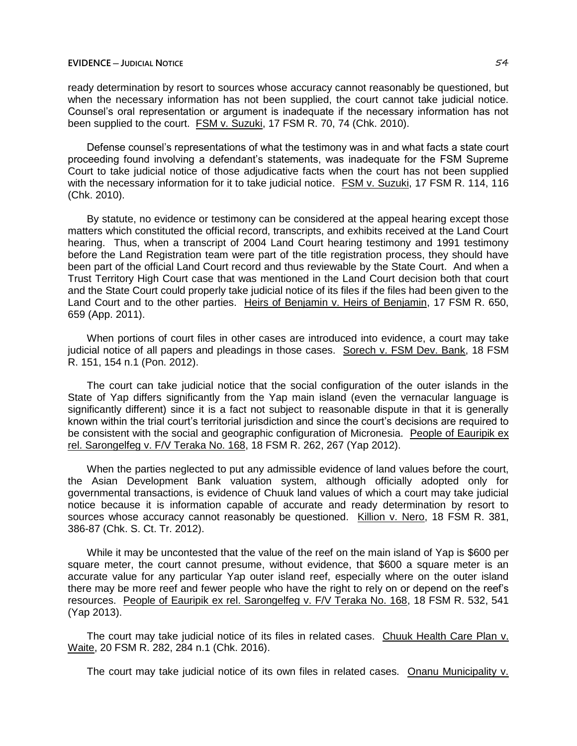ready determination by resort to sources whose accuracy cannot reasonably be questioned, but when the necessary information has not been supplied, the court cannot take judicial notice. Counsel's oral representation or argument is inadequate if the necessary information has not been supplied to the court. FSM v. Suzuki, 17 FSM R. 70, 74 (Chk. 2010).

Defense counsel's representations of what the testimony was in and what facts a state court proceeding found involving a defendant's statements, was inadequate for the FSM Supreme Court to take judicial notice of those adjudicative facts when the court has not been supplied with the necessary information for it to take judicial notice. FSM v. Suzuki, 17 FSM R. 114, 116 (Chk. 2010).

By statute, no evidence or testimony can be considered at the appeal hearing except those matters which constituted the official record, transcripts, and exhibits received at the Land Court hearing. Thus, when a transcript of 2004 Land Court hearing testimony and 1991 testimony before the Land Registration team were part of the title registration process, they should have been part of the official Land Court record and thus reviewable by the State Court. And when a Trust Territory High Court case that was mentioned in the Land Court decision both that court and the State Court could properly take judicial notice of its files if the files had been given to the Land Court and to the other parties. Heirs of Benjamin v. Heirs of Benjamin, 17 FSM R. 650, 659 (App. 2011).

When portions of court files in other cases are introduced into evidence, a court may take judicial notice of all papers and pleadings in those cases. Sorech v. FSM Dev. Bank, 18 FSM R. 151, 154 n.1 (Pon. 2012).

The court can take judicial notice that the social configuration of the outer islands in the State of Yap differs significantly from the Yap main island (even the vernacular language is significantly different) since it is a fact not subject to reasonable dispute in that it is generally known within the trial court's territorial jurisdiction and since the court's decisions are required to be consistent with the social and geographic configuration of Micronesia. People of Eauripik ex rel. Sarongelfeg v. F/V Teraka No. 168, 18 FSM R. 262, 267 (Yap 2012).

When the parties neglected to put any admissible evidence of land values before the court, the Asian Development Bank valuation system, although officially adopted only for governmental transactions, is evidence of Chuuk land values of which a court may take judicial notice because it is information capable of accurate and ready determination by resort to sources whose accuracy cannot reasonably be questioned. Killion v. Nero, 18 FSM R. 381, 386-87 (Chk. S. Ct. Tr. 2012).

While it may be uncontested that the value of the reef on the main island of Yap is \$600 per square meter, the court cannot presume, without evidence, that \$600 a square meter is an accurate value for any particular Yap outer island reef, especially where on the outer island there may be more reef and fewer people who have the right to rely on or depend on the reef's resources. People of Eauripik ex rel. Sarongelfeg v. F/V Teraka No. 168, 18 FSM R. 532, 541 (Yap 2013).

The court may take judicial notice of its files in related cases. Chuuk Health Care Plan v. Waite, 20 FSM R. 282, 284 n.1 (Chk. 2016).

The court may take judicial notice of its own files in related cases. Onanu Municipality v.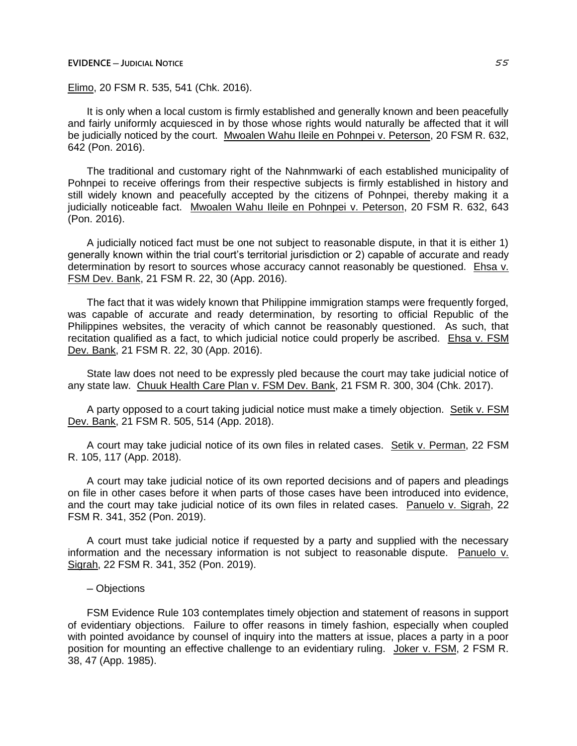Elimo, 20 FSM R. 535, 541 (Chk. 2016).

It is only when a local custom is firmly established and generally known and been peacefully and fairly uniformly acquiesced in by those whose rights would naturally be affected that it will be judicially noticed by the court. Mwoalen Wahu Ileile en Pohnpei v. Peterson, 20 FSM R. 632, 642 (Pon. 2016).

The traditional and customary right of the Nahnmwarki of each established municipality of Pohnpei to receive offerings from their respective subjects is firmly established in history and still widely known and peacefully accepted by the citizens of Pohnpei, thereby making it a judicially noticeable fact. Mwoalen Wahu Ileile en Pohnpei v. Peterson, 20 FSM R. 632, 643 (Pon. 2016).

A judicially noticed fact must be one not subject to reasonable dispute, in that it is either 1) generally known within the trial court's territorial jurisdiction or 2) capable of accurate and ready determination by resort to sources whose accuracy cannot reasonably be questioned. Ehsa v. FSM Dev. Bank, 21 FSM R. 22, 30 (App. 2016).

The fact that it was widely known that Philippine immigration stamps were frequently forged, was capable of accurate and ready determination, by resorting to official Republic of the Philippines websites, the veracity of which cannot be reasonably questioned. As such, that recitation qualified as a fact, to which judicial notice could properly be ascribed. Ehsa v. FSM Dev. Bank, 21 FSM R. 22, 30 (App. 2016).

State law does not need to be expressly pled because the court may take judicial notice of any state law. Chuuk Health Care Plan v. FSM Dev. Bank, 21 FSM R. 300, 304 (Chk. 2017).

A party opposed to a court taking judicial notice must make a timely objection. Setik v. FSM Dev. Bank, 21 FSM R. 505, 514 (App. 2018).

A court may take judicial notice of its own files in related cases. Setik v. Perman, 22 FSM R. 105, 117 (App. 2018).

A court may take judicial notice of its own reported decisions and of papers and pleadings on file in other cases before it when parts of those cases have been introduced into evidence, and the court may take judicial notice of its own files in related cases. Panuelo v. Sigrah, 22 FSM R. 341, 352 (Pon. 2019).

A court must take judicial notice if requested by a party and supplied with the necessary information and the necessary information is not subject to reasonable dispute. Panuelo v. Sigrah, 22 FSM R. 341, 352 (Pon. 2019).

# ─ Objections

FSM Evidence Rule 103 contemplates timely objection and statement of reasons in support of evidentiary objections. Failure to offer reasons in timely fashion, especially when coupled with pointed avoidance by counsel of inquiry into the matters at issue, places a party in a poor position for mounting an effective challenge to an evidentiary ruling. Joker v. FSM, 2 FSM R. 38, 47 (App. 1985).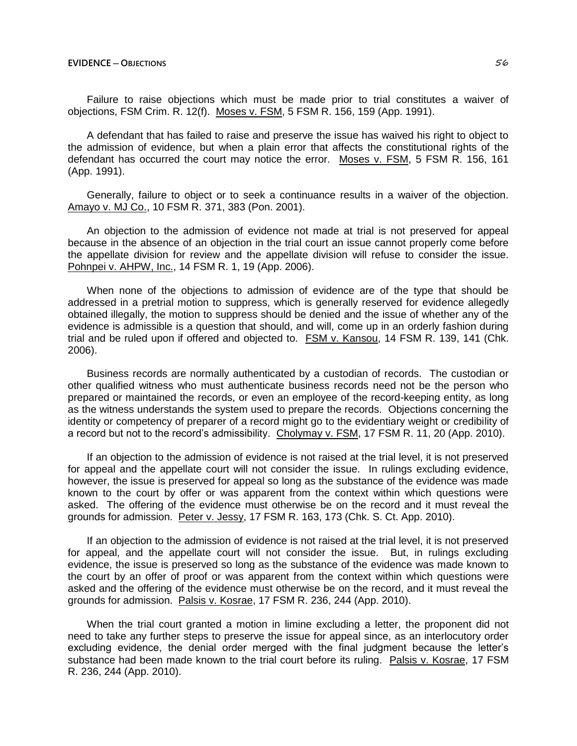Failure to raise objections which must be made prior to trial constitutes a waiver of objections, FSM Crim. R. 12(f). Moses v. FSM, 5 FSM R. 156, 159 (App. 1991).

A defendant that has failed to raise and preserve the issue has waived his right to object to the admission of evidence, but when a plain error that affects the constitutional rights of the defendant has occurred the court may notice the error. Moses v. FSM, 5 FSM R. 156, 161 (App. 1991).

Generally, failure to object or to seek a continuance results in a waiver of the objection. Amayo v. MJ Co., 10 FSM R. 371, 383 (Pon. 2001).

An objection to the admission of evidence not made at trial is not preserved for appeal because in the absence of an objection in the trial court an issue cannot properly come before the appellate division for review and the appellate division will refuse to consider the issue. Pohnpei v. AHPW, Inc., 14 FSM R. 1, 19 (App. 2006).

When none of the objections to admission of evidence are of the type that should be addressed in a pretrial motion to suppress, which is generally reserved for evidence allegedly obtained illegally, the motion to suppress should be denied and the issue of whether any of the evidence is admissible is a question that should, and will, come up in an orderly fashion during trial and be ruled upon if offered and objected to. FSM v. Kansou, 14 FSM R. 139, 141 (Chk. 2006).

Business records are normally authenticated by a custodian of records. The custodian or other qualified witness who must authenticate business records need not be the person who prepared or maintained the records, or even an employee of the record-keeping entity, as long as the witness understands the system used to prepare the records. Objections concerning the identity or competency of preparer of a record might go to the evidentiary weight or credibility of a record but not to the record's admissibility. Cholymay v. FSM, 17 FSM R. 11, 20 (App. 2010).

If an objection to the admission of evidence is not raised at the trial level, it is not preserved for appeal and the appellate court will not consider the issue. In rulings excluding evidence, however, the issue is preserved for appeal so long as the substance of the evidence was made known to the court by offer or was apparent from the context within which questions were asked. The offering of the evidence must otherwise be on the record and it must reveal the grounds for admission. Peter v. Jessy, 17 FSM R. 163, 173 (Chk. S. Ct. App. 2010).

If an objection to the admission of evidence is not raised at the trial level, it is not preserved for appeal, and the appellate court will not consider the issue. But, in rulings excluding evidence, the issue is preserved so long as the substance of the evidence was made known to the court by an offer of proof or was apparent from the context within which questions were asked and the offering of the evidence must otherwise be on the record, and it must reveal the grounds for admission. Palsis v. Kosrae, 17 FSM R. 236, 244 (App. 2010).

When the trial court granted a motion in limine excluding a letter, the proponent did not need to take any further steps to preserve the issue for appeal since, as an interlocutory order excluding evidence, the denial order merged with the final judgment because the letter's substance had been made known to the trial court before its ruling. Palsis v. Kosrae, 17 FSM R. 236, 244 (App. 2010).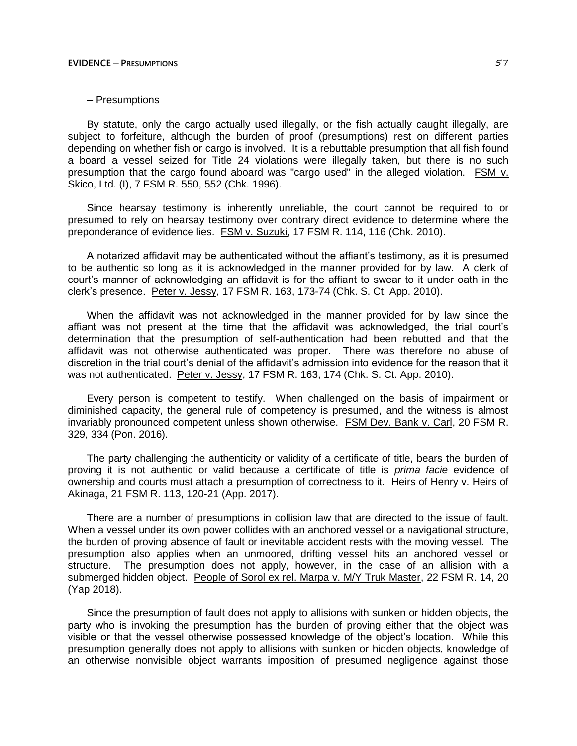#### **EVIDENCE ─ PRESUMPTIONS** 57

# ─ Presumptions

By statute, only the cargo actually used illegally, or the fish actually caught illegally, are subject to forfeiture, although the burden of proof (presumptions) rest on different parties depending on whether fish or cargo is involved. It is a rebuttable presumption that all fish found a board a vessel seized for Title 24 violations were illegally taken, but there is no such presumption that the cargo found aboard was "cargo used" in the alleged violation. FSM v. Skico, Ltd. (I), 7 FSM R. 550, 552 (Chk. 1996).

Since hearsay testimony is inherently unreliable, the court cannot be required to or presumed to rely on hearsay testimony over contrary direct evidence to determine where the preponderance of evidence lies. FSM v. Suzuki, 17 FSM R. 114, 116 (Chk. 2010).

A notarized affidavit may be authenticated without the affiant's testimony, as it is presumed to be authentic so long as it is acknowledged in the manner provided for by law. A clerk of court's manner of acknowledging an affidavit is for the affiant to swear to it under oath in the clerk's presence. Peter v. Jessy, 17 FSM R. 163, 173-74 (Chk. S. Ct. App. 2010).

When the affidavit was not acknowledged in the manner provided for by law since the affiant was not present at the time that the affidavit was acknowledged, the trial court's determination that the presumption of self-authentication had been rebutted and that the affidavit was not otherwise authenticated was proper. There was therefore no abuse of discretion in the trial court's denial of the affidavit's admission into evidence for the reason that it was not authenticated. Peter v. Jessy, 17 FSM R. 163, 174 (Chk. S. Ct. App. 2010).

Every person is competent to testify. When challenged on the basis of impairment or diminished capacity, the general rule of competency is presumed, and the witness is almost invariably pronounced competent unless shown otherwise. FSM Dev. Bank v. Carl, 20 FSM R. 329, 334 (Pon. 2016).

The party challenging the authenticity or validity of a certificate of title, bears the burden of proving it is not authentic or valid because a certificate of title is *prima facie* evidence of ownership and courts must attach a presumption of correctness to it. Heirs of Henry v. Heirs of Akinaga, 21 FSM R. 113, 120-21 (App. 2017).

There are a number of presumptions in collision law that are directed to the issue of fault. When a vessel under its own power collides with an anchored vessel or a navigational structure, the burden of proving absence of fault or inevitable accident rests with the moving vessel. The presumption also applies when an unmoored, drifting vessel hits an anchored vessel or structure. The presumption does not apply, however, in the case of an allision with a submerged hidden object. People of Sorol ex rel. Marpa v. M/Y Truk Master, 22 FSM R. 14, 20 (Yap 2018).

Since the presumption of fault does not apply to allisions with sunken or hidden objects, the party who is invoking the presumption has the burden of proving either that the object was visible or that the vessel otherwise possessed knowledge of the object's location. While this presumption generally does not apply to allisions with sunken or hidden objects, knowledge of an otherwise nonvisible object warrants imposition of presumed negligence against those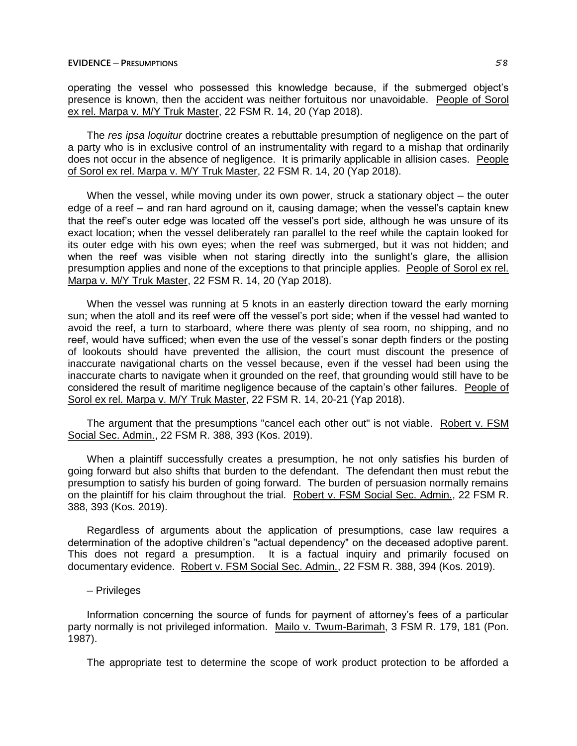operating the vessel who possessed this knowledge because, if the submerged object's presence is known, then the accident was neither fortuitous nor unavoidable. People of Sorol ex rel. Marpa v. M/Y Truk Master, 22 FSM R. 14, 20 (Yap 2018).

The *res ipsa loquitur* doctrine creates a rebuttable presumption of negligence on the part of a party who is in exclusive control of an instrumentality with regard to a mishap that ordinarily does not occur in the absence of negligence. It is primarily applicable in allision cases. People of Sorol ex rel. Marpa v. M/Y Truk Master, 22 FSM R. 14, 20 (Yap 2018).

When the vessel, while moving under its own power, struck a stationary object — the outer edge of a reef – and ran hard aground on it, causing damage; when the vessel's captain knew that the reef's outer edge was located off the vessel's port side, although he was unsure of its exact location; when the vessel deliberately ran parallel to the reef while the captain looked for its outer edge with his own eyes; when the reef was submerged, but it was not hidden; and when the reef was visible when not staring directly into the sunlight's glare, the allision presumption applies and none of the exceptions to that principle applies. People of Sorol ex rel. Marpa v. M/Y Truk Master, 22 FSM R. 14, 20 (Yap 2018).

When the vessel was running at 5 knots in an easterly direction toward the early morning sun; when the atoll and its reef were off the vessel's port side; when if the vessel had wanted to avoid the reef, a turn to starboard, where there was plenty of sea room, no shipping, and no reef, would have sufficed; when even the use of the vessel's sonar depth finders or the posting of lookouts should have prevented the allision, the court must discount the presence of inaccurate navigational charts on the vessel because, even if the vessel had been using the inaccurate charts to navigate when it grounded on the reef, that grounding would still have to be considered the result of maritime negligence because of the captain's other failures. People of Sorol ex rel. Marpa v. M/Y Truk Master, 22 FSM R. 14, 20-21 (Yap 2018).

The argument that the presumptions "cancel each other out" is not viable. Robert v. FSM Social Sec. Admin., 22 FSM R. 388, 393 (Kos. 2019).

When a plaintiff successfully creates a presumption, he not only satisfies his burden of going forward but also shifts that burden to the defendant. The defendant then must rebut the presumption to satisfy his burden of going forward. The burden of persuasion normally remains on the plaintiff for his claim throughout the trial. Robert v. FSM Social Sec. Admin., 22 FSM R. 388, 393 (Kos. 2019).

Regardless of arguments about the application of presumptions, case law requires a determination of the adoptive children's "actual dependency" on the deceased adoptive parent. This does not regard a presumption. It is a factual inquiry and primarily focused on documentary evidence. Robert v. FSM Social Sec. Admin., 22 FSM R. 388, 394 (Kos. 2019).

# ─ Privileges

Information concerning the source of funds for payment of attorney's fees of a particular party normally is not privileged information. Mailo v. Twum-Barimah, 3 FSM R. 179, 181 (Pon. 1987).

The appropriate test to determine the scope of work product protection to be afforded a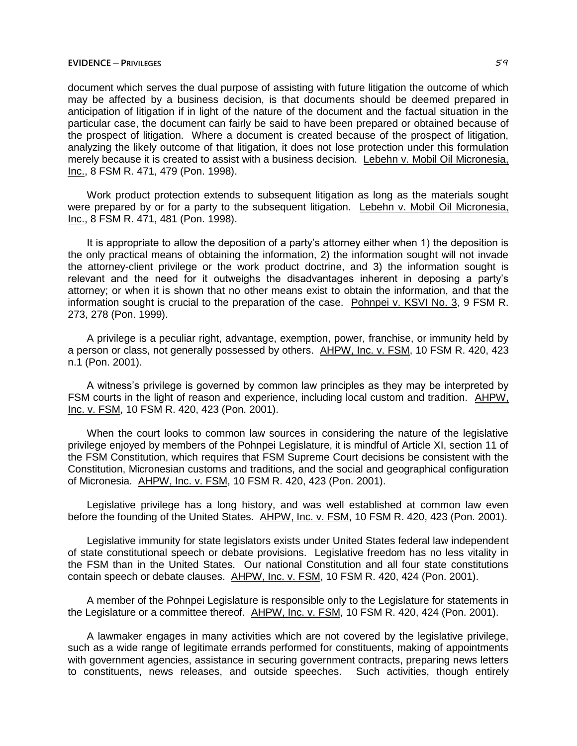### **EVIDENCE ─ PRIVILEGES** 59

document which serves the dual purpose of assisting with future litigation the outcome of which may be affected by a business decision, is that documents should be deemed prepared in anticipation of litigation if in light of the nature of the document and the factual situation in the particular case, the document can fairly be said to have been prepared or obtained because of the prospect of litigation. Where a document is created because of the prospect of litigation, analyzing the likely outcome of that litigation, it does not lose protection under this formulation merely because it is created to assist with a business decision. Lebehn v. Mobil Oil Micronesia, Inc., 8 FSM R. 471, 479 (Pon. 1998).

Work product protection extends to subsequent litigation as long as the materials sought were prepared by or for a party to the subsequent litigation. Lebehn v. Mobil Oil Micronesia, Inc., 8 FSM R. 471, 481 (Pon. 1998).

It is appropriate to allow the deposition of a party's attorney either when 1) the deposition is the only practical means of obtaining the information, 2) the information sought will not invade the attorney-client privilege or the work product doctrine, and 3) the information sought is relevant and the need for it outweighs the disadvantages inherent in deposing a party's attorney; or when it is shown that no other means exist to obtain the information, and that the information sought is crucial to the preparation of the case. Pohnpei v. KSVI No. 3, 9 FSM R. 273, 278 (Pon. 1999).

A privilege is a peculiar right, advantage, exemption, power, franchise, or immunity held by a person or class, not generally possessed by others. AHPW, Inc. v. FSM, 10 FSM R. 420, 423 n.1 (Pon. 2001).

A witness's privilege is governed by common law principles as they may be interpreted by FSM courts in the light of reason and experience, including local custom and tradition. AHPW, Inc. v. FSM, 10 FSM R. 420, 423 (Pon. 2001).

When the court looks to common law sources in considering the nature of the legislative privilege enjoyed by members of the Pohnpei Legislature, it is mindful of Article XI, section 11 of the FSM Constitution, which requires that FSM Supreme Court decisions be consistent with the Constitution, Micronesian customs and traditions, and the social and geographical configuration of Micronesia. AHPW, Inc. v. FSM, 10 FSM R. 420, 423 (Pon. 2001).

Legislative privilege has a long history, and was well established at common law even before the founding of the United States. AHPW, Inc. v. FSM, 10 FSM R. 420, 423 (Pon. 2001).

Legislative immunity for state legislators exists under United States federal law independent of state constitutional speech or debate provisions. Legislative freedom has no less vitality in the FSM than in the United States. Our national Constitution and all four state constitutions contain speech or debate clauses. AHPW, Inc. v. FSM, 10 FSM R. 420, 424 (Pon. 2001).

A member of the Pohnpei Legislature is responsible only to the Legislature for statements in the Legislature or a committee thereof. AHPW, Inc. v. FSM, 10 FSM R. 420, 424 (Pon. 2001).

A lawmaker engages in many activities which are not covered by the legislative privilege, such as a wide range of legitimate errands performed for constituents, making of appointments with government agencies, assistance in securing government contracts, preparing news letters to constituents, news releases, and outside speeches. Such activities, though entirely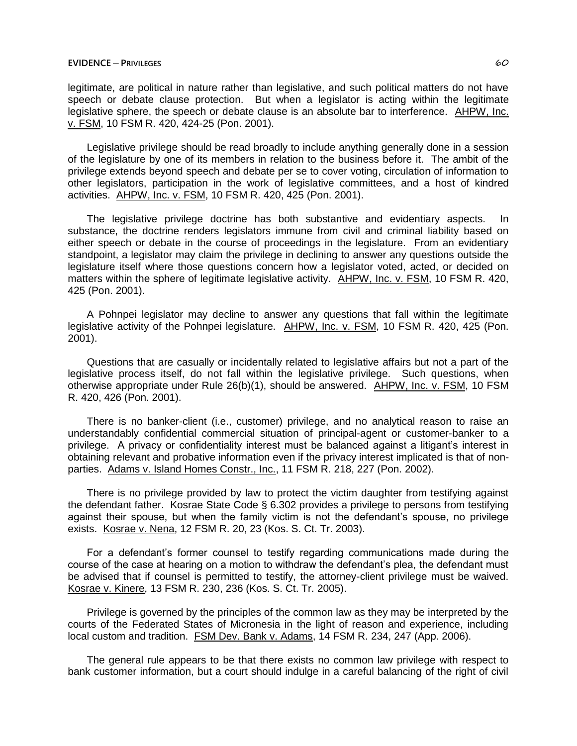## **EVIDENCE ─ PRIVILEGES** 60

legitimate, are political in nature rather than legislative, and such political matters do not have speech or debate clause protection. But when a legislator is acting within the legitimate legislative sphere, the speech or debate clause is an absolute bar to interference. AHPW, Inc. v. FSM, 10 FSM R. 420, 424-25 (Pon. 2001).

Legislative privilege should be read broadly to include anything generally done in a session of the legislature by one of its members in relation to the business before it. The ambit of the privilege extends beyond speech and debate per se to cover voting, circulation of information to other legislators, participation in the work of legislative committees, and a host of kindred activities. AHPW, Inc. v. FSM, 10 FSM R. 420, 425 (Pon. 2001).

The legislative privilege doctrine has both substantive and evidentiary aspects. In substance, the doctrine renders legislators immune from civil and criminal liability based on either speech or debate in the course of proceedings in the legislature. From an evidentiary standpoint, a legislator may claim the privilege in declining to answer any questions outside the legislature itself where those questions concern how a legislator voted, acted, or decided on matters within the sphere of legitimate legislative activity. AHPW, Inc. v. FSM, 10 FSM R. 420, 425 (Pon. 2001).

A Pohnpei legislator may decline to answer any questions that fall within the legitimate legislative activity of the Pohnpei legislature. AHPW, Inc. v. FSM, 10 FSM R. 420, 425 (Pon. 2001).

Questions that are casually or incidentally related to legislative affairs but not a part of the legislative process itself, do not fall within the legislative privilege. Such questions, when otherwise appropriate under Rule 26(b)(1), should be answered. AHPW, Inc. v. FSM, 10 FSM R. 420, 426 (Pon. 2001).

There is no banker-client (i.e., customer) privilege, and no analytical reason to raise an understandably confidential commercial situation of principal-agent or customer-banker to a privilege. A privacy or confidentiality interest must be balanced against a litigant's interest in obtaining relevant and probative information even if the privacy interest implicated is that of nonparties. Adams v. Island Homes Constr., Inc., 11 FSM R. 218, 227 (Pon. 2002).

There is no privilege provided by law to protect the victim daughter from testifying against the defendant father. Kosrae State Code § 6.302 provides a privilege to persons from testifying against their spouse, but when the family victim is not the defendant's spouse, no privilege exists. Kosrae v. Nena, 12 FSM R. 20, 23 (Kos. S. Ct. Tr. 2003).

For a defendant's former counsel to testify regarding communications made during the course of the case at hearing on a motion to withdraw the defendant's plea, the defendant must be advised that if counsel is permitted to testify, the attorney-client privilege must be waived. Kosrae v. Kinere, 13 FSM R. 230, 236 (Kos. S. Ct. Tr. 2005).

Privilege is governed by the principles of the common law as they may be interpreted by the courts of the Federated States of Micronesia in the light of reason and experience, including local custom and tradition. FSM Dev. Bank v. Adams, 14 FSM R. 234, 247 (App. 2006).

The general rule appears to be that there exists no common law privilege with respect to bank customer information, but a court should indulge in a careful balancing of the right of civil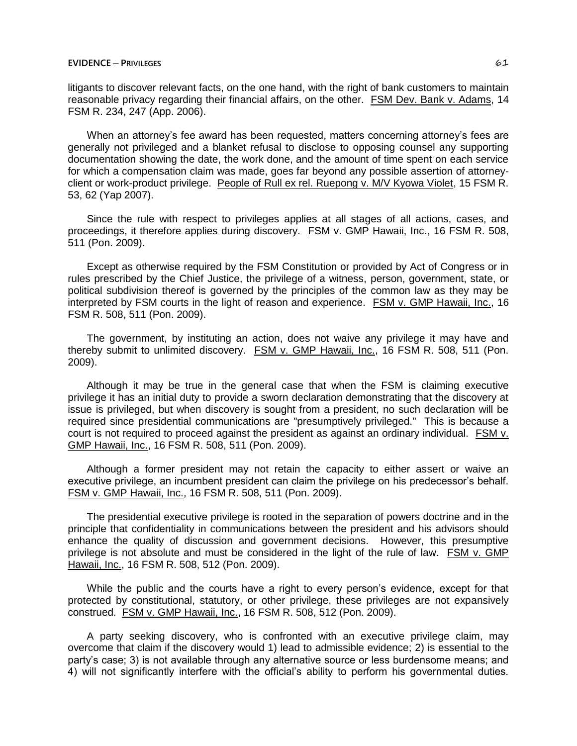litigants to discover relevant facts, on the one hand, with the right of bank customers to maintain reasonable privacy regarding their financial affairs, on the other. FSM Dev. Bank v. Adams, 14 FSM R. 234, 247 (App. 2006).

When an attorney's fee award has been requested, matters concerning attorney's fees are generally not privileged and a blanket refusal to disclose to opposing counsel any supporting documentation showing the date, the work done, and the amount of time spent on each service for which a compensation claim was made, goes far beyond any possible assertion of attorneyclient or work-product privilege. People of Rull ex rel. Ruepong v. M/V Kyowa Violet, 15 FSM R. 53, 62 (Yap 2007).

Since the rule with respect to privileges applies at all stages of all actions, cases, and proceedings, it therefore applies during discovery. FSM v. GMP Hawaii, Inc., 16 FSM R. 508, 511 (Pon. 2009).

Except as otherwise required by the FSM Constitution or provided by Act of Congress or in rules prescribed by the Chief Justice, the privilege of a witness, person, government, state, or political subdivision thereof is governed by the principles of the common law as they may be interpreted by FSM courts in the light of reason and experience. FSM v. GMP Hawaii, Inc., 16 FSM R. 508, 511 (Pon. 2009).

The government, by instituting an action, does not waive any privilege it may have and thereby submit to unlimited discovery. FSM v. GMP Hawaii, Inc., 16 FSM R. 508, 511 (Pon. 2009).

Although it may be true in the general case that when the FSM is claiming executive privilege it has an initial duty to provide a sworn declaration demonstrating that the discovery at issue is privileged, but when discovery is sought from a president, no such declaration will be required since presidential communications are "presumptively privileged." This is because a court is not required to proceed against the president as against an ordinary individual. FSM v. GMP Hawaii, Inc., 16 FSM R. 508, 511 (Pon. 2009).

Although a former president may not retain the capacity to either assert or waive an executive privilege, an incumbent president can claim the privilege on his predecessor's behalf. FSM v. GMP Hawaii, Inc., 16 FSM R. 508, 511 (Pon. 2009).

The presidential executive privilege is rooted in the separation of powers doctrine and in the principle that confidentiality in communications between the president and his advisors should enhance the quality of discussion and government decisions. However, this presumptive privilege is not absolute and must be considered in the light of the rule of law. FSM v. GMP Hawaii, Inc., 16 FSM R. 508, 512 (Pon. 2009).

While the public and the courts have a right to every person's evidence, except for that protected by constitutional, statutory, or other privilege, these privileges are not expansively construed. FSM v. GMP Hawaii, Inc., 16 FSM R. 508, 512 (Pon. 2009).

A party seeking discovery, who is confronted with an executive privilege claim, may overcome that claim if the discovery would 1) lead to admissible evidence; 2) is essential to the party's case; 3) is not available through any alternative source or less burdensome means; and 4) will not significantly interfere with the official's ability to perform his governmental duties.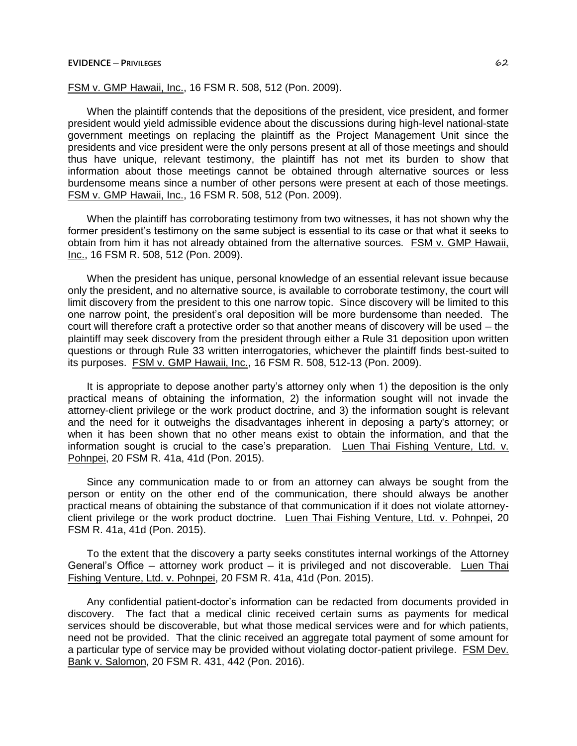#### **EVIDENCE ─ PRIVILEGES** 62

FSM v. GMP Hawaii, Inc., 16 FSM R. 508, 512 (Pon. 2009).

When the plaintiff contends that the depositions of the president, vice president, and former president would yield admissible evidence about the discussions during high-level national-state government meetings on replacing the plaintiff as the Project Management Unit since the presidents and vice president were the only persons present at all of those meetings and should thus have unique, relevant testimony, the plaintiff has not met its burden to show that information about those meetings cannot be obtained through alternative sources or less burdensome means since a number of other persons were present at each of those meetings. FSM v. GMP Hawaii, Inc., 16 FSM R. 508, 512 (Pon. 2009).

When the plaintiff has corroborating testimony from two witnesses, it has not shown why the former president's testimony on the same subject is essential to its case or that what it seeks to obtain from him it has not already obtained from the alternative sources. FSM v. GMP Hawaii, Inc., 16 FSM R. 508, 512 (Pon. 2009).

When the president has unique, personal knowledge of an essential relevant issue because only the president, and no alternative source, is available to corroborate testimony, the court will limit discovery from the president to this one narrow topic. Since discovery will be limited to this one narrow point, the president's oral deposition will be more burdensome than needed. The court will therefore craft a protective order so that another means of discovery will be used - the plaintiff may seek discovery from the president through either a Rule 31 deposition upon written questions or through Rule 33 written interrogatories, whichever the plaintiff finds best-suited to its purposes. FSM v. GMP Hawaii, Inc., 16 FSM R. 508, 512-13 (Pon. 2009).

It is appropriate to depose another party's attorney only when 1) the deposition is the only practical means of obtaining the information, 2) the information sought will not invade the attorney-client privilege or the work product doctrine, and 3) the information sought is relevant and the need for it outweighs the disadvantages inherent in deposing a party's attorney; or when it has been shown that no other means exist to obtain the information, and that the information sought is crucial to the case's preparation. Luen Thai Fishing Venture, Ltd. v. Pohnpei, 20 FSM R. 41a, 41d (Pon. 2015).

Since any communication made to or from an attorney can always be sought from the person or entity on the other end of the communication, there should always be another practical means of obtaining the substance of that communication if it does not violate attorneyclient privilege or the work product doctrine. Luen Thai Fishing Venture, Ltd. v. Pohnpei, 20 FSM R. 41a, 41d (Pon. 2015).

To the extent that the discovery a party seeks constitutes internal workings of the Attorney General's Office – attorney work product – it is privileged and not discoverable. Luen Thai Fishing Venture, Ltd. v. Pohnpei, 20 FSM R. 41a, 41d (Pon. 2015).

Any confidential patient-doctor's information can be redacted from documents provided in discovery. The fact that a medical clinic received certain sums as payments for medical services should be discoverable, but what those medical services were and for which patients, need not be provided. That the clinic received an aggregate total payment of some amount for a particular type of service may be provided without violating doctor-patient privilege. FSM Dev. Bank v. Salomon, 20 FSM R. 431, 442 (Pon. 2016).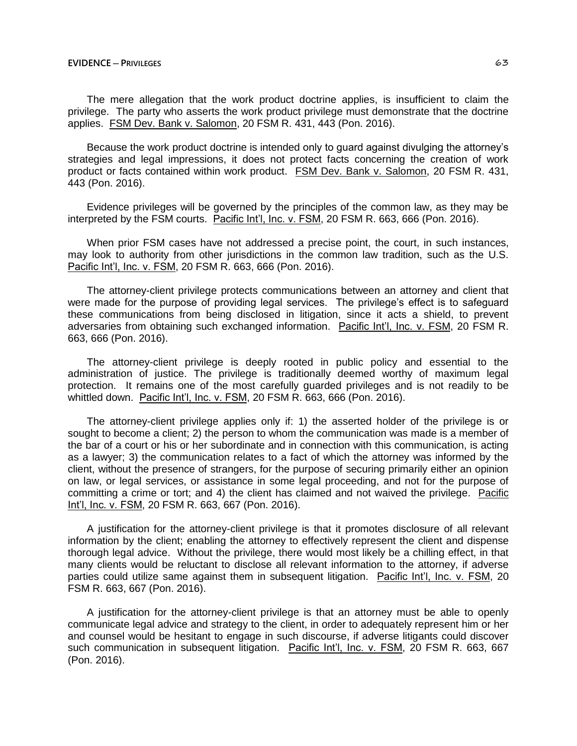The mere allegation that the work product doctrine applies, is insufficient to claim the privilege. The party who asserts the work product privilege must demonstrate that the doctrine applies. FSM Dev. Bank v. Salomon, 20 FSM R. 431, 443 (Pon. 2016).

Because the work product doctrine is intended only to guard against divulging the attorney's strategies and legal impressions, it does not protect facts concerning the creation of work product or facts contained within work product. FSM Dev. Bank v. Salomon, 20 FSM R. 431, 443 (Pon. 2016).

Evidence privileges will be governed by the principles of the common law, as they may be interpreted by the FSM courts. Pacific Int'l, Inc. v. FSM, 20 FSM R. 663, 666 (Pon. 2016).

When prior FSM cases have not addressed a precise point, the court, in such instances, may look to authority from other jurisdictions in the common law tradition, such as the U.S. Pacific Int'l, Inc. v. FSM, 20 FSM R. 663, 666 (Pon. 2016).

The attorney-client privilege protects communications between an attorney and client that were made for the purpose of providing legal services. The privilege's effect is to safeguard these communications from being disclosed in litigation, since it acts a shield, to prevent adversaries from obtaining such exchanged information. Pacific Int'l, Inc. v. FSM, 20 FSM R. 663, 666 (Pon. 2016).

The attorney-client privilege is deeply rooted in public policy and essential to the administration of justice. The privilege is traditionally deemed worthy of maximum legal protection. It remains one of the most carefully guarded privileges and is not readily to be whittled down. Pacific Int'l, Inc. v. FSM, 20 FSM R. 663, 666 (Pon. 2016).

The attorney-client privilege applies only if: 1) the asserted holder of the privilege is or sought to become a client; 2) the person to whom the communication was made is a member of the bar of a court or his or her subordinate and in connection with this communication, is acting as a lawyer; 3) the communication relates to a fact of which the attorney was informed by the client, without the presence of strangers, for the purpose of securing primarily either an opinion on law, or legal services, or assistance in some legal proceeding, and not for the purpose of committing a crime or tort; and 4) the client has claimed and not waived the privilege. Pacific Int'l, Inc. v. FSM, 20 FSM R. 663, 667 (Pon. 2016).

A justification for the attorney-client privilege is that it promotes disclosure of all relevant information by the client; enabling the attorney to effectively represent the client and dispense thorough legal advice. Without the privilege, there would most likely be a chilling effect, in that many clients would be reluctant to disclose all relevant information to the attorney, if adverse parties could utilize same against them in subsequent litigation. Pacific Int'l, Inc. v. FSM, 20 FSM R. 663, 667 (Pon. 2016).

A justification for the attorney-client privilege is that an attorney must be able to openly communicate legal advice and strategy to the client, in order to adequately represent him or her and counsel would be hesitant to engage in such discourse, if adverse litigants could discover such communication in subsequent litigation. Pacific Int'l, Inc. v. FSM, 20 FSM R. 663, 667 (Pon. 2016).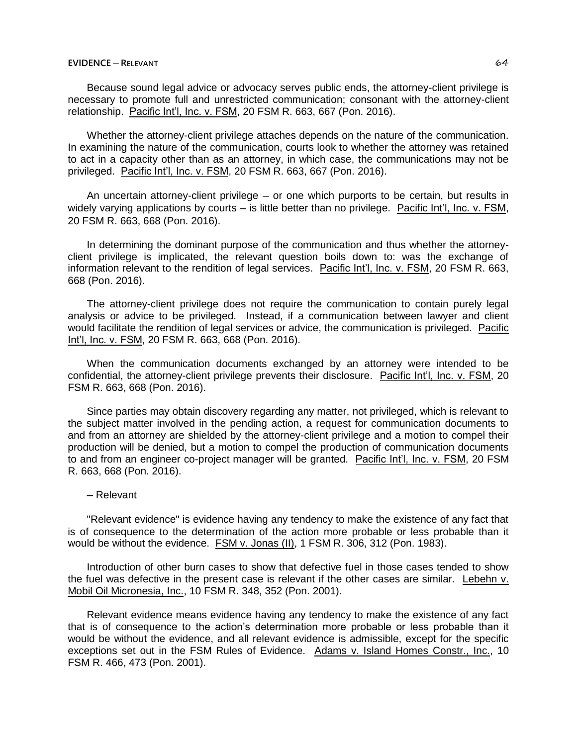Because sound legal advice or advocacy serves public ends, the attorney-client privilege is necessary to promote full and unrestricted communication; consonant with the attorney-client relationship. Pacific Int'l, Inc. v. FSM, 20 FSM R. 663, 667 (Pon. 2016).

Whether the attorney-client privilege attaches depends on the nature of the communication. In examining the nature of the communication, courts look to whether the attorney was retained to act in a capacity other than as an attorney, in which case, the communications may not be privileged. Pacific Int'l, Inc. v. FSM, 20 FSM R. 663, 667 (Pon. 2016).

An uncertain attorney-client privilege  $-$  or one which purports to be certain, but results in widely varying applications by courts — is little better than no privilege. Pacific Int'l, Inc. y. FSM, 20 FSM R. 663, 668 (Pon. 2016).

In determining the dominant purpose of the communication and thus whether the attorneyclient privilege is implicated, the relevant question boils down to: was the exchange of information relevant to the rendition of legal services. Pacific Int'l, Inc. v. FSM, 20 FSM R. 663, 668 (Pon. 2016).

The attorney-client privilege does not require the communication to contain purely legal analysis or advice to be privileged. Instead, if a communication between lawyer and client would facilitate the rendition of legal services or advice, the communication is privileged. Pacific Int'l, Inc. v. FSM, 20 FSM R. 663, 668 (Pon. 2016).

When the communication documents exchanged by an attorney were intended to be confidential, the attorney-client privilege prevents their disclosure. Pacific Int'l, Inc. v. FSM, 20 FSM R. 663, 668 (Pon. 2016).

Since parties may obtain discovery regarding any matter, not privileged, which is relevant to the subject matter involved in the pending action, a request for communication documents to and from an attorney are shielded by the attorney-client privilege and a motion to compel their production will be denied, but a motion to compel the production of communication documents to and from an engineer co-project manager will be granted. Pacific Int'l, Inc. v. FSM, 20 FSM R. 663, 668 (Pon. 2016).

#### ─ Relevant

"Relevant evidence" is evidence having any tendency to make the existence of any fact that is of consequence to the determination of the action more probable or less probable than it would be without the evidence. FSM v. Jonas (II), 1 FSM R. 306, 312 (Pon. 1983).

Introduction of other burn cases to show that defective fuel in those cases tended to show the fuel was defective in the present case is relevant if the other cases are similar. Lebehn v. Mobil Oil Micronesia, Inc., 10 FSM R. 348, 352 (Pon. 2001).

Relevant evidence means evidence having any tendency to make the existence of any fact that is of consequence to the action's determination more probable or less probable than it would be without the evidence, and all relevant evidence is admissible, except for the specific exceptions set out in the FSM Rules of Evidence. Adams v. Island Homes Constr., Inc., 10 FSM R. 466, 473 (Pon. 2001).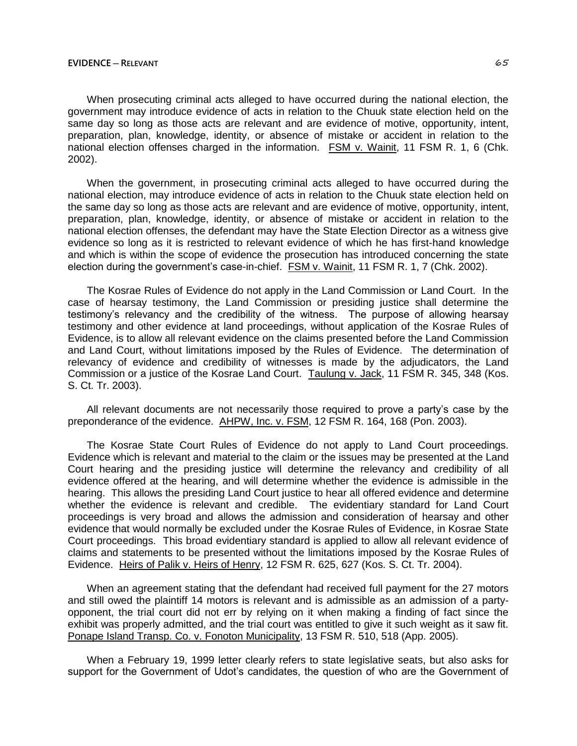When prosecuting criminal acts alleged to have occurred during the national election, the government may introduce evidence of acts in relation to the Chuuk state election held on the same day so long as those acts are relevant and are evidence of motive, opportunity, intent, preparation, plan, knowledge, identity, or absence of mistake or accident in relation to the national election offenses charged in the information. FSM v. Wainit, 11 FSM R. 1, 6 (Chk. 2002).

When the government, in prosecuting criminal acts alleged to have occurred during the national election, may introduce evidence of acts in relation to the Chuuk state election held on the same day so long as those acts are relevant and are evidence of motive, opportunity, intent, preparation, plan, knowledge, identity, or absence of mistake or accident in relation to the national election offenses, the defendant may have the State Election Director as a witness give evidence so long as it is restricted to relevant evidence of which he has first-hand knowledge and which is within the scope of evidence the prosecution has introduced concerning the state election during the government's case-in-chief. FSM v. Wainit, 11 FSM R. 1, 7 (Chk. 2002).

The Kosrae Rules of Evidence do not apply in the Land Commission or Land Court. In the case of hearsay testimony, the Land Commission or presiding justice shall determine the testimony's relevancy and the credibility of the witness. The purpose of allowing hearsay testimony and other evidence at land proceedings, without application of the Kosrae Rules of Evidence, is to allow all relevant evidence on the claims presented before the Land Commission and Land Court, without limitations imposed by the Rules of Evidence. The determination of relevancy of evidence and credibility of witnesses is made by the adjudicators, the Land Commission or a justice of the Kosrae Land Court. Taulung v. Jack, 11 FSM R. 345, 348 (Kos. S. Ct. Tr. 2003).

All relevant documents are not necessarily those required to prove a party's case by the preponderance of the evidence. AHPW, Inc. v. FSM, 12 FSM R. 164, 168 (Pon. 2003).

The Kosrae State Court Rules of Evidence do not apply to Land Court proceedings. Evidence which is relevant and material to the claim or the issues may be presented at the Land Court hearing and the presiding justice will determine the relevancy and credibility of all evidence offered at the hearing, and will determine whether the evidence is admissible in the hearing. This allows the presiding Land Court justice to hear all offered evidence and determine whether the evidence is relevant and credible. The evidentiary standard for Land Court proceedings is very broad and allows the admission and consideration of hearsay and other evidence that would normally be excluded under the Kosrae Rules of Evidence, in Kosrae State Court proceedings. This broad evidentiary standard is applied to allow all relevant evidence of claims and statements to be presented without the limitations imposed by the Kosrae Rules of Evidence. Heirs of Palik v. Heirs of Henry, 12 FSM R. 625, 627 (Kos. S. Ct. Tr. 2004).

When an agreement stating that the defendant had received full payment for the 27 motors and still owed the plaintiff 14 motors is relevant and is admissible as an admission of a partyopponent, the trial court did not err by relying on it when making a finding of fact since the exhibit was properly admitted, and the trial court was entitled to give it such weight as it saw fit. Ponape Island Transp. Co. v. Fonoton Municipality, 13 FSM R. 510, 518 (App. 2005).

When a February 19, 1999 letter clearly refers to state legislative seats, but also asks for support for the Government of Udot's candidates, the question of who are the Government of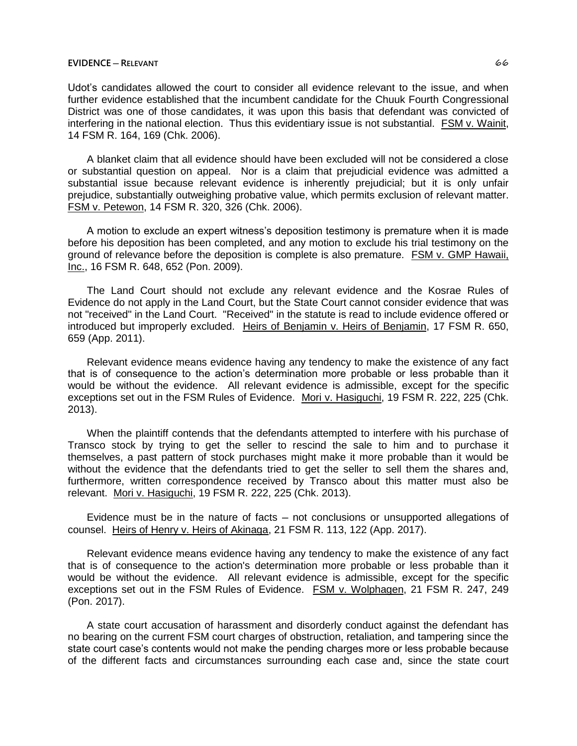## **EVIDENCE ─ RELEVANT** 66

Udot's candidates allowed the court to consider all evidence relevant to the issue, and when further evidence established that the incumbent candidate for the Chuuk Fourth Congressional District was one of those candidates, it was upon this basis that defendant was convicted of interfering in the national election. Thus this evidentiary issue is not substantial. FSM v. Wainit, 14 FSM R. 164, 169 (Chk. 2006).

A blanket claim that all evidence should have been excluded will not be considered a close or substantial question on appeal. Nor is a claim that prejudicial evidence was admitted a substantial issue because relevant evidence is inherently prejudicial; but it is only unfair prejudice, substantially outweighing probative value, which permits exclusion of relevant matter. FSM v. Petewon, 14 FSM R. 320, 326 (Chk. 2006).

A motion to exclude an expert witness's deposition testimony is premature when it is made before his deposition has been completed, and any motion to exclude his trial testimony on the ground of relevance before the deposition is complete is also premature. FSM v. GMP Hawaii, Inc., 16 FSM R. 648, 652 (Pon. 2009).

The Land Court should not exclude any relevant evidence and the Kosrae Rules of Evidence do not apply in the Land Court, but the State Court cannot consider evidence that was not "received" in the Land Court. "Received" in the statute is read to include evidence offered or introduced but improperly excluded. Heirs of Benjamin v. Heirs of Benjamin, 17 FSM R. 650, 659 (App. 2011).

Relevant evidence means evidence having any tendency to make the existence of any fact that is of consequence to the action's determination more probable or less probable than it would be without the evidence. All relevant evidence is admissible, except for the specific exceptions set out in the FSM Rules of Evidence. Mori v. Hasiguchi, 19 FSM R. 222, 225 (Chk. 2013).

When the plaintiff contends that the defendants attempted to interfere with his purchase of Transco stock by trying to get the seller to rescind the sale to him and to purchase it themselves, a past pattern of stock purchases might make it more probable than it would be without the evidence that the defendants tried to get the seller to sell them the shares and, furthermore, written correspondence received by Transco about this matter must also be relevant. Mori v. Hasiguchi, 19 FSM R. 222, 225 (Chk. 2013).

Evidence must be in the nature of facts – not conclusions or unsupported allegations of counsel. Heirs of Henry v. Heirs of Akinaga, 21 FSM R. 113, 122 (App. 2017).

Relevant evidence means evidence having any tendency to make the existence of any fact that is of consequence to the action's determination more probable or less probable than it would be without the evidence. All relevant evidence is admissible, except for the specific exceptions set out in the FSM Rules of Evidence. FSM v. Wolphagen, 21 FSM R. 247, 249 (Pon. 2017).

A state court accusation of harassment and disorderly conduct against the defendant has no bearing on the current FSM court charges of obstruction, retaliation, and tampering since the state court case's contents would not make the pending charges more or less probable because of the different facts and circumstances surrounding each case and, since the state court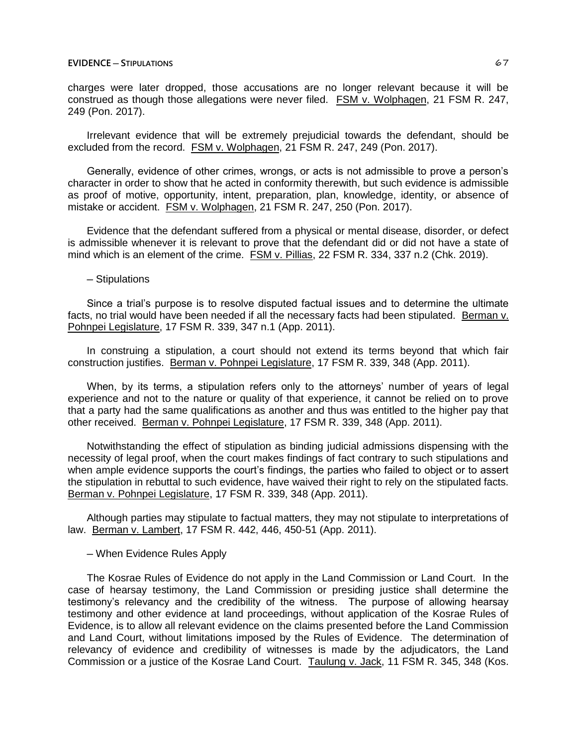## **EVIDENCE ─ STIPULATIONS** 67

charges were later dropped, those accusations are no longer relevant because it will be construed as though those allegations were never filed. FSM v. Wolphagen, 21 FSM R. 247, 249 (Pon. 2017).

Irrelevant evidence that will be extremely prejudicial towards the defendant, should be excluded from the record. FSM v. Wolphagen, 21 FSM R. 247, 249 (Pon. 2017).

Generally, evidence of other crimes, wrongs, or acts is not admissible to prove a person's character in order to show that he acted in conformity therewith, but such evidence is admissible as proof of motive, opportunity, intent, preparation, plan, knowledge, identity, or absence of mistake or accident. FSM v. Wolphagen, 21 FSM R. 247, 250 (Pon. 2017).

Evidence that the defendant suffered from a physical or mental disease, disorder, or defect is admissible whenever it is relevant to prove that the defendant did or did not have a state of mind which is an element of the crime. FSM v. Pillias, 22 FSM R. 334, 337 n.2 (Chk. 2019).

─ Stipulations

Since a trial's purpose is to resolve disputed factual issues and to determine the ultimate facts, no trial would have been needed if all the necessary facts had been stipulated. Berman v. Pohnpei Legislature, 17 FSM R. 339, 347 n.1 (App. 2011).

In construing a stipulation, a court should not extend its terms beyond that which fair construction justifies. Berman v. Pohnpei Legislature, 17 FSM R. 339, 348 (App. 2011).

When, by its terms, a stipulation refers only to the attorneys' number of years of legal experience and not to the nature or quality of that experience, it cannot be relied on to prove that a party had the same qualifications as another and thus was entitled to the higher pay that other received. Berman v. Pohnpei Legislature, 17 FSM R. 339, 348 (App. 2011).

Notwithstanding the effect of stipulation as binding judicial admissions dispensing with the necessity of legal proof, when the court makes findings of fact contrary to such stipulations and when ample evidence supports the court's findings, the parties who failed to object or to assert the stipulation in rebuttal to such evidence, have waived their right to rely on the stipulated facts. Berman v. Pohnpei Legislature, 17 FSM R. 339, 348 (App. 2011).

Although parties may stipulate to factual matters, they may not stipulate to interpretations of law. Berman v. Lambert, 17 FSM R. 442, 446, 450-51 (App. 2011).

─ When Evidence Rules Apply

The Kosrae Rules of Evidence do not apply in the Land Commission or Land Court. In the case of hearsay testimony, the Land Commission or presiding justice shall determine the testimony's relevancy and the credibility of the witness. The purpose of allowing hearsay testimony and other evidence at land proceedings, without application of the Kosrae Rules of Evidence, is to allow all relevant evidence on the claims presented before the Land Commission and Land Court, without limitations imposed by the Rules of Evidence. The determination of relevancy of evidence and credibility of witnesses is made by the adjudicators, the Land Commission or a justice of the Kosrae Land Court. Taulung v. Jack, 11 FSM R. 345, 348 (Kos.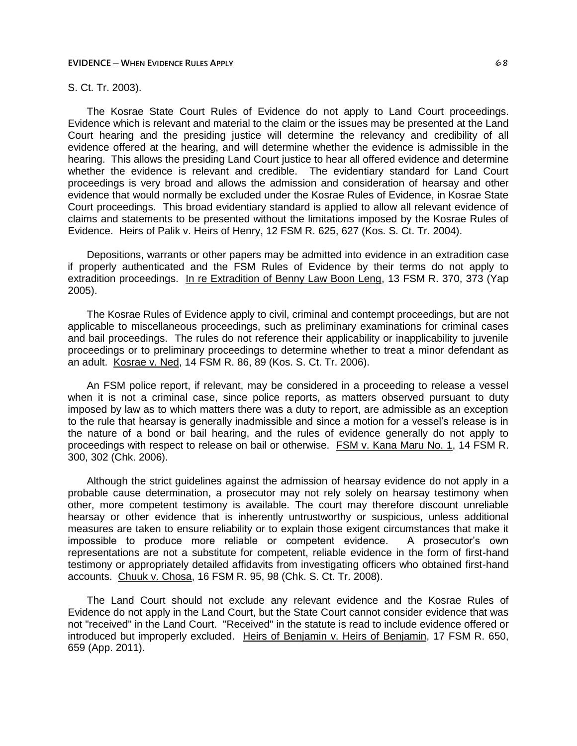# S. Ct. Tr. 2003).

The Kosrae State Court Rules of Evidence do not apply to Land Court proceedings. Evidence which is relevant and material to the claim or the issues may be presented at the Land Court hearing and the presiding justice will determine the relevancy and credibility of all evidence offered at the hearing, and will determine whether the evidence is admissible in the hearing. This allows the presiding Land Court justice to hear all offered evidence and determine whether the evidence is relevant and credible. The evidentiary standard for Land Court proceedings is very broad and allows the admission and consideration of hearsay and other evidence that would normally be excluded under the Kosrae Rules of Evidence, in Kosrae State Court proceedings. This broad evidentiary standard is applied to allow all relevant evidence of claims and statements to be presented without the limitations imposed by the Kosrae Rules of Evidence. Heirs of Palik v. Heirs of Henry, 12 FSM R. 625, 627 (Kos. S. Ct. Tr. 2004).

Depositions, warrants or other papers may be admitted into evidence in an extradition case if properly authenticated and the FSM Rules of Evidence by their terms do not apply to extradition proceedings. In re Extradition of Benny Law Boon Leng, 13 FSM R. 370, 373 (Yap 2005).

The Kosrae Rules of Evidence apply to civil, criminal and contempt proceedings, but are not applicable to miscellaneous proceedings, such as preliminary examinations for criminal cases and bail proceedings. The rules do not reference their applicability or inapplicability to juvenile proceedings or to preliminary proceedings to determine whether to treat a minor defendant as an adult. Kosrae v. Ned, 14 FSM R. 86, 89 (Kos. S. Ct. Tr. 2006).

An FSM police report, if relevant, may be considered in a proceeding to release a vessel when it is not a criminal case, since police reports, as matters observed pursuant to duty imposed by law as to which matters there was a duty to report, are admissible as an exception to the rule that hearsay is generally inadmissible and since a motion for a vessel's release is in the nature of a bond or bail hearing, and the rules of evidence generally do not apply to proceedings with respect to release on bail or otherwise. FSM v. Kana Maru No. 1, 14 FSM R. 300, 302 (Chk. 2006).

Although the strict guidelines against the admission of hearsay evidence do not apply in a probable cause determination, a prosecutor may not rely solely on hearsay testimony when other, more competent testimony is available. The court may therefore discount unreliable hearsay or other evidence that is inherently untrustworthy or suspicious, unless additional measures are taken to ensure reliability or to explain those exigent circumstances that make it impossible to produce more reliable or competent evidence. A prosecutor's own representations are not a substitute for competent, reliable evidence in the form of first-hand testimony or appropriately detailed affidavits from investigating officers who obtained first-hand accounts. Chuuk v. Chosa, 16 FSM R. 95, 98 (Chk. S. Ct. Tr. 2008).

The Land Court should not exclude any relevant evidence and the Kosrae Rules of Evidence do not apply in the Land Court, but the State Court cannot consider evidence that was not "received" in the Land Court. "Received" in the statute is read to include evidence offered or introduced but improperly excluded. Heirs of Benjamin v. Heirs of Benjamin, 17 FSM R. 650, 659 (App. 2011).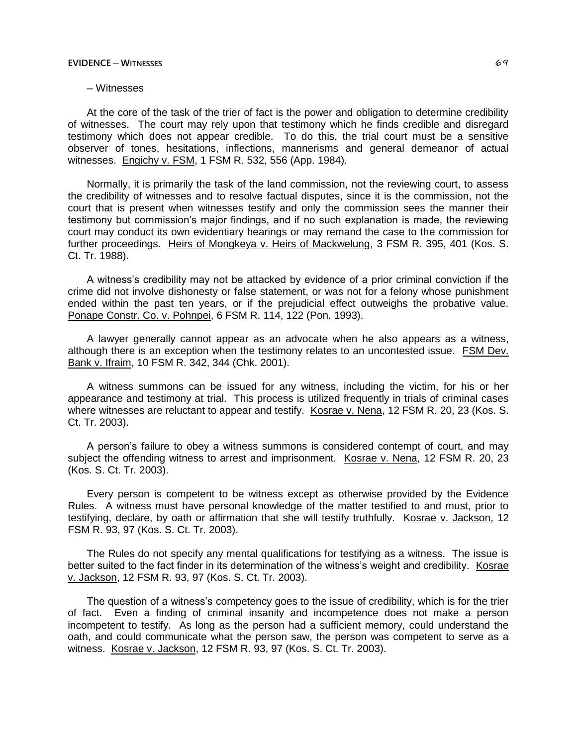# ─ Witnesses

At the core of the task of the trier of fact is the power and obligation to determine credibility of witnesses. The court may rely upon that testimony which he finds credible and disregard testimony which does not appear credible. To do this, the trial court must be a sensitive observer of tones, hesitations, inflections, mannerisms and general demeanor of actual witnesses. Engichy v. FSM, 1 FSM R. 532, 556 (App. 1984).

Normally, it is primarily the task of the land commission, not the reviewing court, to assess the credibility of witnesses and to resolve factual disputes, since it is the commission, not the court that is present when witnesses testify and only the commission sees the manner their testimony but commission's major findings, and if no such explanation is made, the reviewing court may conduct its own evidentiary hearings or may remand the case to the commission for further proceedings. Heirs of Mongkeya v. Heirs of Mackwelung, 3 FSM R. 395, 401 (Kos. S. Ct. Tr. 1988).

A witness's credibility may not be attacked by evidence of a prior criminal conviction if the crime did not involve dishonesty or false statement, or was not for a felony whose punishment ended within the past ten years, or if the prejudicial effect outweighs the probative value. Ponape Constr. Co. v. Pohnpei, 6 FSM R. 114, 122 (Pon. 1993).

A lawyer generally cannot appear as an advocate when he also appears as a witness, although there is an exception when the testimony relates to an uncontested issue. FSM Dev. Bank v. Ifraim, 10 FSM R. 342, 344 (Chk. 2001).

A witness summons can be issued for any witness, including the victim, for his or her appearance and testimony at trial. This process is utilized frequently in trials of criminal cases where witnesses are reluctant to appear and testify. Kosrae v. Nena, 12 FSM R. 20, 23 (Kos. S. Ct. Tr. 2003).

A person's failure to obey a witness summons is considered contempt of court, and may subject the offending witness to arrest and imprisonment. Kosrae v. Nena, 12 FSM R. 20, 23 (Kos. S. Ct. Tr. 2003).

Every person is competent to be witness except as otherwise provided by the Evidence Rules. A witness must have personal knowledge of the matter testified to and must, prior to testifying, declare, by oath or affirmation that she will testify truthfully. Kosrae v. Jackson, 12 FSM R. 93, 97 (Kos. S. Ct. Tr. 2003).

The Rules do not specify any mental qualifications for testifying as a witness. The issue is better suited to the fact finder in its determination of the witness's weight and credibility. Kosrae v. Jackson, 12 FSM R. 93, 97 (Kos. S. Ct. Tr. 2003).

The question of a witness's competency goes to the issue of credibility, which is for the trier of fact. Even a finding of criminal insanity and incompetence does not make a person incompetent to testify. As long as the person had a sufficient memory, could understand the oath, and could communicate what the person saw, the person was competent to serve as a witness. Kosrae v. Jackson, 12 FSM R. 93, 97 (Kos. S. Ct. Tr. 2003).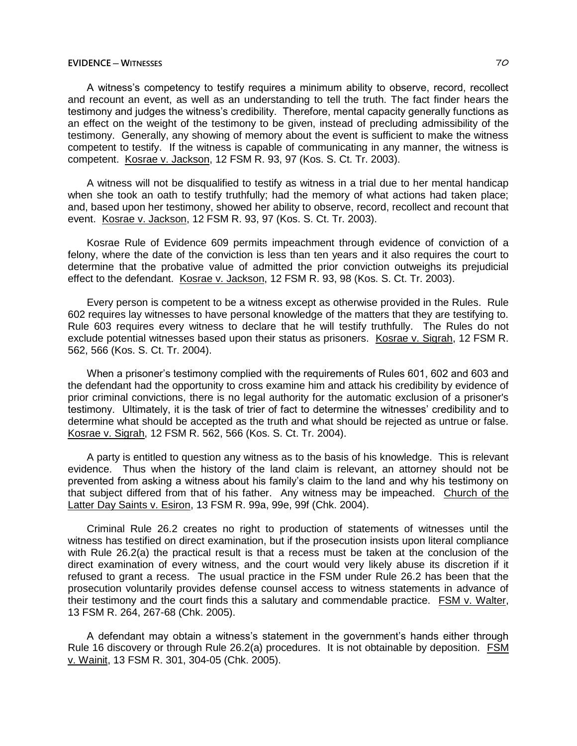A witness's competency to testify requires a minimum ability to observe, record, recollect and recount an event, as well as an understanding to tell the truth. The fact finder hears the testimony and judges the witness's credibility. Therefore, mental capacity generally functions as an effect on the weight of the testimony to be given, instead of precluding admissibility of the testimony. Generally, any showing of memory about the event is sufficient to make the witness competent to testify. If the witness is capable of communicating in any manner, the witness is competent. Kosrae v. Jackson, 12 FSM R. 93, 97 (Kos. S. Ct. Tr. 2003).

A witness will not be disqualified to testify as witness in a trial due to her mental handicap when she took an oath to testify truthfully; had the memory of what actions had taken place; and, based upon her testimony, showed her ability to observe, record, recollect and recount that event. Kosrae v. Jackson, 12 FSM R. 93, 97 (Kos. S. Ct. Tr. 2003).

Kosrae Rule of Evidence 609 permits impeachment through evidence of conviction of a felony, where the date of the conviction is less than ten years and it also requires the court to determine that the probative value of admitted the prior conviction outweighs its prejudicial effect to the defendant. Kosrae v. Jackson, 12 FSM R. 93, 98 (Kos. S. Ct. Tr. 2003).

Every person is competent to be a witness except as otherwise provided in the Rules. Rule 602 requires lay witnesses to have personal knowledge of the matters that they are testifying to. Rule 603 requires every witness to declare that he will testify truthfully. The Rules do not exclude potential witnesses based upon their status as prisoners. Kosrae v. Sigrah, 12 FSM R. 562, 566 (Kos. S. Ct. Tr. 2004).

When a prisoner's testimony complied with the requirements of Rules 601, 602 and 603 and the defendant had the opportunity to cross examine him and attack his credibility by evidence of prior criminal convictions, there is no legal authority for the automatic exclusion of a prisoner's testimony. Ultimately, it is the task of trier of fact to determine the witnesses' credibility and to determine what should be accepted as the truth and what should be rejected as untrue or false. Kosrae v. Sigrah, 12 FSM R. 562, 566 (Kos. S. Ct. Tr. 2004).

A party is entitled to question any witness as to the basis of his knowledge. This is relevant evidence. Thus when the history of the land claim is relevant, an attorney should not be prevented from asking a witness about his family's claim to the land and why his testimony on that subject differed from that of his father. Any witness may be impeached. Church of the Latter Day Saints v. Esiron, 13 FSM R. 99a, 99e, 99f (Chk. 2004).

Criminal Rule 26.2 creates no right to production of statements of witnesses until the witness has testified on direct examination, but if the prosecution insists upon literal compliance with Rule 26.2(a) the practical result is that a recess must be taken at the conclusion of the direct examination of every witness, and the court would very likely abuse its discretion if it refused to grant a recess. The usual practice in the FSM under Rule 26.2 has been that the prosecution voluntarily provides defense counsel access to witness statements in advance of their testimony and the court finds this a salutary and commendable practice. FSM v. Walter, 13 FSM R. 264, 267-68 (Chk. 2005).

A defendant may obtain a witness's statement in the government's hands either through Rule 16 discovery or through Rule 26.2(a) procedures. It is not obtainable by deposition. FSM v. Wainit, 13 FSM R. 301, 304-05 (Chk. 2005).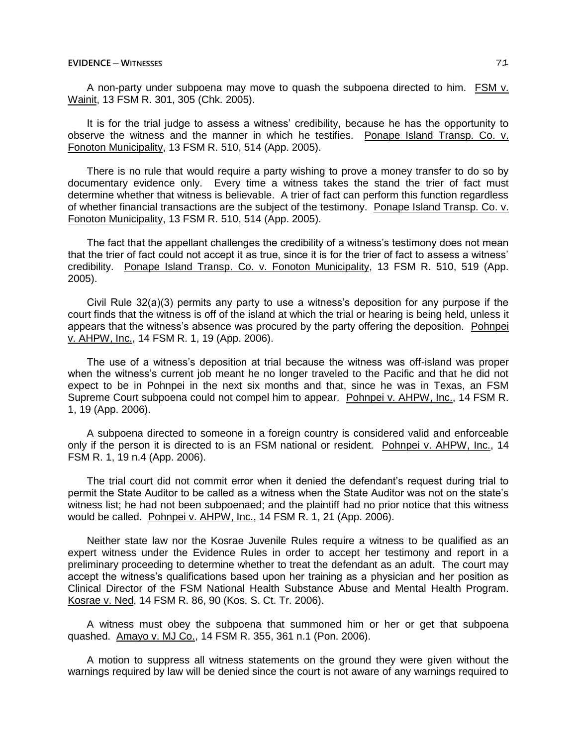A non-party under subpoena may move to quash the subpoena directed to him. FSM v. Wainit, 13 FSM R. 301, 305 (Chk. 2005).

It is for the trial judge to assess a witness' credibility, because he has the opportunity to observe the witness and the manner in which he testifies. Ponape Island Transp. Co. v. Fonoton Municipality, 13 FSM R. 510, 514 (App. 2005).

There is no rule that would require a party wishing to prove a money transfer to do so by documentary evidence only. Every time a witness takes the stand the trier of fact must determine whether that witness is believable. A trier of fact can perform this function regardless of whether financial transactions are the subject of the testimony. Ponape Island Transp. Co. v. Fonoton Municipality, 13 FSM R. 510, 514 (App. 2005).

The fact that the appellant challenges the credibility of a witness's testimony does not mean that the trier of fact could not accept it as true, since it is for the trier of fact to assess a witness' credibility. Ponape Island Transp. Co. v. Fonoton Municipality, 13 FSM R. 510, 519 (App. 2005).

Civil Rule 32(a)(3) permits any party to use a witness's deposition for any purpose if the court finds that the witness is off of the island at which the trial or hearing is being held, unless it appears that the witness's absence was procured by the party offering the deposition. Pohnpei v. AHPW, Inc., 14 FSM R. 1, 19 (App. 2006).

The use of a witness's deposition at trial because the witness was off-island was proper when the witness's current job meant he no longer traveled to the Pacific and that he did not expect to be in Pohnpei in the next six months and that, since he was in Texas, an FSM Supreme Court subpoena could not compel him to appear. Pohnpei v. AHPW, Inc., 14 FSM R. 1, 19 (App. 2006).

A subpoena directed to someone in a foreign country is considered valid and enforceable only if the person it is directed to is an FSM national or resident. Pohnpei v. AHPW, Inc., 14 FSM R. 1, 19 n.4 (App. 2006).

The trial court did not commit error when it denied the defendant's request during trial to permit the State Auditor to be called as a witness when the State Auditor was not on the state's witness list; he had not been subpoenaed; and the plaintiff had no prior notice that this witness would be called. Pohnpei v. AHPW, Inc., 14 FSM R. 1, 21 (App. 2006).

Neither state law nor the Kosrae Juvenile Rules require a witness to be qualified as an expert witness under the Evidence Rules in order to accept her testimony and report in a preliminary proceeding to determine whether to treat the defendant as an adult. The court may accept the witness's qualifications based upon her training as a physician and her position as Clinical Director of the FSM National Health Substance Abuse and Mental Health Program. Kosrae v. Ned, 14 FSM R. 86, 90 (Kos. S. Ct. Tr. 2006).

A witness must obey the subpoena that summoned him or her or get that subpoena quashed. Amayo v. MJ Co., 14 FSM R. 355, 361 n.1 (Pon. 2006).

A motion to suppress all witness statements on the ground they were given without the warnings required by law will be denied since the court is not aware of any warnings required to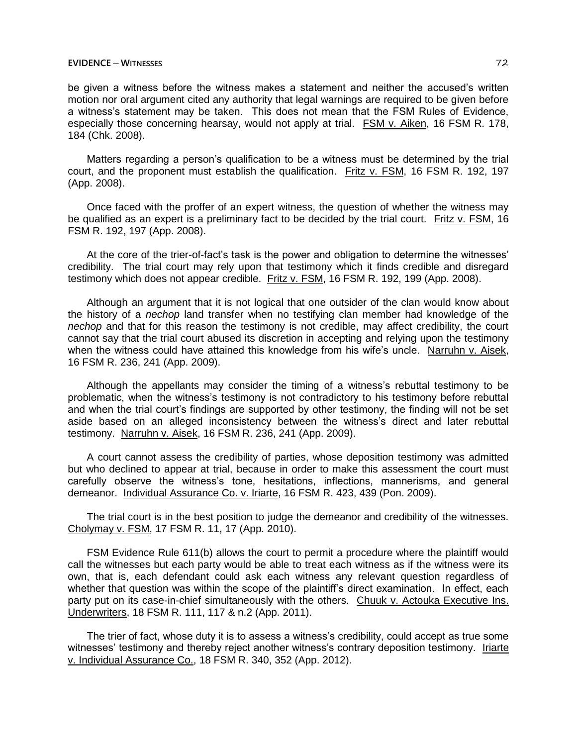be given a witness before the witness makes a statement and neither the accused's written motion nor oral argument cited any authority that legal warnings are required to be given before a witness's statement may be taken. This does not mean that the FSM Rules of Evidence, especially those concerning hearsay, would not apply at trial. FSM v. Aiken, 16 FSM R. 178, 184 (Chk. 2008).

Matters regarding a person's qualification to be a witness must be determined by the trial court, and the proponent must establish the qualification. Fritz v. FSM, 16 FSM R. 192, 197 (App. 2008).

Once faced with the proffer of an expert witness, the question of whether the witness may be qualified as an expert is a preliminary fact to be decided by the trial court. Fritz v. FSM, 16 FSM R. 192, 197 (App. 2008).

At the core of the trier-of-fact's task is the power and obligation to determine the witnesses' credibility. The trial court may rely upon that testimony which it finds credible and disregard testimony which does not appear credible. Fritz v. FSM, 16 FSM R. 192, 199 (App. 2008).

Although an argument that it is not logical that one outsider of the clan would know about the history of a *nechop* land transfer when no testifying clan member had knowledge of the *nechop* and that for this reason the testimony is not credible, may affect credibility, the court cannot say that the trial court abused its discretion in accepting and relying upon the testimony when the witness could have attained this knowledge from his wife's uncle. Narruhn v. Aisek, 16 FSM R. 236, 241 (App. 2009).

Although the appellants may consider the timing of a witness's rebuttal testimony to be problematic, when the witness's testimony is not contradictory to his testimony before rebuttal and when the trial court's findings are supported by other testimony, the finding will not be set aside based on an alleged inconsistency between the witness's direct and later rebuttal testimony. Narruhn v. Aisek, 16 FSM R. 236, 241 (App. 2009).

A court cannot assess the credibility of parties, whose deposition testimony was admitted but who declined to appear at trial, because in order to make this assessment the court must carefully observe the witness's tone, hesitations, inflections, mannerisms, and general demeanor. Individual Assurance Co. v. Iriarte, 16 FSM R. 423, 439 (Pon. 2009).

The trial court is in the best position to judge the demeanor and credibility of the witnesses. Cholymay v. FSM, 17 FSM R. 11, 17 (App. 2010).

FSM Evidence Rule 611(b) allows the court to permit a procedure where the plaintiff would call the witnesses but each party would be able to treat each witness as if the witness were its own, that is, each defendant could ask each witness any relevant question regardless of whether that question was within the scope of the plaintiff's direct examination. In effect, each party put on its case-in-chief simultaneously with the others. Chuuk v. Actouka Executive Ins. Underwriters, 18 FSM R. 111, 117 & n.2 (App. 2011).

The trier of fact, whose duty it is to assess a witness's credibility, could accept as true some witnesses' testimony and thereby reject another witness's contrary deposition testimony. Iriarte v. Individual Assurance Co., 18 FSM R. 340, 352 (App. 2012).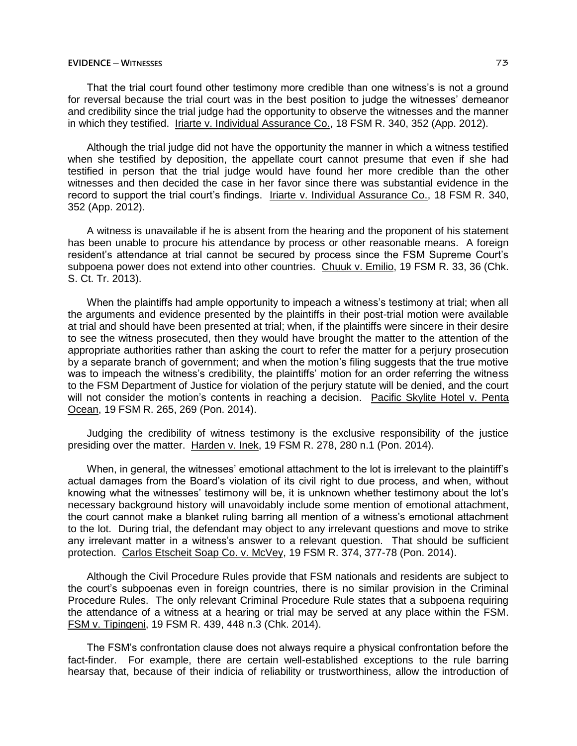## **EVIDENCE ─ WITNESSES** 73

That the trial court found other testimony more credible than one witness's is not a ground for reversal because the trial court was in the best position to judge the witnesses' demeanor and credibility since the trial judge had the opportunity to observe the witnesses and the manner in which they testified. Iriarte v. Individual Assurance Co., 18 FSM R. 340, 352 (App. 2012).

Although the trial judge did not have the opportunity the manner in which a witness testified when she testified by deposition, the appellate court cannot presume that even if she had testified in person that the trial judge would have found her more credible than the other witnesses and then decided the case in her favor since there was substantial evidence in the record to support the trial court's findings. Iriarte v. Individual Assurance Co., 18 FSM R. 340, 352 (App. 2012).

A witness is unavailable if he is absent from the hearing and the proponent of his statement has been unable to procure his attendance by process or other reasonable means. A foreign resident's attendance at trial cannot be secured by process since the FSM Supreme Court's subpoena power does not extend into other countries. Chuuk v. Emilio, 19 FSM R. 33, 36 (Chk. S. Ct. Tr. 2013).

When the plaintiffs had ample opportunity to impeach a witness's testimony at trial; when all the arguments and evidence presented by the plaintiffs in their post-trial motion were available at trial and should have been presented at trial; when, if the plaintiffs were sincere in their desire to see the witness prosecuted, then they would have brought the matter to the attention of the appropriate authorities rather than asking the court to refer the matter for a perjury prosecution by a separate branch of government; and when the motion's filing suggests that the true motive was to impeach the witness's credibility, the plaintiffs' motion for an order referring the witness to the FSM Department of Justice for violation of the perjury statute will be denied, and the court will not consider the motion's contents in reaching a decision. Pacific Skylite Hotel v. Penta Ocean, 19 FSM R. 265, 269 (Pon. 2014).

Judging the credibility of witness testimony is the exclusive responsibility of the justice presiding over the matter. Harden v. Inek, 19 FSM R. 278, 280 n.1 (Pon. 2014).

When, in general, the witnesses' emotional attachment to the lot is irrelevant to the plaintiff's actual damages from the Board's violation of its civil right to due process, and when, without knowing what the witnesses' testimony will be, it is unknown whether testimony about the lot's necessary background history will unavoidably include some mention of emotional attachment, the court cannot make a blanket ruling barring all mention of a witness's emotional attachment to the lot. During trial, the defendant may object to any irrelevant questions and move to strike any irrelevant matter in a witness's answer to a relevant question. That should be sufficient protection. Carlos Etscheit Soap Co. v. McVey, 19 FSM R. 374, 377-78 (Pon. 2014).

Although the Civil Procedure Rules provide that FSM nationals and residents are subject to the court's subpoenas even in foreign countries, there is no similar provision in the Criminal Procedure Rules. The only relevant Criminal Procedure Rule states that a subpoena requiring the attendance of a witness at a hearing or trial may be served at any place within the FSM. FSM v. Tipingeni, 19 FSM R. 439, 448 n.3 (Chk. 2014).

The FSM's confrontation clause does not always require a physical confrontation before the fact-finder. For example, there are certain well-established exceptions to the rule barring hearsay that, because of their indicia of reliability or trustworthiness, allow the introduction of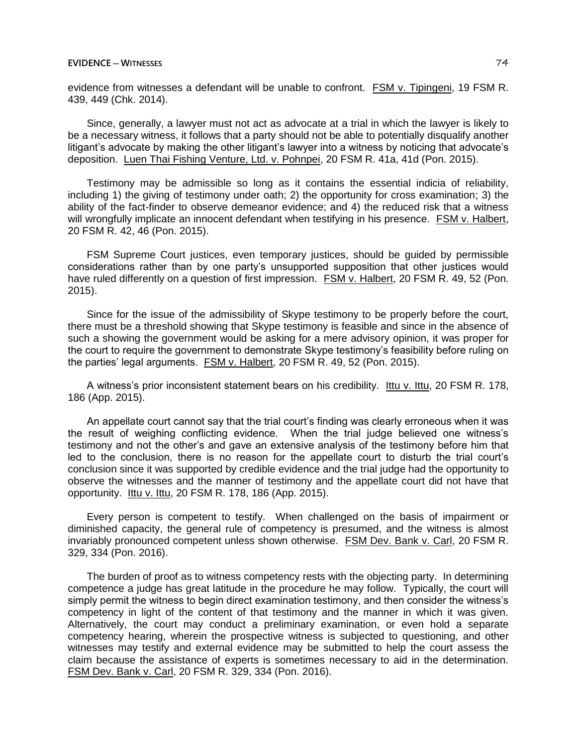## **EVIDENCE ─ WITNESSES** 74

evidence from witnesses a defendant will be unable to confront. FSM v. Tipingeni, 19 FSM R. 439, 449 (Chk. 2014).

Since, generally, a lawyer must not act as advocate at a trial in which the lawyer is likely to be a necessary witness, it follows that a party should not be able to potentially disqualify another litigant's advocate by making the other litigant's lawyer into a witness by noticing that advocate's deposition. Luen Thai Fishing Venture, Ltd. v. Pohnpei, 20 FSM R. 41a, 41d (Pon. 2015).

Testimony may be admissible so long as it contains the essential indicia of reliability, including 1) the giving of testimony under oath; 2) the opportunity for cross examination; 3) the ability of the fact-finder to observe demeanor evidence; and 4) the reduced risk that a witness will wrongfully implicate an innocent defendant when testifying in his presence. FSM v. Halbert, 20 FSM R. 42, 46 (Pon. 2015).

FSM Supreme Court justices, even temporary justices, should be guided by permissible considerations rather than by one party's unsupported supposition that other justices would have ruled differently on a question of first impression. FSM v. Halbert, 20 FSM R. 49, 52 (Pon. 2015).

Since for the issue of the admissibility of Skype testimony to be properly before the court, there must be a threshold showing that Skype testimony is feasible and since in the absence of such a showing the government would be asking for a mere advisory opinion, it was proper for the court to require the government to demonstrate Skype testimony's feasibility before ruling on the parties' legal arguments. FSM v. Halbert, 20 FSM R. 49, 52 (Pon. 2015).

A witness's prior inconsistent statement bears on his credibility. Ittu v. Ittu, 20 FSM R. 178, 186 (App. 2015).

An appellate court cannot say that the trial court's finding was clearly erroneous when it was the result of weighing conflicting evidence. When the trial judge believed one witness's testimony and not the other's and gave an extensive analysis of the testimony before him that led to the conclusion, there is no reason for the appellate court to disturb the trial court's conclusion since it was supported by credible evidence and the trial judge had the opportunity to observe the witnesses and the manner of testimony and the appellate court did not have that opportunity. Ittu v. Ittu, 20 FSM R. 178, 186 (App. 2015).

Every person is competent to testify. When challenged on the basis of impairment or diminished capacity, the general rule of competency is presumed, and the witness is almost invariably pronounced competent unless shown otherwise. FSM Dev. Bank v. Carl, 20 FSM R. 329, 334 (Pon. 2016).

The burden of proof as to witness competency rests with the objecting party. In determining competence a judge has great latitude in the procedure he may follow. Typically, the court will simply permit the witness to begin direct examination testimony, and then consider the witness's competency in light of the content of that testimony and the manner in which it was given. Alternatively, the court may conduct a preliminary examination, or even hold a separate competency hearing, wherein the prospective witness is subjected to questioning, and other witnesses may testify and external evidence may be submitted to help the court assess the claim because the assistance of experts is sometimes necessary to aid in the determination. FSM Dev. Bank v. Carl, 20 FSM R. 329, 334 (Pon. 2016).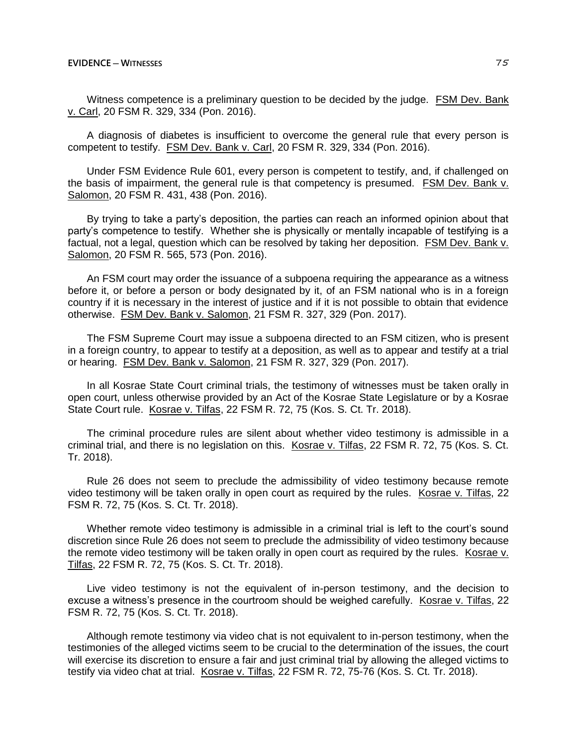Witness competence is a preliminary question to be decided by the judge. FSM Dev. Bank v. Carl, 20 FSM R. 329, 334 (Pon. 2016).

A diagnosis of diabetes is insufficient to overcome the general rule that every person is competent to testify. FSM Dev. Bank v. Carl, 20 FSM R. 329, 334 (Pon. 2016).

Under FSM Evidence Rule 601, every person is competent to testify, and, if challenged on the basis of impairment, the general rule is that competency is presumed. FSM Dev. Bank v. Salomon, 20 FSM R. 431, 438 (Pon. 2016).

By trying to take a party's deposition, the parties can reach an informed opinion about that party's competence to testify. Whether she is physically or mentally incapable of testifying is a factual, not a legal, question which can be resolved by taking her deposition. FSM Dev. Bank v. Salomon, 20 FSM R. 565, 573 (Pon. 2016).

An FSM court may order the issuance of a subpoena requiring the appearance as a witness before it, or before a person or body designated by it, of an FSM national who is in a foreign country if it is necessary in the interest of justice and if it is not possible to obtain that evidence otherwise. FSM Dev. Bank v. Salomon, 21 FSM R. 327, 329 (Pon. 2017).

The FSM Supreme Court may issue a subpoena directed to an FSM citizen, who is present in a foreign country, to appear to testify at a deposition, as well as to appear and testify at a trial or hearing. FSM Dev. Bank v. Salomon, 21 FSM R. 327, 329 (Pon. 2017).

In all Kosrae State Court criminal trials, the testimony of witnesses must be taken orally in open court, unless otherwise provided by an Act of the Kosrae State Legislature or by a Kosrae State Court rule. Kosrae v. Tilfas, 22 FSM R. 72, 75 (Kos. S. Ct. Tr. 2018).

The criminal procedure rules are silent about whether video testimony is admissible in a criminal trial, and there is no legislation on this. Kosrae v. Tilfas, 22 FSM R. 72, 75 (Kos. S. Ct. Tr. 2018).

Rule 26 does not seem to preclude the admissibility of video testimony because remote video testimony will be taken orally in open court as required by the rules. Kosrae v. Tilfas, 22 FSM R. 72, 75 (Kos. S. Ct. Tr. 2018).

Whether remote video testimony is admissible in a criminal trial is left to the court's sound discretion since Rule 26 does not seem to preclude the admissibility of video testimony because the remote video testimony will be taken orally in open court as required by the rules. Kosrae v. Tilfas, 22 FSM R. 72, 75 (Kos. S. Ct. Tr. 2018).

Live video testimony is not the equivalent of in-person testimony, and the decision to excuse a witness's presence in the courtroom should be weighed carefully. Kosrae v. Tilfas, 22 FSM R. 72, 75 (Kos. S. Ct. Tr. 2018).

Although remote testimony via video chat is not equivalent to in-person testimony, when the testimonies of the alleged victims seem to be crucial to the determination of the issues, the court will exercise its discretion to ensure a fair and just criminal trial by allowing the alleged victims to testify via video chat at trial. Kosrae v. Tilfas, 22 FSM R. 72, 75-76 (Kos. S. Ct. Tr. 2018).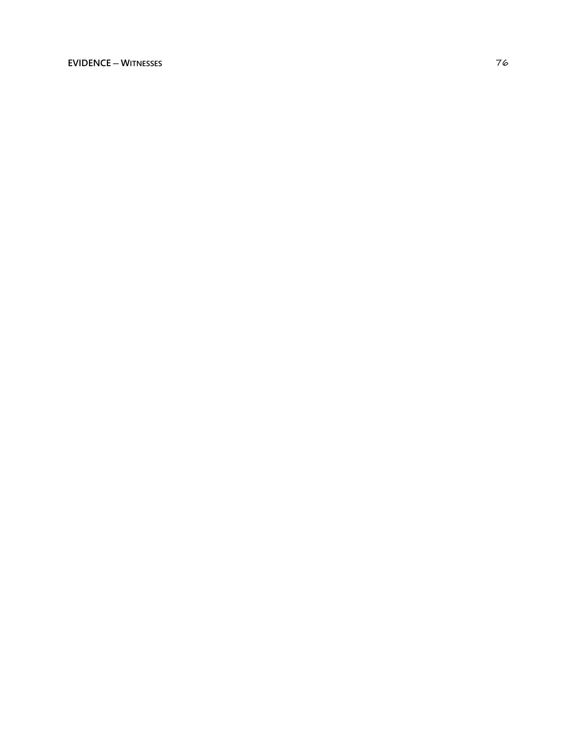## **EVIDENCE - WITNESSES**